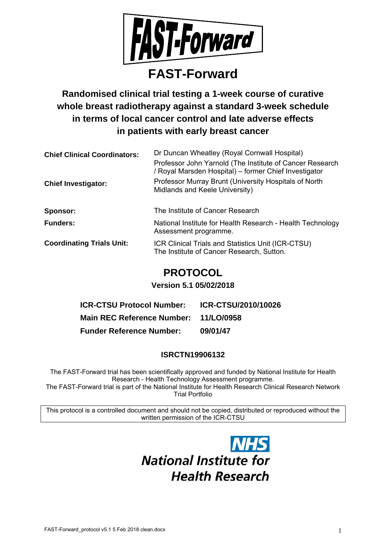

# **FAST-Forward**

**Randomised clinical trial testing a 1-week course of curative whole breast radiotherapy against a standard 3-week schedule in terms of local cancer control and late adverse effects in patients with early breast cancer** 

| <b>Chief Clinical Coordinators:</b> | Dr Duncan Wheatley (Royal Cornwall Hospital)                                                                      |
|-------------------------------------|-------------------------------------------------------------------------------------------------------------------|
|                                     | Professor John Yarnold (The Institute of Cancer Research<br>/ Royal Marsden Hospital) – former Chief Investigator |
| <b>Chief Investigator:</b>          | Professor Murray Brunt (University Hospitals of North<br>Midlands and Keele University)                           |
| Sponsor:                            | The Institute of Cancer Research                                                                                  |
| <b>Funders:</b>                     | National Institute for Health Research - Health Technology<br>Assessment programme.                               |
| <b>Coordinating Trials Unit:</b>    | ICR Clinical Trials and Statistics Unit (ICR-CTSU)<br>The Institute of Cancer Research, Sutton.                   |

# **PROTOCOL**

# **Version 5.1 05/02/2018**

| <b>ICR-CTSU Protocol Number:</b>      | ICR-CTSU/2010/10026 |
|---------------------------------------|---------------------|
| Main REC Reference Number: 11/LO/0958 |                     |
| <b>Funder Reference Number:</b>       | 09/01/47            |

# **ISRCTN19906132**

The FAST-Forward trial has been scientifically approved and funded by National Institute for Health Research - Health Technology Assessment programme. The FAST-Forward trial is part of the National Institute for Health Research Clinical Research Network

Trial Portfolio

This protocol is a controlled document and should not be copied, distributed or reproduced without the written permission of the ICR-CTSU

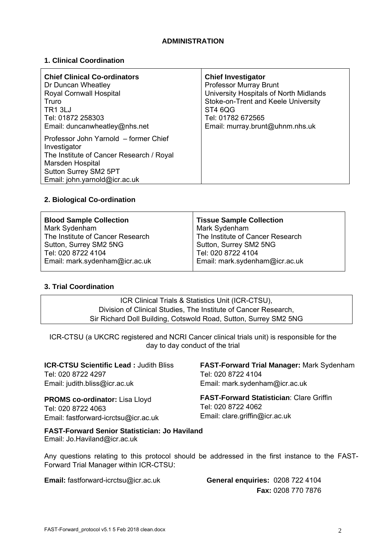# **ADMINISTRATION**

# **1. Clinical Coordination**

| <b>Chief Clinical Co-ordinators</b>                                                                                                                                             | <b>Chief Investigator</b>              |
|---------------------------------------------------------------------------------------------------------------------------------------------------------------------------------|----------------------------------------|
| Dr Duncan Wheatley                                                                                                                                                              | <b>Professor Murray Brunt</b>          |
| Royal Cornwall Hospital                                                                                                                                                         | University Hospitals of North Midlands |
| Truro                                                                                                                                                                           | Stoke-on-Trent and Keele University    |
| TR <sub>1</sub> 3LJ                                                                                                                                                             | ST4 6QG                                |
| Tel: 01872 258303                                                                                                                                                               | Tel: 01782 672565                      |
| Email: duncanwheatley@nhs.net                                                                                                                                                   | Email: murray.brunt@uhnm.nhs.uk        |
| Professor John Yarnold - former Chief<br>Investigator<br>The Institute of Cancer Research / Royal<br>Marsden Hospital<br>Sutton Surrey SM2 5PT<br>Email: john.yarnold@icr.ac.uk |                                        |

# **2. Biological Co-ordination**

| <b>Blood Sample Collection</b><br>Mark Sydenham<br>The Institute of Cancer Research<br>Sutton, Surrey SM2 5NG | <b>Tissue Sample Collection</b><br>Mark Sydenham<br>The Institute of Cancer Research<br>Sutton, Surrey SM2 5NG |
|---------------------------------------------------------------------------------------------------------------|----------------------------------------------------------------------------------------------------------------|
| Tel: 020 8722 4104                                                                                            | Tel: 020 8722 4104                                                                                             |
| Email: mark.sydenham@icr.ac.uk                                                                                | Email: mark.sydenham@icr.ac.uk                                                                                 |

# **3. Trial Coordination**

ICR Clinical Trials & Statistics Unit (ICR-CTSU), Division of Clinical Studies, The Institute of Cancer Research, Sir Richard Doll Building, Cotswold Road, Sutton, Surrey SM2 5NG

ICR-CTSU (a UKCRC registered and NCRI Cancer clinical trials unit) is responsible for the day to day conduct of the trial

| <b>ICR-CTSU Scientific Lead: Judith Bliss</b>                                        | <b>FAST-Forward Trial Manager: Mark Sydenham</b> |
|--------------------------------------------------------------------------------------|--------------------------------------------------|
| Tel: 020 8722 4297                                                                   | Tel: 020 8722 4104                               |
| Email: judith.bliss@icr.ac.uk                                                        | Email: mark.sydenham@icr.ac.uk                   |
| <b>PROMS co-ordinator:</b> Lisa Lloyd                                                | <b>FAST-Forward Statistician: Clare Griffin</b>  |
| Tel: 020 8722 4063                                                                   | Tel: 020 8722 4062                               |
| Email: fastforward-icrctsu@icr.ac.uk                                                 | Email: clare.griffin@icr.ac.uk                   |
| <b>FAST-Forward Senior Statistician: Jo Haviland</b><br>Email: Jo.Haviland@icr.ac.uk |                                                  |

Any questions relating to this protocol should be addressed in the first instance to the FAST-Forward Trial Manager within ICR-CTSU:

**Email:** fastforward-icrctsu@icr.ac.uk **General enquiries:** 0208 722 4104

**Fax:** 0208 770 7876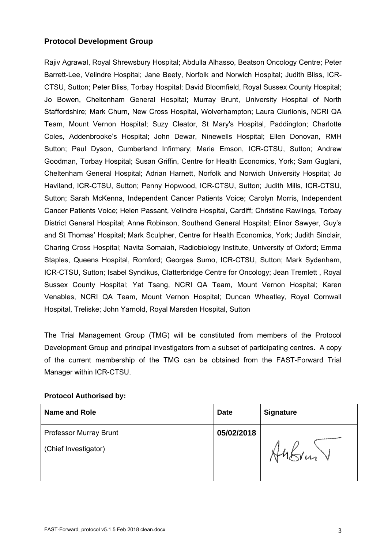# **Protocol Development Group**

Rajiv Agrawal, Royal Shrewsbury Hospital; Abdulla Alhasso, Beatson Oncology Centre; Peter Barrett-Lee, Velindre Hospital; Jane Beety, Norfolk and Norwich Hospital; Judith Bliss, ICR-CTSU, Sutton; Peter Bliss, Torbay Hospital; David Bloomfield, Royal Sussex County Hospital; Jo Bowen, Cheltenham General Hospital; Murray Brunt, University Hospital of North Staffordshire; Mark Churn, New Cross Hospital, Wolverhampton; Laura Ciurlionis, NCRI QA Team, Mount Vernon Hospital; Suzy Cleator, St Mary's Hospital, Paddington; Charlotte Coles, Addenbrooke's Hospital; John Dewar, Ninewells Hospital; Ellen Donovan, RMH Sutton; Paul Dyson, Cumberland Infirmary; Marie Emson, ICR-CTSU, Sutton; Andrew Goodman, Torbay Hospital; Susan Griffin, Centre for Health Economics, York; Sam Guglani, Cheltenham General Hospital; Adrian Harnett, Norfolk and Norwich University Hospital; Jo Haviland, ICR-CTSU, Sutton; Penny Hopwood, ICR-CTSU, Sutton; Judith Mills, ICR-CTSU, Sutton; Sarah McKenna, Independent Cancer Patients Voice; Carolyn Morris, Independent Cancer Patients Voice; Helen Passant, Velindre Hospital, Cardiff; Christine Rawlings, Torbay District General Hospital; Anne Robinson, Southend General Hospital; Elinor Sawyer, Guy's and St Thomas' Hospital; Mark Sculpher, Centre for Health Economics, York; Judith Sinclair, Charing Cross Hospital; Navita Somaiah, Radiobiology Institute, University of Oxford; Emma Staples, Queens Hospital, Romford; Georges Sumo, ICR-CTSU, Sutton; Mark Sydenham, ICR-CTSU, Sutton; Isabel Syndikus, Clatterbridge Centre for Oncology; Jean Tremlett , Royal Sussex County Hospital; Yat Tsang, NCRI QA Team, Mount Vernon Hospital; Karen Venables, NCRI QA Team, Mount Vernon Hospital; Duncan Wheatley, Royal Cornwall Hospital, Treliske; John Yarnold, Royal Marsden Hospital, Sutton

The Trial Management Group (TMG) will be constituted from members of the Protocol Development Group and principal investigators from a subset of participating centres. A copy of the current membership of the TMG can be obtained from the FAST-Forward Trial Manager within ICR-CTSU.

# **Protocol Authorised by:**

| <b>Name and Role</b>          | <b>Date</b> | <b>Signature</b> |
|-------------------------------|-------------|------------------|
| <b>Professor Murray Brunt</b> | 05/02/2018  |                  |
| (Chief Investigator)          |             | $u_{1}$          |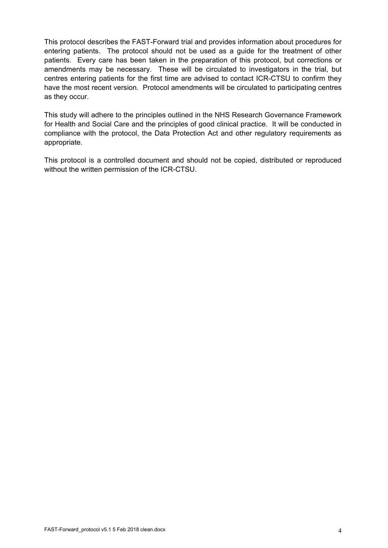This protocol describes the FAST-Forward trial and provides information about procedures for entering patients. The protocol should not be used as a guide for the treatment of other patients. Every care has been taken in the preparation of this protocol, but corrections or amendments may be necessary. These will be circulated to investigators in the trial, but centres entering patients for the first time are advised to contact ICR-CTSU to confirm they have the most recent version. Protocol amendments will be circulated to participating centres as they occur.

This study will adhere to the principles outlined in the NHS Research Governance Framework for Health and Social Care and the principles of good clinical practice. It will be conducted in compliance with the protocol, the Data Protection Act and other regulatory requirements as appropriate.

This protocol is a controlled document and should not be copied, distributed or reproduced without the written permission of the ICR-CTSU.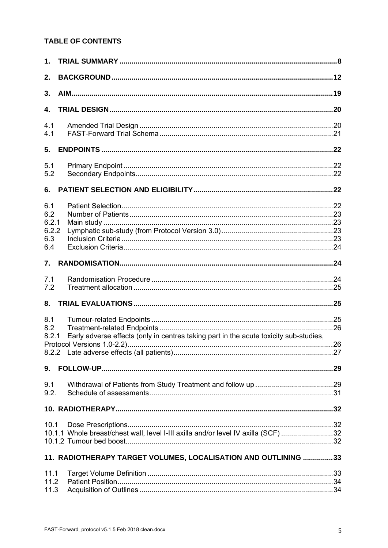# TABLE OF CONTENTS

| 1.                                         |                                                                                       |  |
|--------------------------------------------|---------------------------------------------------------------------------------------|--|
| 2.                                         |                                                                                       |  |
| 3.                                         |                                                                                       |  |
| 4.                                         |                                                                                       |  |
| 4.1<br>4.1                                 |                                                                                       |  |
| 5.                                         |                                                                                       |  |
| 5.1<br>5.2                                 |                                                                                       |  |
| 6.                                         |                                                                                       |  |
| 6.1<br>6.2<br>6.2.1<br>6.2.2<br>6.3<br>6.4 |                                                                                       |  |
| $7_{\cdot}$                                |                                                                                       |  |
| 7.1<br>7.2                                 |                                                                                       |  |
| 8.                                         |                                                                                       |  |
| 8.1<br>8.2<br>8.2.1                        | Early adverse effects (only in centres taking part in the acute toxicity sub-studies, |  |
|                                            |                                                                                       |  |
| 9.                                         |                                                                                       |  |
| 9.1<br>9.2.                                |                                                                                       |  |
|                                            |                                                                                       |  |
| 10.1                                       | 10.1.1 Whole breast/chest wall, level I-III axilla and/or level IV axilla (SCF) 32    |  |
|                                            | 11. RADIOTHERAPY TARGET VOLUMES, LOCALISATION AND OUTLINING 33                        |  |
| 11.1<br>11.2<br>11.3                       |                                                                                       |  |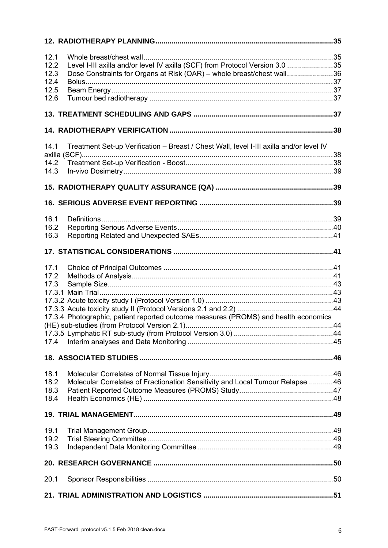| 12.1 |                                                                                         |    |
|------|-----------------------------------------------------------------------------------------|----|
| 12.2 | Level I-III axilla and/or level IV axilla (SCF) from Protocol Version 3.0 35            |    |
| 12.3 | Dose Constraints for Organs at Risk (OAR) - whole breast/chest wall36                   |    |
|      |                                                                                         |    |
| 12.4 |                                                                                         |    |
| 12.5 |                                                                                         |    |
| 12.6 |                                                                                         |    |
|      |                                                                                         |    |
|      |                                                                                         |    |
|      |                                                                                         |    |
| 14.1 | Treatment Set-up Verification - Breast / Chest Wall, level I-III axilla and/or level IV |    |
|      |                                                                                         |    |
| 14.2 |                                                                                         |    |
|      |                                                                                         |    |
| 14.3 |                                                                                         |    |
|      |                                                                                         |    |
|      |                                                                                         |    |
|      |                                                                                         |    |
|      |                                                                                         |    |
| 16.1 |                                                                                         |    |
| 16.2 |                                                                                         |    |
| 16.3 |                                                                                         |    |
|      |                                                                                         |    |
|      |                                                                                         |    |
| 17.1 |                                                                                         |    |
| 17.2 |                                                                                         |    |
| 17.3 |                                                                                         |    |
|      |                                                                                         |    |
|      |                                                                                         |    |
|      |                                                                                         |    |
|      | 17.3.4 Photographic, patient reported outcome measures (PROMS) and health economics     |    |
|      |                                                                                         | 44 |
|      |                                                                                         |    |
|      |                                                                                         |    |
| 17.4 |                                                                                         |    |
|      |                                                                                         |    |
|      |                                                                                         |    |
| 18.1 |                                                                                         |    |
| 18.2 | Molecular Correlates of Fractionation Sensitivity and Local Tumour Relapse 46           |    |
| 18.3 |                                                                                         |    |
| 18.4 |                                                                                         |    |
|      |                                                                                         |    |
|      |                                                                                         |    |
|      |                                                                                         |    |
| 19.1 |                                                                                         |    |
| 19.2 |                                                                                         |    |
| 19.3 |                                                                                         |    |
|      |                                                                                         |    |
| 20.1 |                                                                                         |    |
|      |                                                                                         |    |
|      |                                                                                         |    |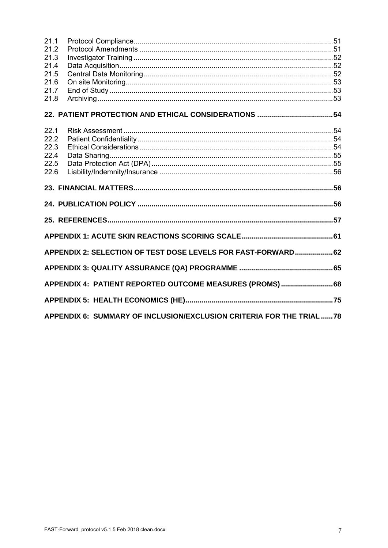| 21.1 |                                                              |  |
|------|--------------------------------------------------------------|--|
| 21.2 |                                                              |  |
| 21.3 |                                                              |  |
| 21.4 |                                                              |  |
| 21.5 |                                                              |  |
| 21.6 |                                                              |  |
| 21.7 |                                                              |  |
| 21.8 |                                                              |  |
|      |                                                              |  |
| 22.1 |                                                              |  |
| 22.2 |                                                              |  |
| 22.3 |                                                              |  |
| 22.4 |                                                              |  |
| 22.5 |                                                              |  |
| 22.6 |                                                              |  |
|      |                                                              |  |
|      |                                                              |  |
|      |                                                              |  |
|      |                                                              |  |
|      |                                                              |  |
|      | APPENDIX 2: SELECTION OF TEST DOSE LEVELS FOR FAST-FORWARD62 |  |
|      |                                                              |  |
|      | APPENDIX 4: PATIENT REPORTED OUTCOME MEASURES (PROMS)68      |  |
|      |                                                              |  |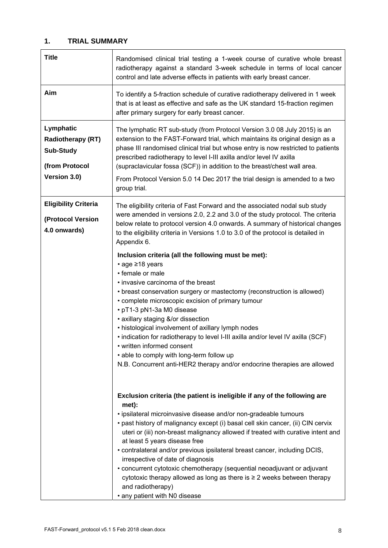# **1. TRIAL SUMMARY**

| <b>Title</b>                                                                                | Randomised clinical trial testing a 1-week course of curative whole breast<br>radiotherapy against a standard 3-week schedule in terms of local cancer<br>control and late adverse effects in patients with early breast cancer.                                                                                                                                                                                                                                                                                                                                                                                                                                                                   |
|---------------------------------------------------------------------------------------------|----------------------------------------------------------------------------------------------------------------------------------------------------------------------------------------------------------------------------------------------------------------------------------------------------------------------------------------------------------------------------------------------------------------------------------------------------------------------------------------------------------------------------------------------------------------------------------------------------------------------------------------------------------------------------------------------------|
| Aim                                                                                         | To identify a 5-fraction schedule of curative radiotherapy delivered in 1 week<br>that is at least as effective and safe as the UK standard 15-fraction regimen<br>after primary surgery for early breast cancer.                                                                                                                                                                                                                                                                                                                                                                                                                                                                                  |
| Lymphatic<br><b>Radiotherapy (RT)</b><br><b>Sub-Study</b><br>(from Protocol<br>Version 3.0) | The lymphatic RT sub-study (from Protocol Version 3.0 08 July 2015) is an<br>extension to the FAST-Forward trial, which maintains its original design as a<br>phase III randomised clinical trial but whose entry is now restricted to patients<br>prescribed radiotherapy to level I-III axilla and/or level IV axilla<br>(supraclavicular fossa (SCF)) in addition to the breast/chest wall area.<br>From Protocol Version 5.0 14 Dec 2017 the trial design is amended to a two<br>group trial.                                                                                                                                                                                                  |
| <b>Eligibility Criteria</b><br>(Protocol Version<br>4.0 onwards)                            | The eligibility criteria of Fast Forward and the associated nodal sub study<br>were amended in versions 2.0, 2.2 and 3.0 of the study protocol. The criteria<br>below relate to protocol version 4.0 onwards. A summary of historical changes<br>to the eligibility criteria in Versions 1.0 to 3.0 of the protocol is detailed in<br>Appendix 6.                                                                                                                                                                                                                                                                                                                                                  |
|                                                                                             | Inclusion criteria (all the following must be met):<br>• age ≥18 years<br>• female or male<br>• invasive carcinoma of the breast<br>• breast conservation surgery or mastectomy (reconstruction is allowed)<br>• complete microscopic excision of primary tumour<br>• pT1-3 pN1-3a M0 disease<br>• axillary staging &/or dissection<br>• histological involvement of axillary lymph nodes<br>• indication for radiotherapy to level I-III axilla and/or level IV axilla (SCF)<br>• written informed consent<br>• able to comply with long-term follow up<br>N.B. Concurrent anti-HER2 therapy and/or endocrine therapies are allowed                                                               |
|                                                                                             | Exclusion criteria (the patient is ineligible if any of the following are<br>met):<br>· ipsilateral microinvasive disease and/or non-gradeable tumours<br>• past history of malignancy except (i) basal cell skin cancer, (ii) CIN cervix<br>uteri or (iii) non-breast malignancy allowed if treated with curative intent and<br>at least 5 years disease free<br>• contralateral and/or previous ipsilateral breast cancer, including DCIS,<br>irrespective of date of diagnosis<br>• concurrent cytotoxic chemotherapy (sequential neoadjuvant or adjuvant<br>cytotoxic therapy allowed as long as there is $\geq 2$ weeks between therapy<br>and radiotherapy)<br>• any patient with N0 disease |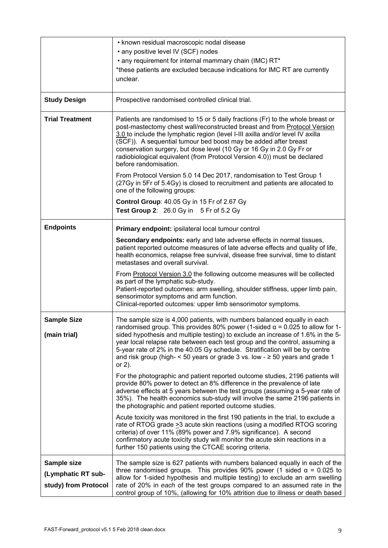|                                                           | • known residual macroscopic nodal disease<br>• any positive level IV (SCF) nodes<br>• any requirement for internal mammary chain (IMC) RT*<br>*these patients are excluded because indications for IMC RT are currently<br>unclear.                                                                                                                                                                                                                                                                                                                                                                                                                                                                                                                                                                                                                                                                                                                                                                                                                                                                                                                                                                                                                                                            |
|-----------------------------------------------------------|-------------------------------------------------------------------------------------------------------------------------------------------------------------------------------------------------------------------------------------------------------------------------------------------------------------------------------------------------------------------------------------------------------------------------------------------------------------------------------------------------------------------------------------------------------------------------------------------------------------------------------------------------------------------------------------------------------------------------------------------------------------------------------------------------------------------------------------------------------------------------------------------------------------------------------------------------------------------------------------------------------------------------------------------------------------------------------------------------------------------------------------------------------------------------------------------------------------------------------------------------------------------------------------------------|
| <b>Study Design</b>                                       | Prospective randomised controlled clinical trial.                                                                                                                                                                                                                                                                                                                                                                                                                                                                                                                                                                                                                                                                                                                                                                                                                                                                                                                                                                                                                                                                                                                                                                                                                                               |
| <b>Trial Treatment</b>                                    | Patients are randomised to 15 or 5 daily fractions (Fr) to the whole breast or<br>post-mastectomy chest wall/reconstructed breast and from Protocol Version<br>3.0 to include the lymphatic region (level I-III axilla and/or level IV axilla<br>(SCF)). A sequential tumour bed boost may be added after breast<br>conservation surgery, but dose level (10 Gy or 16 Gy in 2.0 Gy Fr or<br>radiobiological equivalent (from Protocol Version 4.0)) must be declared<br>before randomisation.                                                                                                                                                                                                                                                                                                                                                                                                                                                                                                                                                                                                                                                                                                                                                                                                   |
|                                                           | From Protocol Version 5.0 14 Dec 2017, randomisation to Test Group 1<br>(27Gy in 5Fr of 5.4Gy) is closed to recruitment and patients are allocated to<br>one of the following groups:                                                                                                                                                                                                                                                                                                                                                                                                                                                                                                                                                                                                                                                                                                                                                                                                                                                                                                                                                                                                                                                                                                           |
|                                                           | <b>Control Group: 40.05 Gy in 15 Fr of 2.67 Gy</b><br>Test Group 2: 26.0 Gy in 5 Fr of 5.2 Gy                                                                                                                                                                                                                                                                                                                                                                                                                                                                                                                                                                                                                                                                                                                                                                                                                                                                                                                                                                                                                                                                                                                                                                                                   |
| <b>Endpoints</b>                                          | Primary endpoint: ipsilateral local tumour control<br>Secondary endpoints: early and late adverse effects in normal tissues,<br>patient reported outcome measures of late adverse effects and quality of life,<br>health economics, relapse free survival, disease free survival, time to distant<br>metastases and overall survival.<br>From <b>Protocol Version 3.0</b> the following outcome measures will be collected<br>as part of the lymphatic sub-study.<br>Patient-reported outcomes: arm swelling, shoulder stiffness, upper limb pain,<br>sensorimotor symptoms and arm function.<br>Clinical-reported outcomes: upper limb sensorimotor symptoms.                                                                                                                                                                                                                                                                                                                                                                                                                                                                                                                                                                                                                                  |
| <b>Sample Size</b><br>(main trial)                        | The sample size is 4,000 patients, with numbers balanced equally in each<br>randomised group. This provides 80% power (1-sided $\alpha$ = 0.025 to allow for 1-<br>sided hypothesis and multiple testing) to exclude an increase of 1.6% in the 5-<br>year local relapse rate between each test group and the control, assuming a<br>5-year rate of 2% in the 40.05 Gy schedule. Stratification will be by centre<br>and risk group (high- $\leq$ 50 years or grade 3 vs. low - $\geq$ 50 years and grade 1<br>or $2$ ).<br>For the photographic and patient reported outcome studies, 2196 patients will<br>provide 80% power to detect an 8% difference in the prevalence of late<br>adverse effects at 5 years between the test groups (assuming a 5-year rate of<br>35%). The health economics sub-study will involve the same 2196 patients in<br>the photographic and patient reported outcome studies.<br>Acute toxicity was monitored in the first 190 patients in the trial, to exclude a<br>rate of RTOG grade > 3 acute skin reactions (using a modified RTOG scoring<br>criteria) of over 11% (89% power and 7.9% significance). A second<br>confirmatory acute toxicity study will monitor the acute skin reactions in a<br>further 150 patients using the CTCAE scoring criteria. |
| Sample size<br>(Lymphatic RT sub-<br>study) from Protocol | The sample size is 627 patients with numbers balanced equally in each of the<br>three randomised groups. This provides 90% power (1 sided $\alpha$ = 0.025 to<br>allow for 1-sided hypothesis and multiple testing) to exclude an arm swelling<br>rate of 20% in each of the test groups compared to an assumed rate in the<br>control group of 10%, (allowing for 10% attrition due to illness or death based                                                                                                                                                                                                                                                                                                                                                                                                                                                                                                                                                                                                                                                                                                                                                                                                                                                                                  |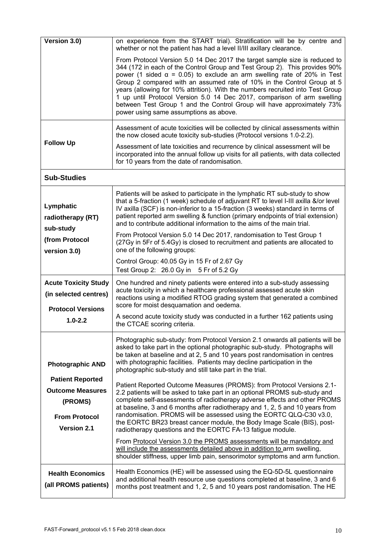| Version 3.0)                                                                                                | on experience from the START trial). Stratification will be by centre and<br>whether or not the patient has had a level II/III axillary clearance.                                                                                                                                                                                                                                                                                                                                                                                                                                                    |
|-------------------------------------------------------------------------------------------------------------|-------------------------------------------------------------------------------------------------------------------------------------------------------------------------------------------------------------------------------------------------------------------------------------------------------------------------------------------------------------------------------------------------------------------------------------------------------------------------------------------------------------------------------------------------------------------------------------------------------|
|                                                                                                             | From Protocol Version 5.0 14 Dec 2017 the target sample size is reduced to<br>344 (172 in each of the Control Group and Test Group 2). This provides 90%<br>power (1 sided $\alpha$ = 0.05) to exclude an arm swelling rate of 20% in Test<br>Group 2 compared with an assumed rate of 10% in the Control Group at 5<br>years (allowing for 10% attrition). With the numbers recruited into Test Group<br>1 up until Protocol Version 5.0 14 Dec 2017, comparison of arm swelling<br>between Test Group 1 and the Control Group will have approximately 73%<br>power using same assumptions as above. |
| <b>Follow Up</b>                                                                                            | Assessment of acute toxicities will be collected by clinical assessments within<br>the now closed acute toxicity sub-studies (Protocol versions 1.0-2.2).<br>Assessment of late toxicities and recurrence by clinical assessment will be                                                                                                                                                                                                                                                                                                                                                              |
|                                                                                                             | incorporated into the annual follow up visits for all patients, with data collected<br>for 10 years from the date of randomisation.                                                                                                                                                                                                                                                                                                                                                                                                                                                                   |
| <b>Sub-Studies</b>                                                                                          |                                                                                                                                                                                                                                                                                                                                                                                                                                                                                                                                                                                                       |
| Lymphatic<br>radiotherapy (RT)<br>sub-study                                                                 | Patients will be asked to participate in the lymphatic RT sub-study to show<br>that a 5-fraction (1 week) schedule of adjuvant RT to level I-III axilla &/or level<br>IV axilla (SCF) is non-inferior to a 15-fraction (3 weeks) standard in terms of<br>patient reported arm swelling & function (primary endpoints of trial extension)<br>and to contribute additional information to the aims of the main trial.                                                                                                                                                                                   |
| (from Protocol<br>version 3.0)                                                                              | From Protocol Version 5.0 14 Dec 2017, randomisation to Test Group 1<br>(27Gy in 5Fr of 5.4Gy) is closed to recruitment and patients are allocated to<br>one of the following groups:                                                                                                                                                                                                                                                                                                                                                                                                                 |
|                                                                                                             | Control Group: 40.05 Gy in 15 Fr of 2.67 Gy<br>Test Group 2: 26.0 Gy in 5 Fr of 5.2 Gy                                                                                                                                                                                                                                                                                                                                                                                                                                                                                                                |
| <b>Acute Toxicity Study</b><br>(in selected centres)                                                        | One hundred and ninety patients were entered into a sub-study assessing<br>acute toxicity in which a healthcare professional assessed acute skin<br>reactions using a modified RTOG grading system that generated a combined<br>score for moist desquamation and oedema.                                                                                                                                                                                                                                                                                                                              |
| <b>Protocol Versions</b><br>$1.0 - 2.2$                                                                     | A second acute toxicity study was conducted in a further 162 patients using<br>the CTCAE scoring criteria.                                                                                                                                                                                                                                                                                                                                                                                                                                                                                            |
| <b>Photographic AND</b>                                                                                     | Photographic sub-study: from Protocol Version 2.1 onwards all patients will be<br>asked to take part in the optional photographic sub-study. Photographs will<br>be taken at baseline and at 2, 5 and 10 years post randomisation in centres<br>with photographic facilities. Patients may decline participation in the<br>photographic sub-study and still take part in the trial.                                                                                                                                                                                                                   |
| <b>Patient Reported</b><br><b>Outcome Measures</b><br>(PROMS)<br><b>From Protocol</b><br><b>Version 2.1</b> | Patient Reported Outcome Measures (PROMS): from Protocol Versions 2.1-<br>2.2 patients will be asked to take part in an optional PROMS sub-study and<br>complete self-assessments of radiotherapy adverse effects and other PROMS<br>at baseline, 3 and 6 months after radiotherapy and 1, 2, 5 and 10 years from<br>randomisation. PROMS will be assessed using the EORTC QLQ-C30 v3.0,<br>the EORTC BR23 breast cancer module, the Body Image Scale (BIS), post-<br>radiotherapy questions and the EORTC FA-13 fatigue module.                                                                      |
|                                                                                                             | From Protocol Version 3.0 the PROMS assessments will be mandatory and<br>will include the assessments detailed above in addition to arm swelling,<br>shoulder stiffness, upper limb pain, sensorimotor symptoms and arm function.                                                                                                                                                                                                                                                                                                                                                                     |
| <b>Health Economics</b><br>(all PROMS patients)                                                             | Health Economics (HE) will be assessed using the EQ-5D-5L questionnaire<br>and additional health resource use questions completed at baseline, 3 and 6<br>months post treatment and 1, 2, 5 and 10 years post randomisation. The HE                                                                                                                                                                                                                                                                                                                                                                   |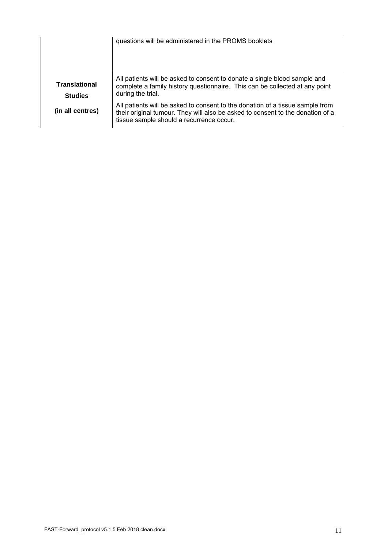|                                        | questions will be administered in the PROMS booklets                                                                                                                                                        |
|----------------------------------------|-------------------------------------------------------------------------------------------------------------------------------------------------------------------------------------------------------------|
| <b>Translational</b><br><b>Studies</b> | All patients will be asked to consent to donate a single blood sample and<br>complete a family history questionnaire. This can be collected at any point<br>during the trial.                               |
| (in all centres)                       | All patients will be asked to consent to the donation of a tissue sample from<br>their original tumour. They will also be asked to consent to the donation of a<br>tissue sample should a recurrence occur. |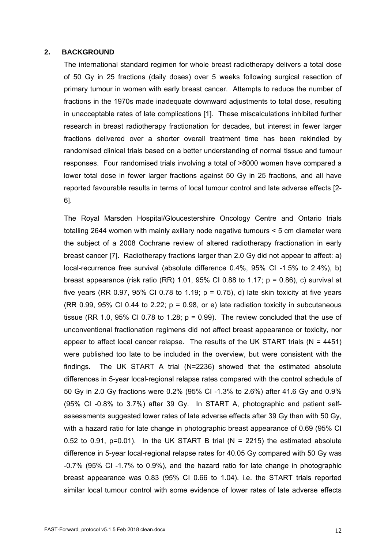#### **2. BACKGROUND**

The international standard regimen for whole breast radiotherapy delivers a total dose of 50 Gy in 25 fractions (daily doses) over 5 weeks following surgical resection of primary tumour in women with early breast cancer. Attempts to reduce the number of fractions in the 1970s made inadequate downward adjustments to total dose, resulting in unacceptable rates of late complications [1]. These miscalculations inhibited further research in breast radiotherapy fractionation for decades, but interest in fewer larger fractions delivered over a shorter overall treatment time has been rekindled by randomised clinical trials based on a better understanding of normal tissue and tumour responses. Four randomised trials involving a total of >8000 women have compared a lower total dose in fewer larger fractions against 50 Gy in 25 fractions, and all have reported favourable results in terms of local tumour control and late adverse effects [2- 6].

The Royal Marsden Hospital/Gloucestershire Oncology Centre and Ontario trials totalling 2644 women with mainly axillary node negative tumours < 5 cm diameter were the subject of a 2008 Cochrane review of altered radiotherapy fractionation in early breast cancer [7]. Radiotherapy fractions larger than 2.0 Gy did not appear to affect: a) local-recurrence free survival (absolute difference 0.4%, 95% CI -1.5% to 2.4%), b) breast appearance (risk ratio (RR) 1.01, 95% CI 0.88 to 1.17;  $p = 0.86$ ), c) survival at five years (RR 0.97, 95% CI 0.78 to 1.19;  $p = 0.75$ ), d) late skin toxicity at five years (RR 0.99, 95% CI 0.44 to 2.22;  $p = 0.98$ , or e) late radiation toxicity in subcutaneous tissue (RR 1.0, 95% CI 0.78 to 1.28;  $p = 0.99$ ). The review concluded that the use of unconventional fractionation regimens did not affect breast appearance or toxicity, nor appear to affect local cancer relapse. The results of the UK START trials ( $N = 4451$ ) were published too late to be included in the overview, but were consistent with the findings. The UK START A trial (N=2236) showed that the estimated absolute differences in 5-year local-regional relapse rates compared with the control schedule of 50 Gy in 2.0 Gy fractions were 0.2% (95% CI -1.3% to 2.6%) after 41.6 Gy and 0.9% (95% CI -0.8% to 3.7%) after 39 Gy. In START A, photographic and patient selfassessments suggested lower rates of late adverse effects after 39 Gy than with 50 Gy, with a hazard ratio for late change in photographic breast appearance of 0.69 (95% CI 0.52 to 0.91,  $p=0.01$ ). In the UK START B trial (N = 2215) the estimated absolute difference in 5-year local-regional relapse rates for 40.05 Gy compared with 50 Gy was -0.7% (95% CI -1.7% to 0.9%), and the hazard ratio for late change in photographic breast appearance was 0.83 (95% CI 0.66 to 1.04). i.e. the START trials reported similar local tumour control with some evidence of lower rates of late adverse effects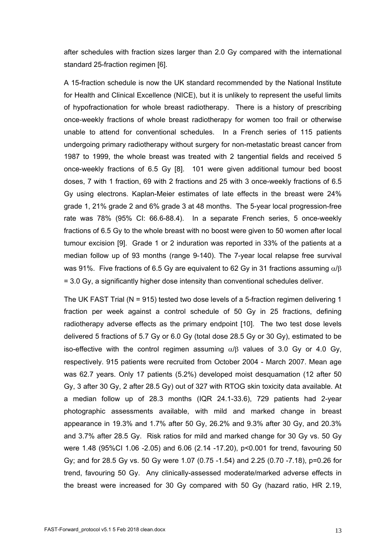after schedules with fraction sizes larger than 2.0 Gy compared with the international standard 25-fraction regimen [6].

A 15-fraction schedule is now the UK standard recommended by the National Institute for Health and Clinical Excellence (NICE), but it is unlikely to represent the useful limits of hypofractionation for whole breast radiotherapy. There is a history of prescribing once-weekly fractions of whole breast radiotherapy for women too frail or otherwise unable to attend for conventional schedules. In a French series of 115 patients undergoing primary radiotherapy without surgery for non-metastatic breast cancer from 1987 to 1999, the whole breast was treated with 2 tangential fields and received 5 once-weekly fractions of 6.5 Gy [8]. 101 were given additional tumour bed boost doses, 7 with 1 fraction, 69 with 2 fractions and 25 with 3 once-weekly fractions of 6.5 Gy using electrons. Kaplan-Meier estimates of late effects in the breast were 24% grade 1, 21% grade 2 and 6% grade 3 at 48 months. The 5-year local progression-free rate was 78% (95% CI: 66.6-88.4). In a separate French series, 5 once-weekly fractions of 6.5 Gy to the whole breast with no boost were given to 50 women after local tumour excision [9]. Grade 1 or 2 induration was reported in 33% of the patients at a median follow up of 93 months (range 9-140). The 7-year local relapse free survival was 91%. Five fractions of 6.5 Gy are equivalent to 62 Gy in 31 fractions assuming  $\alpha$ / $\beta$ = 3.0 Gy, a significantly higher dose intensity than conventional schedules deliver.

The UK FAST Trial (N = 915) tested two dose levels of a 5-fraction regimen delivering 1 fraction per week against a control schedule of 50 Gy in 25 fractions, defining radiotherapy adverse effects as the primary endpoint [10]. The two test dose levels delivered 5 fractions of 5.7 Gy or 6.0 Gy (total dose 28.5 Gy or 30 Gy), estimated to be iso-effective with the control regimen assuming  $\alpha/\beta$  values of 3.0 Gy or 4.0 Gy, respectively. 915 patients were recruited from October 2004 - March 2007. Mean age was 62.7 years. Only 17 patients (5.2%) developed moist desquamation (12 after 50 Gy, 3 after 30 Gy, 2 after 28.5 Gy) out of 327 with RTOG skin toxicity data available. At a median follow up of 28.3 months (IQR 24.1-33.6), 729 patients had 2-year photographic assessments available, with mild and marked change in breast appearance in 19.3% and 1.7% after 50 Gy, 26.2% and 9.3% after 30 Gy, and 20.3% and 3.7% after 28.5 Gy. Risk ratios for mild and marked change for 30 Gy vs. 50 Gy were 1.48 (95%CI 1.06 -2.05) and 6.06 (2.14 -17.20), p<0.001 for trend, favouring 50 Gy; and for 28.5 Gy vs. 50 Gy were 1.07 (0.75 -1.54) and 2.25 (0.70 -7.18), p=0.26 for trend, favouring 50 Gy. Any clinically-assessed moderate/marked adverse effects in the breast were increased for 30 Gy compared with 50 Gy (hazard ratio, HR 2.19,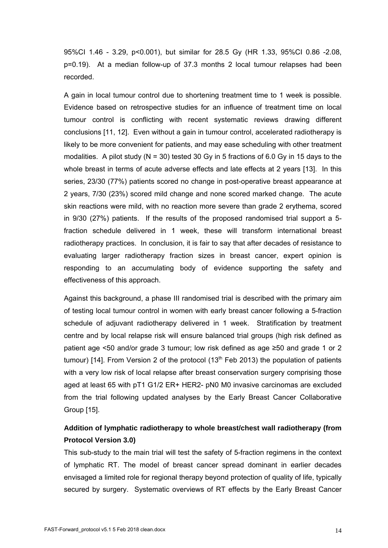95%CI 1.46 - 3.29, p<0.001), but similar for 28.5 Gy (HR 1.33, 95%CI 0.86 -2.08, p=0.19). At a median follow-up of 37.3 months 2 local tumour relapses had been recorded.

A gain in local tumour control due to shortening treatment time to 1 week is possible. Evidence based on retrospective studies for an influence of treatment time on local tumour control is conflicting with recent systematic reviews drawing different conclusions [11, 12]. Even without a gain in tumour control, accelerated radiotherapy is likely to be more convenient for patients, and may ease scheduling with other treatment modalities. A pilot study ( $N = 30$ ) tested 30 Gy in 5 fractions of 6.0 Gy in 15 days to the whole breast in terms of acute adverse effects and late effects at 2 years [13]. In this series, 23/30 (77%) patients scored no change in post-operative breast appearance at 2 years, 7/30 (23%) scored mild change and none scored marked change. The acute skin reactions were mild, with no reaction more severe than grade 2 erythema, scored in 9/30 (27%) patients. If the results of the proposed randomised trial support a 5 fraction schedule delivered in 1 week, these will transform international breast radiotherapy practices. In conclusion, it is fair to say that after decades of resistance to evaluating larger radiotherapy fraction sizes in breast cancer, expert opinion is responding to an accumulating body of evidence supporting the safety and effectiveness of this approach.

Against this background, a phase III randomised trial is described with the primary aim of testing local tumour control in women with early breast cancer following a 5-fraction schedule of adjuvant radiotherapy delivered in 1 week. Stratification by treatment centre and by local relapse risk will ensure balanced trial groups (high risk defined as patient age <50 and/or grade 3 tumour; low risk defined as age ≥50 and grade 1 or 2 tumour) [14]. From Version 2 of the protocol  $(13<sup>th</sup>$  Feb 2013) the population of patients with a very low risk of local relapse after breast conservation surgery comprising those aged at least 65 with pT1 G1/2 ER+ HER2- pN0 M0 invasive carcinomas are excluded from the trial following updated analyses by the Early Breast Cancer Collaborative Group [15].

# **Addition of lymphatic radiotherapy to whole breast/chest wall radiotherapy (from Protocol Version 3.0)**

This sub-study to the main trial will test the safety of 5-fraction regimens in the context of lymphatic RT. The model of breast cancer spread dominant in earlier decades envisaged a limited role for regional therapy beyond protection of quality of life, typically secured by surgery. Systematic overviews of RT effects by the Early Breast Cancer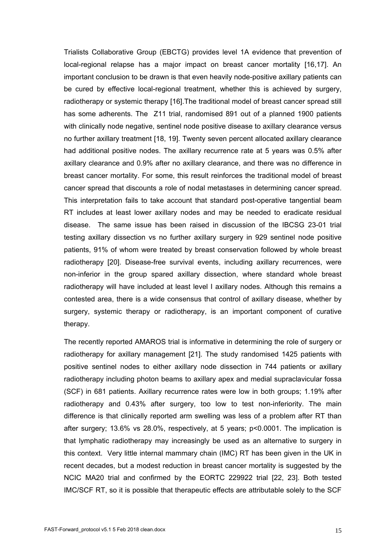Trialists Collaborative Group (EBCTG) provides level 1A evidence that prevention of local-regional relapse has a major impact on breast cancer mortality [16,17]. An important conclusion to be drawn is that even heavily node-positive axillary patients can be cured by effective local-regional treatment, whether this is achieved by surgery, radiotherapy or systemic therapy [16].The traditional model of breast cancer spread still has some adherents. The Z11 trial, randomised 891 out of a planned 1900 patients with clinically node negative, sentinel node positive disease to axillary clearance versus no further axillary treatment [18, 19]. Twenty seven percent allocated axillary clearance had additional positive nodes. The axillary recurrence rate at 5 years was 0.5% after axillary clearance and 0.9% after no axillary clearance, and there was no difference in breast cancer mortality. For some, this result reinforces the traditional model of breast cancer spread that discounts a role of nodal metastases in determining cancer spread. This interpretation fails to take account that standard post-operative tangential beam RT includes at least lower axillary nodes and may be needed to eradicate residual disease. The same issue has been raised in discussion of the IBCSG 23-01 trial testing axillary dissection vs no further axillary surgery in 929 sentinel node positive patients, 91% of whom were treated by breast conservation followed by whole breast radiotherapy [20]. Disease-free survival events, including axillary recurrences, were non-inferior in the group spared axillary dissection, where standard whole breast radiotherapy will have included at least level I axillary nodes. Although this remains a contested area, there is a wide consensus that control of axillary disease, whether by surgery, systemic therapy or radiotherapy, is an important component of curative therapy.

The recently reported AMAROS trial is informative in determining the role of surgery or radiotherapy for axillary management [21]. The study randomised 1425 patients with positive sentinel nodes to either axillary node dissection in 744 patients or axillary radiotherapy including photon beams to axillary apex and medial supraclavicular fossa (SCF) in 681 patients. Axillary recurrence rates were low in both groups; 1.19% after radiotherapy and 0.43% after surgery, too low to test non-inferiority. The main difference is that clinically reported arm swelling was less of a problem after RT than after surgery; 13.6% vs 28.0%, respectively, at 5 years; p<0.0001. The implication is that lymphatic radiotherapy may increasingly be used as an alternative to surgery in this context. Very little internal mammary chain (IMC) RT has been given in the UK in recent decades, but a modest reduction in breast cancer mortality is suggested by the NCIC MA20 trial and confirmed by the EORTC 229922 trial [22, 23]. Both tested IMC/SCF RT, so it is possible that therapeutic effects are attributable solely to the SCF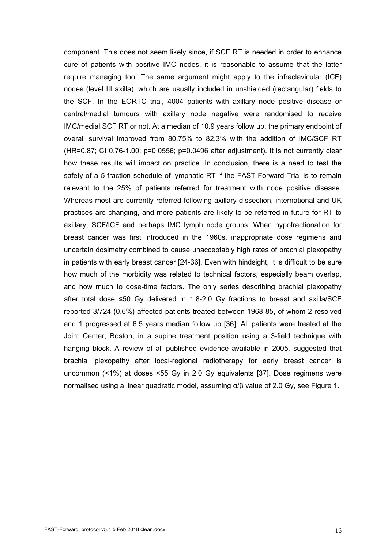component. This does not seem likely since, if SCF RT is needed in order to enhance cure of patients with positive IMC nodes, it is reasonable to assume that the latter require managing too. The same argument might apply to the infraclavicular (ICF) nodes (level III axilla), which are usually included in unshielded (rectangular) fields to the SCF. In the EORTC trial, 4004 patients with axillary node positive disease or central/medial tumours with axillary node negative were randomised to receive IMC/medial SCF RT or not. At a median of 10.9 years follow up, the primary endpoint of overall survival improved from 80.75% to 82.3% with the addition of IMC/SCF RT  $(HR=0.87; C1 0.76-1.00; p=0.0556; p=0.0496$  after adjustment). It is not currently clear how these results will impact on practice. In conclusion, there is a need to test the safety of a 5-fraction schedule of lymphatic RT if the FAST-Forward Trial is to remain relevant to the 25% of patients referred for treatment with node positive disease. Whereas most are currently referred following axillary dissection, international and UK practices are changing, and more patients are likely to be referred in future for RT to axillary, SCF/ICF and perhaps IMC lymph node groups. When hypofractionation for breast cancer was first introduced in the 1960s, inappropriate dose regimens and uncertain dosimetry combined to cause unacceptably high rates of brachial plexopathy in patients with early breast cancer [24-36]. Even with hindsight, it is difficult to be sure how much of the morbidity was related to technical factors, especially beam overlap, and how much to dose-time factors. The only series describing brachial plexopathy after total dose ≤50 Gy delivered in 1.8-2.0 Gy fractions to breast and axilla/SCF reported 3/724 (0.6%) affected patients treated between 1968-85, of whom 2 resolved and 1 progressed at 6.5 years median follow up [36]. All patients were treated at the Joint Center, Boston, in a supine treatment position using a 3-field technique with hanging block. A review of all published evidence available in 2005, suggested that brachial plexopathy after local-regional radiotherapy for early breast cancer is uncommon (<1%) at doses <55 Gy in 2.0 Gy equivalents [37]. Dose regimens were normalised using a linear quadratic model, assuming α/β value of 2.0 Gy, see Figure 1.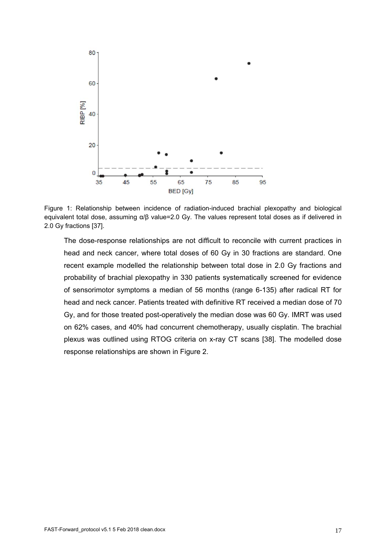

Figure 1: Relationship between incidence of radiation-induced brachial plexopathy and biological equivalent total dose, assuming α/β value=2.0 Gy. The values represent total doses as if delivered in 2.0 Gy fractions [37].

The dose-response relationships are not difficult to reconcile with current practices in head and neck cancer, where total doses of 60 Gy in 30 fractions are standard. One recent example modelled the relationship between total dose in 2.0 Gy fractions and probability of brachial plexopathy in 330 patients systematically screened for evidence of sensorimotor symptoms a median of 56 months (range 6-135) after radical RT for head and neck cancer. Patients treated with definitive RT received a median dose of 70 Gy, and for those treated post-operatively the median dose was 60 Gy. IMRT was used on 62% cases, and 40% had concurrent chemotherapy, usually cisplatin. The brachial plexus was outlined using RTOG criteria on x-ray CT scans [38]. The modelled dose response relationships are shown in Figure 2.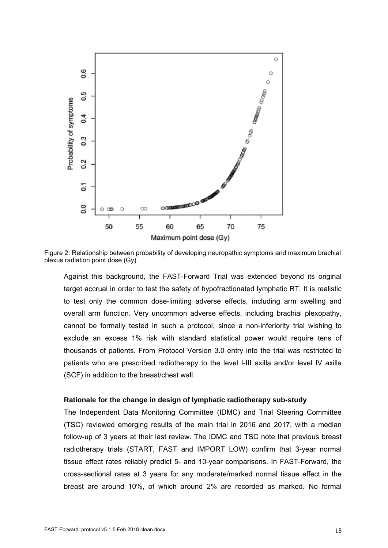

Figure 2: Relationship between probability of developing neuropathic symptoms and maximum brachial plexus radiation point dose (Gy)

Against this background, the FAST-Forward Trial was extended beyond its original target accrual in order to test the safety of hypofractionated lymphatic RT. It is realistic to test only the common dose-limiting adverse effects, including arm swelling and overall arm function. Very uncommon adverse effects, including brachial plexopathy, cannot be formally tested in such a protocol, since a non-inferiority trial wishing to exclude an excess 1% risk with standard statistical power would require tens of thousands of patients. From Protocol Version 3.0 entry into the trial was restricted to patients who are prescribed radiotherapy to the level I-III axilla and/or level IV axilla (SCF) in addition to the breast/chest wall.

#### **Rationale for the change in design of lymphatic radiotherapy sub-study**

The Independent Data Monitoring Committee (IDMC) and Trial Steering Committee (TSC) reviewed emerging results of the main trial in 2016 and 2017, with a median follow-up of 3 years at their last review. The IDMC and TSC note that previous breast radiotherapy trials (START, FAST and IMPORT LOW) confirm that 3-year normal tissue effect rates reliably predict 5- and 10-year comparisons. In FAST-Forward, the cross-sectional rates at 3 years for any moderate/marked normal tissue effect in the breast are around 10%, of which around 2% are recorded as marked. No formal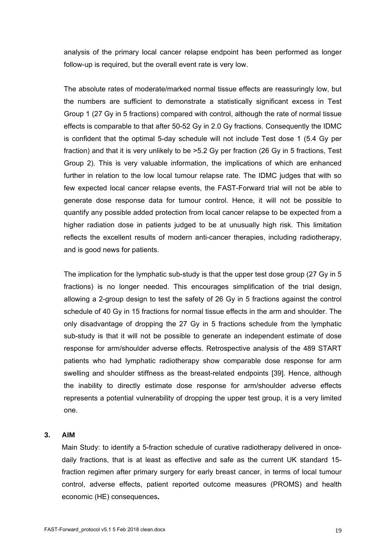analysis of the primary local cancer relapse endpoint has been performed as longer follow-up is required, but the overall event rate is very low.

The absolute rates of moderate/marked normal tissue effects are reassuringly low, but the numbers are sufficient to demonstrate a statistically significant excess in Test Group 1 (27 Gy in 5 fractions) compared with control, although the rate of normal tissue effects is comparable to that after 50-52 Gy in 2.0 Gy fractions. Consequently the IDMC is confident that the optimal 5-day schedule will not include Test dose 1 (5.4 Gy per fraction) and that it is very unlikely to be >5.2 Gy per fraction (26 Gy in 5 fractions, Test Group 2). This is very valuable information, the implications of which are enhanced further in relation to the low local tumour relapse rate. The IDMC judges that with so few expected local cancer relapse events, the FAST-Forward trial will not be able to generate dose response data for tumour control. Hence, it will not be possible to quantify any possible added protection from local cancer relapse to be expected from a higher radiation dose in patients judged to be at unusually high risk. This limitation reflects the excellent results of modern anti-cancer therapies, including radiotherapy, and is good news for patients.

The implication for the lymphatic sub-study is that the upper test dose group (27 Gy in 5 fractions) is no longer needed. This encourages simplification of the trial design, allowing a 2-group design to test the safety of 26 Gy in 5 fractions against the control schedule of 40 Gy in 15 fractions for normal tissue effects in the arm and shoulder. The only disadvantage of dropping the 27 Gy in 5 fractions schedule from the lymphatic sub-study is that it will not be possible to generate an independent estimate of dose response for arm/shoulder adverse effects. Retrospective analysis of the 489 START patients who had lymphatic radiotherapy show comparable dose response for arm swelling and shoulder stiffness as the breast-related endpoints [39]. Hence, although the inability to directly estimate dose response for arm/shoulder adverse effects represents a potential vulnerability of dropping the upper test group, it is a very limited one.

# **3. AIM**

Main Study: to identify a 5-fraction schedule of curative radiotherapy delivered in oncedaily fractions, that is at least as effective and safe as the current UK standard 15 fraction regimen after primary surgery for early breast cancer, in terms of local tumour control, adverse effects, patient reported outcome measures (PROMS) and health economic (HE) consequences**.**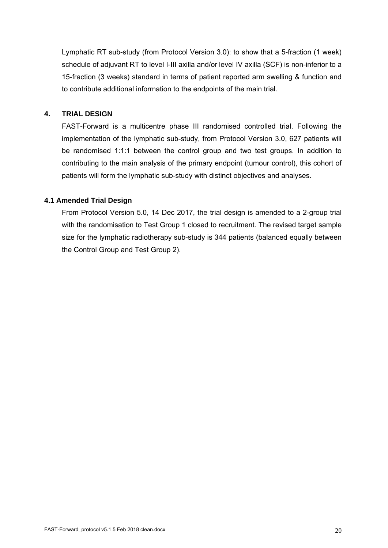Lymphatic RT sub-study (from Protocol Version 3.0): to show that a 5-fraction (1 week) schedule of adjuvant RT to level I-III axilla and/or level IV axilla (SCF) is non-inferior to a 15-fraction (3 weeks) standard in terms of patient reported arm swelling & function and to contribute additional information to the endpoints of the main trial.

### **4. TRIAL DESIGN**

FAST-Forward is a multicentre phase III randomised controlled trial. Following the implementation of the lymphatic sub-study, from Protocol Version 3.0, 627 patients will be randomised 1:1:1 between the control group and two test groups. In addition to contributing to the main analysis of the primary endpoint (tumour control), this cohort of patients will form the lymphatic sub-study with distinct objectives and analyses.

#### **4.1 Amended Trial Design**

From Protocol Version 5.0, 14 Dec 2017, the trial design is amended to a 2-group trial with the randomisation to Test Group 1 closed to recruitment. The revised target sample size for the lymphatic radiotherapy sub-study is 344 patients (balanced equally between the Control Group and Test Group 2).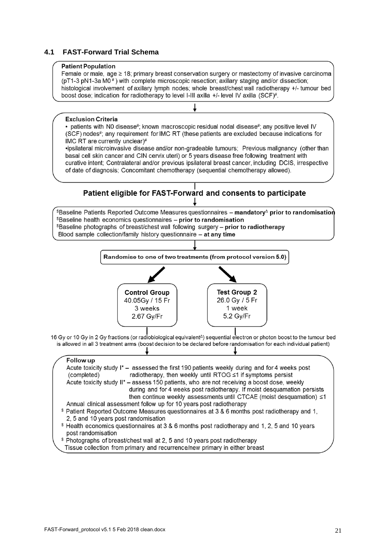# **4.1 FAST-Forward Trial Schema**

#### **Patient Population**

Female or male, age ≥ 18; primary breast conservation surgery or mastectomy of invasive carcinoma (pT1-3 pN1-3a M0<sup>#</sup>) with complete microscopic resection; axillary staging and/or dissection; histological involvement of axillary lymph nodes: whole breast/chest wall radiotherapy +/- tumour bed boost dose; indication for radiotherapy to level I-III axilla +/- level IV axilla (SCF)#.

#### **Exclusion Criteria**

• patients with N0 disease#; known macroscopic residual nodal disease#; any positive level IV (SCF) nodes#; any requirement for IMC RT (these patients are excluded because indications for IMC RT are currently unclear)#

.jpsilateral microinvasive disease and/or non-gradeable tumours: Previous malignancy (other than basal cell skin cancer and CIN cervix uteri) or 5 years disease free following treatment with curative intent: Contralateral and/or previous ipsilateral breast cancer, including DCIS, irrespective of date of diagnosis: Concomitant chemotherapy (sequential chemotherapy allowed).

# Patient eligible for FAST-Forward and consents to participate

 ${}^{\$}$ Baseline Patients Reported Outcome Measures questionnaires – mandatory $^{\Delta}$  prior to randomisation \$Baseline health economics questionnaires - prior to randomisation Spaseline photographs of breast/chest wall following surgery – prior to radiotherapy Blood sample collection/family history questionnaire - at any time

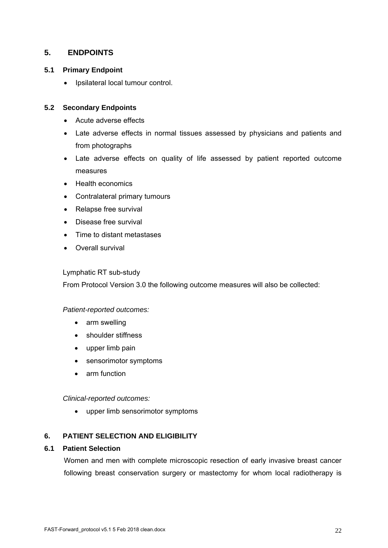# **5. ENDPOINTS**

# **5.1 Primary Endpoint**

• Ipsilateral local tumour control.

# **5.2 Secondary Endpoints**

- Acute adverse effects
- Late adverse effects in normal tissues assessed by physicians and patients and from photographs
- Late adverse effects on quality of life assessed by patient reported outcome measures
- Health economics
- Contralateral primary tumours
- Relapse free survival
- Disease free survival
- Time to distant metastases
- Overall survival

# Lymphatic RT sub-study

From Protocol Version 3.0 the following outcome measures will also be collected:

# *Patient-reported outcomes:*

- arm swelling
- shoulder stiffness
- upper limb pain
- sensorimotor symptoms
- arm function

*Clinical-reported outcomes:* 

upper limb sensorimotor symptoms

# **6. PATIENT SELECTION AND ELIGIBILITY**

# **6.1 Patient Selection**

Women and men with complete microscopic resection of early invasive breast cancer following breast conservation surgery or mastectomy for whom local radiotherapy is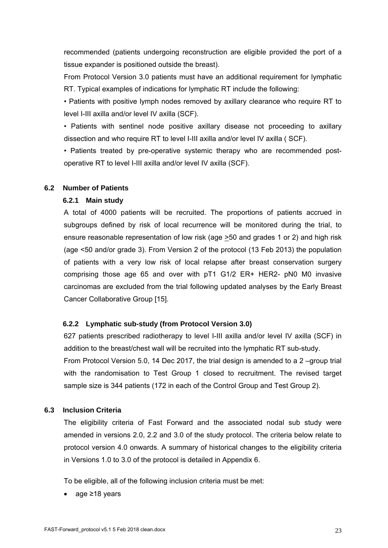recommended (patients undergoing reconstruction are eligible provided the port of a tissue expander is positioned outside the breast).

From Protocol Version 3.0 patients must have an additional requirement for lymphatic RT. Typical examples of indications for lymphatic RT include the following:

• Patients with positive lymph nodes removed by axillary clearance who require RT to level I-III axilla and/or level IV axilla (SCF).

• Patients with sentinel node positive axillary disease not proceeding to axillary dissection and who require RT to level I-III axilla and/or level IV axilla ( SCF).

• Patients treated by pre-operative systemic therapy who are recommended postoperative RT to level I-III axilla and/or level IV axilla (SCF).

# **6.2 Number of Patients**

# **6.2.1 Main study**

A total of 4000 patients will be recruited. The proportions of patients accrued in subgroups defined by risk of local recurrence will be monitored during the trial, to ensure reasonable representation of low risk (age  $\geq$ 50 and grades 1 or 2) and high risk (age <50 and/or grade 3). From Version 2 of the protocol (13 Feb 2013) the population of patients with a very low risk of local relapse after breast conservation surgery comprising those age 65 and over with pT1 G1/2 ER+ HER2- pN0 M0 invasive carcinomas are excluded from the trial following updated analyses by the Early Breast Cancer Collaborative Group [15].

# **6.2.2 Lymphatic sub-study (from Protocol Version 3.0)**

627 patients prescribed radiotherapy to level I-III axilla and/or level IV axilla (SCF) in addition to the breast/chest wall will be recruited into the lymphatic RT sub-study. From Protocol Version 5.0, 14 Dec 2017, the trial design is amended to a 2 –group trial with the randomisation to Test Group 1 closed to recruitment. The revised target sample size is 344 patients (172 in each of the Control Group and Test Group 2).

# **6.3 Inclusion Criteria**

The eligibility criteria of Fast Forward and the associated nodal sub study were amended in versions 2.0, 2.2 and 3.0 of the study protocol. The criteria below relate to protocol version 4.0 onwards. A summary of historical changes to the eligibility criteria in Versions 1.0 to 3.0 of the protocol is detailed in Appendix 6.

To be eligible, all of the following inclusion criteria must be met:

age ≥18 years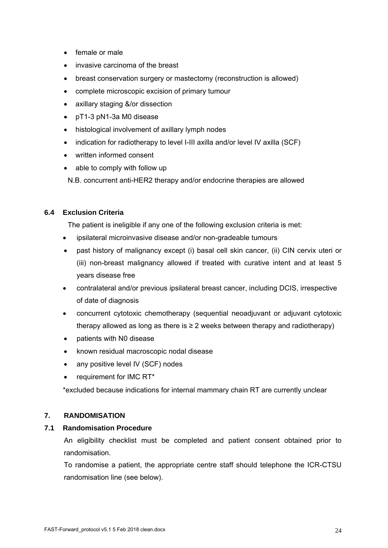- female or male
- invasive carcinoma of the breast
- breast conservation surgery or mastectomy (reconstruction is allowed)
- complete microscopic excision of primary tumour
- axillary staging &/or dissection
- pT1-3 pN1-3a M0 disease
- histological involvement of axillary lymph nodes
- indication for radiotherapy to level I-III axilla and/or level IV axilla (SCF)
- written informed consent
- able to comply with follow up

N.B. concurrent anti-HER2 therapy and/or endocrine therapies are allowed

# **6.4 Exclusion Criteria**

The patient is ineligible if any one of the following exclusion criteria is met:

- ipsilateral microinvasive disease and/or non-gradeable tumours
- past history of malignancy except (i) basal cell skin cancer, (ii) CIN cervix uteri or (iii) non-breast malignancy allowed if treated with curative intent and at least 5 years disease free
- contralateral and/or previous ipsilateral breast cancer, including DCIS, irrespective of date of diagnosis
- concurrent cytotoxic chemotherapy (sequential neoadjuvant or adjuvant cytotoxic therapy allowed as long as there is  $\geq 2$  weeks between therapy and radiotherapy)
- patients with N0 disease
- known residual macroscopic nodal disease
- any positive level IV (SCF) nodes
- requirement for IMC RT\*

\*excluded because indications for internal mammary chain RT are currently unclear

# **7. RANDOMISATION**

# **7.1 Randomisation Procedure**

An eligibility checklist must be completed and patient consent obtained prior to randomisation.

To randomise a patient, the appropriate centre staff should telephone the ICR-CTSU randomisation line (see below).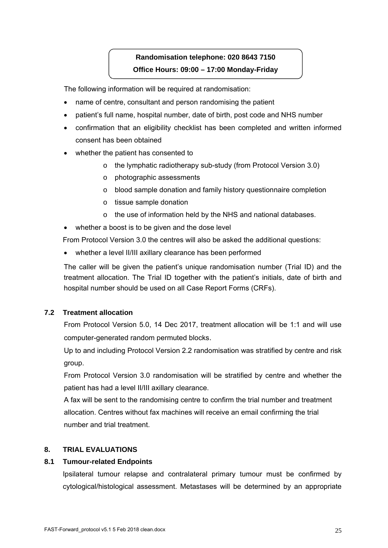# **Randomisation telephone: 020 8643 7150 Office Hours: 09:00 – 17:00 Monday-Friday**

The following information will be required at randomisation:

- name of centre, consultant and person randomising the patient
- patient's full name, hospital number, date of birth, post code and NHS number
- confirmation that an eligibility checklist has been completed and written informed consent has been obtained
- whether the patient has consented to
	- o the lymphatic radiotherapy sub-study (from Protocol Version 3.0)
	- o photographic assessments
	- o blood sample donation and family history questionnaire completion
	- o tissue sample donation
	- o the use of information held by the NHS and national databases.
- whether a boost is to be given and the dose level

From Protocol Version 3.0 the centres will also be asked the additional questions:

whether a level II/III axillary clearance has been performed

The caller will be given the patient's unique randomisation number (Trial ID) and the treatment allocation. The Trial ID together with the patient's initials, date of birth and hospital number should be used on all Case Report Forms (CRFs).

# **7.2 Treatment allocation**

From Protocol Version 5.0, 14 Dec 2017, treatment allocation will be 1:1 and will use computer-generated random permuted blocks.

Up to and including Protocol Version 2.2 randomisation was stratified by centre and risk group.

From Protocol Version 3.0 randomisation will be stratified by centre and whether the patient has had a level II/III axillary clearance.

A fax will be sent to the randomising centre to confirm the trial number and treatment allocation. Centres without fax machines will receive an email confirming the trial number and trial treatment.

# **8. TRIAL EVALUATIONS**

# **8.1 Tumour-related Endpoints**

Ipsilateral tumour relapse and contralateral primary tumour must be confirmed by cytological/histological assessment. Metastases will be determined by an appropriate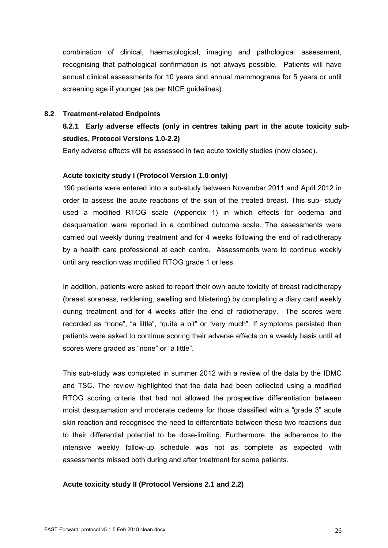combination of clinical, haematological, imaging and pathological assessment, recognising that pathological confirmation is not always possible. Patients will have annual clinical assessments for 10 years and annual mammograms for 5 years or until screening age if younger (as per NICE guidelines).

#### **8.2 Treatment-related Endpoints**

# **8.2.1 Early adverse effects (only in centres taking part in the acute toxicity substudies, Protocol Versions 1.0-2.2)**

Early adverse effects will be assessed in two acute toxicity studies (now closed).

#### **Acute toxicity study I (Protocol Version 1.0 only)**

190 patients were entered into a sub-study between November 2011 and April 2012 in order to assess the acute reactions of the skin of the treated breast. This sub- study used a modified RTOG scale (Appendix 1) in which effects for oedema and desquamation were reported in a combined outcome scale. The assessments were carried out weekly during treatment and for 4 weeks following the end of radiotherapy by a health care professional at each centre. Assessments were to continue weekly until any reaction was modified RTOG grade 1 or less.

In addition, patients were asked to report their own acute toxicity of breast radiotherapy (breast soreness, reddening, swelling and blistering) by completing a diary card weekly during treatment and for 4 weeks after the end of radiotherapy. The scores were recorded as "none", "a little", "quite a bit" or "very much". If symptoms persisted then patients were asked to continue scoring their adverse effects on a weekly basis until all scores were graded as "none" or "a little".

This sub-study was completed in summer 2012 with a review of the data by the IDMC and TSC. The review highlighted that the data had been collected using a modified RTOG scoring criteria that had not allowed the prospective differentiation between moist desquamation and moderate oedema for those classified with a "grade 3" acute skin reaction and recognised the need to differentiate between these two reactions due to their differential potential to be dose-limiting. Furthermore, the adherence to the intensive weekly follow-up schedule was not as complete as expected with assessments missed both during and after treatment for some patients.

#### **Acute toxicity study II (Protocol Versions 2.1 and 2.2)**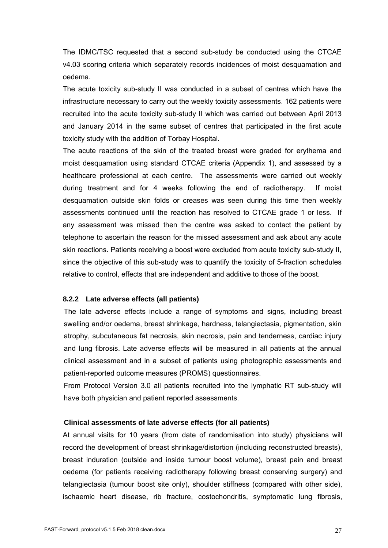The IDMC/TSC requested that a second sub-study be conducted using the CTCAE v4.03 scoring criteria which separately records incidences of moist desquamation and oedema.

The acute toxicity sub-study II was conducted in a subset of centres which have the infrastructure necessary to carry out the weekly toxicity assessments. 162 patients were recruited into the acute toxicity sub-study II which was carried out between April 2013 and January 2014 in the same subset of centres that participated in the first acute toxicity study with the addition of Torbay Hospital.

The acute reactions of the skin of the treated breast were graded for erythema and moist desquamation using standard CTCAE criteria (Appendix 1), and assessed by a healthcare professional at each centre. The assessments were carried out weekly during treatment and for 4 weeks following the end of radiotherapy. If moist desquamation outside skin folds or creases was seen during this time then weekly assessments continued until the reaction has resolved to CTCAE grade 1 or less. If any assessment was missed then the centre was asked to contact the patient by telephone to ascertain the reason for the missed assessment and ask about any acute skin reactions. Patients receiving a boost were excluded from acute toxicity sub-study II, since the objective of this sub-study was to quantify the toxicity of 5-fraction schedules relative to control, effects that are independent and additive to those of the boost.

#### **8.2.2 Late adverse effects (all patients)**

The late adverse effects include a range of symptoms and signs, including breast swelling and/or oedema, breast shrinkage, hardness, telangiectasia, pigmentation, skin atrophy, subcutaneous fat necrosis, skin necrosis, pain and tenderness, cardiac injury and lung fibrosis. Late adverse effects will be measured in all patients at the annual clinical assessment and in a subset of patients using photographic assessments and patient-reported outcome measures (PROMS) questionnaires.

From Protocol Version 3.0 all patients recruited into the lymphatic RT sub-study will have both physician and patient reported assessments.

#### **Clinical assessments of late adverse effects (for all patients)**

At annual visits for 10 years (from date of randomisation into study) physicians will record the development of breast shrinkage/distortion (including reconstructed breasts), breast induration (outside and inside tumour boost volume), breast pain and breast oedema (for patients receiving radiotherapy following breast conserving surgery) and telangiectasia (tumour boost site only), shoulder stiffness (compared with other side), ischaemic heart disease, rib fracture, costochondritis, symptomatic lung fibrosis,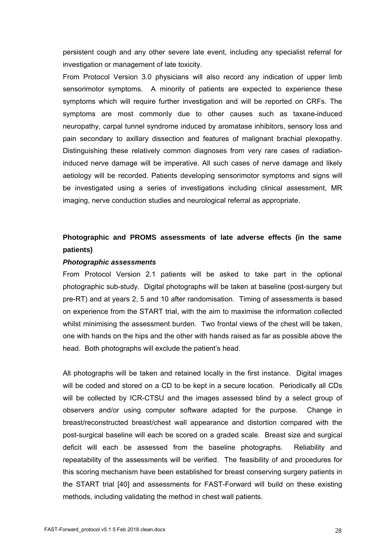persistent cough and any other severe late event, including any specialist referral for investigation or management of late toxicity.

From Protocol Version 3.0 physicians will also record any indication of upper limb sensorimotor symptoms. A minority of patients are expected to experience these symptoms which will require further investigation and will be reported on CRFs. The symptoms are most commonly due to other causes such as taxane-induced neuropathy, carpal tunnel syndrome induced by aromatase inhibitors, sensory loss and pain secondary to axillary dissection and features of malignant brachial plexopathy. Distinguishing these relatively common diagnoses from very rare cases of radiationinduced nerve damage will be imperative. All such cases of nerve damage and likely aetiology will be recorded. Patients developing sensorimotor symptoms and signs will be investigated using a series of investigations including clinical assessment, MR imaging, nerve conduction studies and neurological referral as appropriate.

# **Photographic and PROMS assessments of late adverse effects (in the same patients)**

#### *Photographic assessments*

From Protocol Version 2.1 patients will be asked to take part in the optional photographic sub-study. Digital photographs will be taken at baseline (post-surgery but pre-RT) and at years 2, 5 and 10 after randomisation. Timing of assessments is based on experience from the START trial, with the aim to maximise the information collected whilst minimising the assessment burden. Two frontal views of the chest will be taken, one with hands on the hips and the other with hands raised as far as possible above the head. Both photographs will exclude the patient's head.

All photographs will be taken and retained locally in the first instance. Digital images will be coded and stored on a CD to be kept in a secure location. Periodically all CDs will be collected by ICR-CTSU and the images assessed blind by a select group of observers and/or using computer software adapted for the purpose. Change in breast/reconstructed breast/chest wall appearance and distortion compared with the post-surgical baseline will each be scored on a graded scale. Breast size and surgical deficit will each be assessed from the baseline photographs. Reliability and repeatability of the assessments will be verified. The feasibility of and procedures for this scoring mechanism have been established for breast conserving surgery patients in the START trial [40] and assessments for FAST-Forward will build on these existing methods, including validating the method in chest wall patients.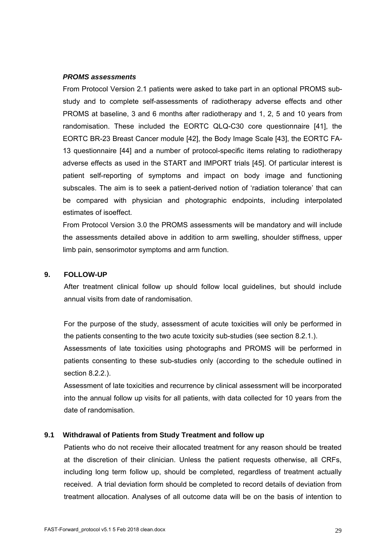#### *PROMS assessments*

From Protocol Version 2.1 patients were asked to take part in an optional PROMS substudy and to complete self-assessments of radiotherapy adverse effects and other PROMS at baseline, 3 and 6 months after radiotherapy and 1, 2, 5 and 10 years from randomisation. These included the EORTC QLQ-C30 core questionnaire [41], the EORTC BR-23 Breast Cancer module [42], the Body Image Scale [43], the EORTC FA-13 questionnaire [44] and a number of protocol-specific items relating to radiotherapy adverse effects as used in the START and IMPORT trials [45]. Of particular interest is patient self-reporting of symptoms and impact on body image and functioning subscales. The aim is to seek a patient-derived notion of 'radiation tolerance' that can be compared with physician and photographic endpoints, including interpolated estimates of isoeffect.

From Protocol Version 3.0 the PROMS assessments will be mandatory and will include the assessments detailed above in addition to arm swelling, shoulder stiffness, upper limb pain, sensorimotor symptoms and arm function.

### **9. FOLLOW-UP**

After treatment clinical follow up should follow local guidelines, but should include annual visits from date of randomisation.

For the purpose of the study, assessment of acute toxicities will only be performed in the patients consenting to the two acute toxicity sub-studies (see section 8.2.1.).

Assessments of late toxicities using photographs and PROMS will be performed in patients consenting to these sub-studies only (according to the schedule outlined in section 8.2.2.).

Assessment of late toxicities and recurrence by clinical assessment will be incorporated into the annual follow up visits for all patients, with data collected for 10 years from the date of randomisation.

# **9.1 Withdrawal of Patients from Study Treatment and follow up**

Patients who do not receive their allocated treatment for any reason should be treated at the discretion of their clinician. Unless the patient requests otherwise, all CRFs, including long term follow up, should be completed, regardless of treatment actually received. A trial deviation form should be completed to record details of deviation from treatment allocation. Analyses of all outcome data will be on the basis of intention to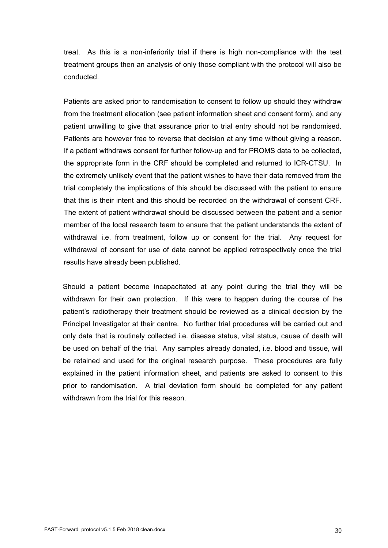treat. As this is a non-inferiority trial if there is high non-compliance with the test treatment groups then an analysis of only those compliant with the protocol will also be conducted.

Patients are asked prior to randomisation to consent to follow up should they withdraw from the treatment allocation (see patient information sheet and consent form), and any patient unwilling to give that assurance prior to trial entry should not be randomised. Patients are however free to reverse that decision at any time without giving a reason. If a patient withdraws consent for further follow-up and for PROMS data to be collected, the appropriate form in the CRF should be completed and returned to ICR-CTSU. In the extremely unlikely event that the patient wishes to have their data removed from the trial completely the implications of this should be discussed with the patient to ensure that this is their intent and this should be recorded on the withdrawal of consent CRF. The extent of patient withdrawal should be discussed between the patient and a senior member of the local research team to ensure that the patient understands the extent of withdrawal i.e. from treatment, follow up or consent for the trial. Any request for withdrawal of consent for use of data cannot be applied retrospectively once the trial results have already been published.

Should a patient become incapacitated at any point during the trial they will be withdrawn for their own protection. If this were to happen during the course of the patient's radiotherapy their treatment should be reviewed as a clinical decision by the Principal Investigator at their centre. No further trial procedures will be carried out and only data that is routinely collected i.e. disease status, vital status, cause of death will be used on behalf of the trial. Any samples already donated, i.e. blood and tissue, will be retained and used for the original research purpose. These procedures are fully explained in the patient information sheet, and patients are asked to consent to this prior to randomisation. A trial deviation form should be completed for any patient withdrawn from the trial for this reason.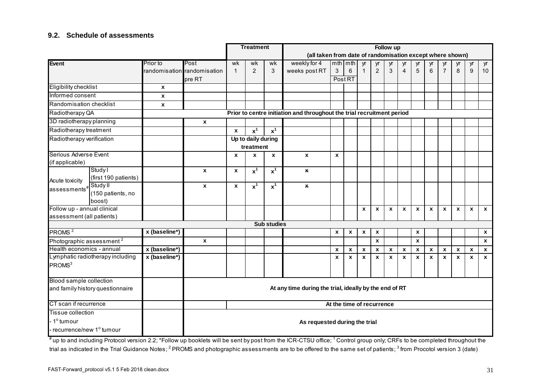# **9.2. Schedule of assessments**

|                                      |                                                    |                    |                                                                        |              | <b>Treatment</b>   |                    | Follow up                                                 |                           |                  |                  |                  |                           |                  |                           |                           |                           |                    |              |                    |
|--------------------------------------|----------------------------------------------------|--------------------|------------------------------------------------------------------------|--------------|--------------------|--------------------|-----------------------------------------------------------|---------------------------|------------------|------------------|------------------|---------------------------|------------------|---------------------------|---------------------------|---------------------------|--------------------|--------------|--------------------|
|                                      |                                                    |                    |                                                                        |              |                    |                    | (all taken from date of randomisation except where shown) |                           |                  |                  |                  |                           |                  |                           |                           |                           |                    |              |                    |
| <b>Event</b>                         |                                                    | Prior to           | Post                                                                   | wk           | wk                 | wk                 | weekly for 4                                              |                           | $mth$   $mth$    | yr               | yr               | yr                        | yr               | yr                        | yr                        | yr                        | yr                 | yr           | yr                 |
|                                      |                                                    |                    | randomisation randomisation                                            | $\mathbf{1}$ | 2                  | 3                  | weeks post RT                                             | 3                         | 6                | $\mathbf{1}$     | $\overline{2}$   | 3                         | 4                | 5                         | 6                         | $\overline{7}$            | 8                  | 9            | 10                 |
|                                      |                                                    |                    | pre RT                                                                 |              |                    |                    |                                                           |                           | Post RT          |                  |                  |                           |                  |                           |                           |                           |                    |              |                    |
| Eligibility checklist                |                                                    | $\pmb{\mathsf{x}}$ |                                                                        |              |                    |                    |                                                           |                           |                  |                  |                  |                           |                  |                           |                           |                           |                    |              |                    |
| Informed consent                     |                                                    | X                  |                                                                        |              |                    |                    |                                                           |                           |                  |                  |                  |                           |                  |                           |                           |                           |                    |              |                    |
| Randomisation checklist              |                                                    | $\pmb{\mathsf{x}}$ |                                                                        |              |                    |                    |                                                           |                           |                  |                  |                  |                           |                  |                           |                           |                           |                    |              |                    |
| Radiotherapy QA                      |                                                    |                    | Prior to centre initiation and throughout the trial recruitment period |              |                    |                    |                                                           |                           |                  |                  |                  |                           |                  |                           |                           |                           |                    |              |                    |
| 3D radiotherapy planning             |                                                    |                    | $\pmb{\mathsf{x}}$                                                     |              |                    |                    |                                                           |                           |                  |                  |                  |                           |                  |                           |                           |                           |                    |              |                    |
| Radiotherapy treatment               |                                                    |                    |                                                                        | $\mathbf{x}$ | $\overline{x}^1$   | $x^1$              |                                                           |                           |                  |                  |                  |                           |                  |                           |                           |                           |                    |              |                    |
| Radiotherapy verification            |                                                    |                    |                                                                        |              | Up to daily during |                    |                                                           |                           |                  |                  |                  |                           |                  |                           |                           |                           |                    |              |                    |
|                                      |                                                    |                    |                                                                        |              | treatment          |                    |                                                           |                           |                  |                  |                  |                           |                  |                           |                           |                           |                    |              |                    |
| Serious Adverse Event                |                                                    |                    |                                                                        | X            | X                  | X                  | X                                                         | $\pmb{\chi}$              |                  |                  |                  |                           |                  |                           |                           |                           |                    |              |                    |
| (if applicable)                      |                                                    |                    |                                                                        |              |                    |                    |                                                           |                           |                  |                  |                  |                           |                  |                           |                           |                           |                    |              |                    |
|                                      | Study I                                            |                    | $\pmb{\mathsf{x}}$                                                     | $\mathbf x$  | $x^1$              | $x^1$              | x                                                         |                           |                  |                  |                  |                           |                  |                           |                           |                           |                    |              |                    |
| Acute toxicity                       | (first 190 patients)                               |                    |                                                                        |              |                    |                    |                                                           |                           |                  |                  |                  |                           |                  |                           |                           |                           |                    |              |                    |
| assessments#StudyII                  |                                                    |                    | $\mathbf{x}$                                                           | $\pmb{\chi}$ | $x^1$              | $x^1$              | $\mathbf{x}$                                              |                           |                  |                  |                  |                           |                  |                           |                           |                           |                    |              |                    |
|                                      | (150 patients, no<br>boost)                        |                    |                                                                        |              |                    |                    |                                                           |                           |                  |                  |                  |                           |                  |                           |                           |                           |                    |              |                    |
| Follow up - annual clinical          |                                                    |                    |                                                                        |              |                    |                    |                                                           |                           |                  | $\boldsymbol{x}$ | $\boldsymbol{x}$ | $\boldsymbol{x}$          | X                | $\mathbf{x}$              | $\boldsymbol{\mathsf{x}}$ | $\mathbf{x}$              | $\mathbf{x}$       | $\mathbf{x}$ | $\mathbf{x}$       |
| assessment (all patients)            |                                                    |                    |                                                                        |              |                    |                    |                                                           |                           |                  |                  |                  |                           |                  |                           |                           |                           |                    |              |                    |
|                                      |                                                    |                    |                                                                        |              |                    | <b>Sub studies</b> |                                                           |                           |                  |                  |                  |                           |                  |                           |                           |                           |                    |              |                    |
| PROMS <sup>2</sup>                   |                                                    | x (baseline*)      |                                                                        |              |                    |                    |                                                           | $\boldsymbol{x}$          | $\boldsymbol{x}$ | $\pmb{\chi}$     | $\boldsymbol{x}$ |                           |                  | $\pmb{\mathsf{x}}$        |                           |                           |                    |              | $\pmb{\chi}$       |
| Photographic assessment <sup>2</sup> |                                                    |                    | X                                                                      |              |                    |                    |                                                           |                           |                  |                  | $\mathbf{x}$     |                           |                  | $\mathbf{x}$              |                           |                           |                    |              | $\pmb{\mathsf{x}}$ |
| Health economics - annual            |                                                    | x (baseline*)      |                                                                        |              |                    |                    |                                                           | $\boldsymbol{x}$          | $\pmb{\chi}$     | $\boldsymbol{x}$ | $\boldsymbol{x}$ | $\boldsymbol{\mathsf{x}}$ | $\boldsymbol{x}$ | $\boldsymbol{\mathsf{x}}$ | $\pmb{\chi}$              | $\boldsymbol{\mathsf{x}}$ | $\pmb{\mathsf{x}}$ | $\mathbf{x}$ | $\pmb{\mathsf{x}}$ |
|                                      | Lymphatic radiotherapy including                   | x (baseline*)      |                                                                        |              |                    |                    |                                                           | $\boldsymbol{\mathsf{x}}$ | $\boldsymbol{x}$ | $\boldsymbol{x}$ | $\boldsymbol{x}$ | $\boldsymbol{\mathsf{x}}$ | $\mathbf{x}$     | $\mathbf{x}$              | $\boldsymbol{x}$          | $\boldsymbol{\mathsf{x}}$ | $\mathbf{x}$       | $\mathbf{x}$ | $\mathbf{x}$       |
| PROMS <sup>3</sup>                   |                                                    |                    |                                                                        |              |                    |                    |                                                           |                           |                  |                  |                  |                           |                  |                           |                           |                           |                    |              |                    |
|                                      |                                                    |                    |                                                                        |              |                    |                    |                                                           |                           |                  |                  |                  |                           |                  |                           |                           |                           |                    |              |                    |
| Blood sample collection              |                                                    |                    |                                                                        |              |                    |                    |                                                           |                           |                  |                  |                  |                           |                  |                           |                           |                           |                    |              |                    |
| and family history questionnaire     |                                                    |                    | At any time during the trial, ideally by the end of RT                 |              |                    |                    |                                                           |                           |                  |                  |                  |                           |                  |                           |                           |                           |                    |              |                    |
|                                      |                                                    |                    |                                                                        |              |                    |                    |                                                           |                           |                  |                  |                  |                           |                  |                           |                           |                           |                    |              |                    |
|                                      | CT scan if recurrence<br>At the time of recurrence |                    |                                                                        |              |                    |                    |                                                           |                           |                  |                  |                  |                           |                  |                           |                           |                           |                    |              |                    |
|                                      | Tissue collection                                  |                    |                                                                        |              |                    |                    |                                                           |                           |                  |                  |                  |                           |                  |                           |                           |                           |                    |              |                    |
| 1 <sup>°</sup> tumour                |                                                    |                    | As requested during the trial                                          |              |                    |                    |                                                           |                           |                  |                  |                  |                           |                  |                           |                           |                           |                    |              |                    |
| recurrence/new 1° tumour             |                                                    |                    |                                                                        |              |                    |                    |                                                           |                           |                  |                  |                  |                           |                  |                           |                           |                           |                    |              |                    |

# up to and including Protocol version 2.2; \*Follow up booklets will be sent by post from the ICR-CTSU office; <sup>1</sup> Control group only; CRFs to be completed throughout the trial as indicated in the Trial Guidance Notes; <sup>2</sup> PROMS and photographic assessments are to be offered to the same set of patients; <sup>3</sup> from Procotol version 3 (date)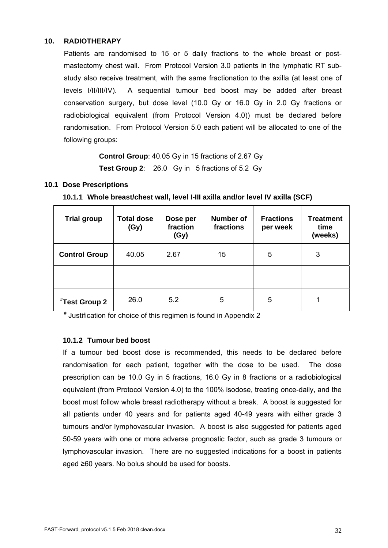# **10. RADIOTHERAPY**

Patients are randomised to 15 or 5 daily fractions to the whole breast or postmastectomy chest wall. From Protocol Version 3.0 patients in the lymphatic RT substudy also receive treatment, with the same fractionation to the axilla (at least one of levels I/II/III/IV). A sequential tumour bed boost may be added after breast conservation surgery, but dose level (10.0 Gy or 16.0 Gy in 2.0 Gy fractions or radiobiological equivalent (from Protocol Version 4.0)) must be declared before randomisation. From Protocol Version 5.0 each patient will be allocated to one of the following groups:

> **Control Group**: 40.05 Gy in 15 fractions of 2.67 Gy **Test Group 2**: 26.0 Gy in 5 fractions of 5.2 Gy

# **10.1 Dose Prescriptions**

# **10.1.1 Whole breast/chest wall, level I-III axilla and/or level IV axilla (SCF)**

| <b>Trial group</b>        | <b>Total dose</b><br>(Gy) | Dose per<br>fraction<br>(Gy) | <b>Number of</b><br>fractions | <b>Fractions</b><br>per week | <b>Treatment</b><br>time<br>(weeks) |
|---------------------------|---------------------------|------------------------------|-------------------------------|------------------------------|-------------------------------------|
| <b>Control Group</b>      | 40.05                     | 2.67                         | 15                            | 5                            | 3                                   |
|                           |                           |                              |                               |                              |                                     |
| <sup>#</sup> Test Group 2 | 26.0                      | 5.2                          | 5                             | 5                            |                                     |

# Justification for choice of this regimen is found in Appendix 2

# **10.1.2 Tumour bed boost**

If a tumour bed boost dose is recommended, this needs to be declared before randomisation for each patient, together with the dose to be used. The dose prescription can be 10.0 Gy in 5 fractions, 16.0 Gy in 8 fractions or a radiobiological equivalent (from Protocol Version 4.0) to the 100% isodose, treating once-daily, and the boost must follow whole breast radiotherapy without a break. A boost is suggested for all patients under 40 years and for patients aged 40-49 years with either grade 3 tumours and/or lymphovascular invasion. A boost is also suggested for patients aged 50-59 years with one or more adverse prognostic factor, such as grade 3 tumours or lymphovascular invasion. There are no suggested indications for a boost in patients aged ≥60 years. No bolus should be used for boosts.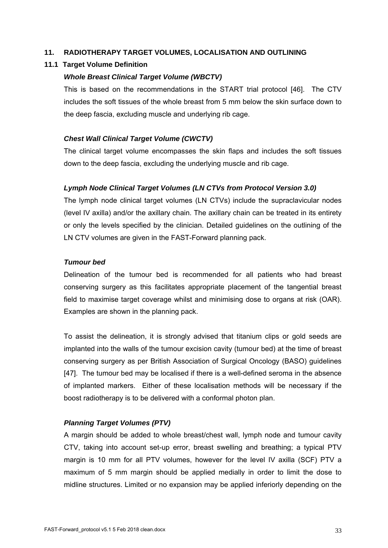# **11. RADIOTHERAPY TARGET VOLUMES, LOCALISATION AND OUTLINING**

# **11.1 Target Volume Definition**

# *Whole Breast Clinical Target Volume (WBCTV)*

This is based on the recommendations in the START trial protocol [46]. The CTV includes the soft tissues of the whole breast from 5 mm below the skin surface down to the deep fascia, excluding muscle and underlying rib cage.

# *Chest Wall Clinical Target Volume (CWCTV)*

The clinical target volume encompasses the skin flaps and includes the soft tissues down to the deep fascia, excluding the underlying muscle and rib cage.

# *Lymph Node Clinical Target Volumes (LN CTVs from Protocol Version 3.0)*

The lymph node clinical target volumes (LN CTVs) include the supraclavicular nodes (level IV axilla) and/or the axillary chain. The axillary chain can be treated in its entirety or only the levels specified by the clinician. Detailed guidelines on the outlining of the LN CTV volumes are given in the FAST-Forward planning pack.

# *Tumour bed*

Delineation of the tumour bed is recommended for all patients who had breast conserving surgery as this facilitates appropriate placement of the tangential breast field to maximise target coverage whilst and minimising dose to organs at risk (OAR). Examples are shown in the planning pack.

To assist the delineation, it is strongly advised that titanium clips or gold seeds are implanted into the walls of the tumour excision cavity (tumour bed) at the time of breast conserving surgery as per British Association of Surgical Oncology (BASO) guidelines [47]. The tumour bed may be localised if there is a well-defined seroma in the absence of implanted markers. Either of these localisation methods will be necessary if the boost radiotherapy is to be delivered with a conformal photon plan.

# *Planning Target Volumes (PTV)*

A margin should be added to whole breast/chest wall, lymph node and tumour cavity CTV, taking into account set-up error, breast swelling and breathing; a typical PTV margin is 10 mm for all PTV volumes, however for the level IV axilla (SCF) PTV a maximum of 5 mm margin should be applied medially in order to limit the dose to midline structures. Limited or no expansion may be applied inferiorly depending on the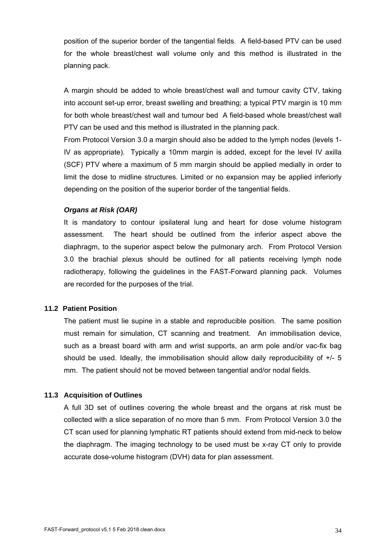position of the superior border of the tangential fields. A field-based PTV can be used for the whole breast/chest wall volume only and this method is illustrated in the planning pack.

A margin should be added to whole breast/chest wall and tumour cavity CTV, taking into account set-up error, breast swelling and breathing; a typical PTV margin is 10 mm for both whole breast/chest wall and tumour bed A field-based whole breast/chest wall PTV can be used and this method is illustrated in the planning pack.

From Protocol Version 3.0 a margin should also be added to the lymph nodes (levels 1- IV as appropriate). Typically a 10mm margin is added, except for the level IV axilla (SCF) PTV where a maximum of 5 mm margin should be applied medially in order to limit the dose to midline structures. Limited or no expansion may be applied inferiorly depending on the position of the superior border of the tangential fields.

# *Organs at Risk (OAR)*

It is mandatory to contour ipsilateral lung and heart for dose volume histogram assessment. The heart should be outlined from the inferior aspect above the diaphragm, to the superior aspect below the pulmonary arch. From Protocol Version 3.0 the brachial plexus should be outlined for all patients receiving lymph node radiotherapy, following the guidelines in the FAST-Forward planning pack. Volumes are recorded for the purposes of the trial.

#### **11.2 Patient Position**

The patient must lie supine in a stable and reproducible position. The same position must remain for simulation, CT scanning and treatment. An immobilisation device, such as a breast board with arm and wrist supports, an arm pole and/or vac-fix bag should be used. Ideally, the immobilisation should allow daily reproducibility of  $+/- 5$ mm. The patient should not be moved between tangential and/or nodal fields.

# **11.3 Acquisition of Outlines**

A full 3D set of outlines covering the whole breast and the organs at risk must be collected with a slice separation of no more than 5 mm. From Protocol Version 3.0 the CT scan used for planning lymphatic RT patients should extend from mid-neck to below the diaphragm. The imaging technology to be used must be x-ray CT only to provide accurate dose-volume histogram (DVH) data for plan assessment.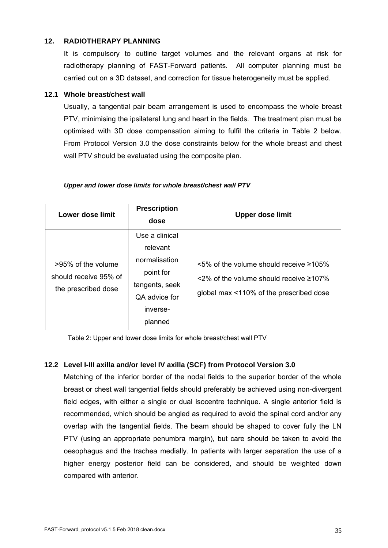# **12. RADIOTHERAPY PLANNING**

It is compulsory to outline target volumes and the relevant organs at risk for radiotherapy planning of FAST-Forward patients. All computer planning must be carried out on a 3D dataset, and correction for tissue heterogeneity must be applied.

# **12.1 Whole breast/chest wall**

Usually, a tangential pair beam arrangement is used to encompass the whole breast PTV, minimising the ipsilateral lung and heart in the fields. The treatment plan must be optimised with 3D dose compensation aiming to fulfil the criteria in Table 2 below. From Protocol Version 3.0 the dose constraints below for the whole breast and chest wall PTV should be evaluated using the composite plan.

| Lower dose limit                                                   | <b>Prescription</b><br>dose                                                                                        | <b>Upper dose limit</b>                                                                                                                             |  |  |  |  |  |
|--------------------------------------------------------------------|--------------------------------------------------------------------------------------------------------------------|-----------------------------------------------------------------------------------------------------------------------------------------------------|--|--|--|--|--|
| >95% of the volume<br>should receive 95% of<br>the prescribed dose | Use a clinical<br>relevant<br>normalisation<br>point for<br>tangents, seek<br>QA advice for<br>inverse-<br>planned | $\leq$ 5% of the volume should receive $\geq$ 105%<br>$\leq$ 2% of the volume should receive $\geq$ 107%<br>global max <110% of the prescribed dose |  |  |  |  |  |

#### *Upper and lower dose limits for whole breast/chest wall PTV*

Table 2: Upper and lower dose limits for whole breast/chest wall PTV

# **12.2 Level I-III axilla and/or level IV axilla (SCF) from Protocol Version 3.0**

Matching of the inferior border of the nodal fields to the superior border of the whole breast or chest wall tangential fields should preferably be achieved using non-divergent field edges, with either a single or dual isocentre technique. A single anterior field is recommended, which should be angled as required to avoid the spinal cord and/or any overlap with the tangential fields. The beam should be shaped to cover fully the LN PTV (using an appropriate penumbra margin), but care should be taken to avoid the oesophagus and the trachea medially. In patients with larger separation the use of a higher energy posterior field can be considered, and should be weighted down compared with anterior.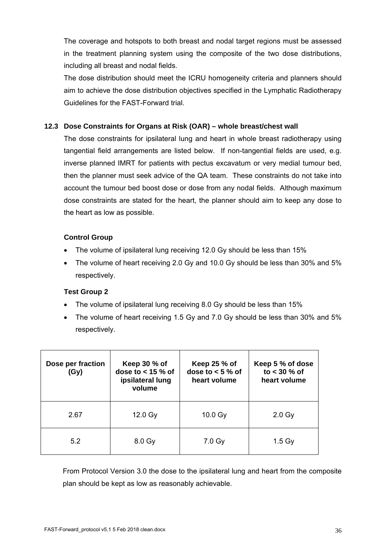The coverage and hotspots to both breast and nodal target regions must be assessed in the treatment planning system using the composite of the two dose distributions, including all breast and nodal fields.

The dose distribution should meet the ICRU homogeneity criteria and planners should aim to achieve the dose distribution objectives specified in the Lymphatic Radiotherapy Guidelines for the FAST-Forward trial.

# **12.3 Dose Constraints for Organs at Risk (OAR) – whole breast/chest wall**

The dose constraints for ipsilateral lung and heart in whole breast radiotherapy using tangential field arrangements are listed below. If non-tangential fields are used, e.g. inverse planned IMRT for patients with pectus excavatum or very medial tumour bed, then the planner must seek advice of the QA team. These constraints do not take into account the tumour bed boost dose or dose from any nodal fields. Although maximum dose constraints are stated for the heart, the planner should aim to keep any dose to the heart as low as possible.

# **Control Group**

- The volume of ipsilateral lung receiving 12.0 Gy should be less than 15%
- The volume of heart receiving 2.0 Gy and 10.0 Gy should be less than 30% and 5% respectively.

# **Test Group 2**

- The volume of ipsilateral lung receiving 8.0 Gy should be less than 15%
- The volume of heart receiving 1.5 Gy and 7.0 Gy should be less than 30% and 5% respectively.

| Dose per fraction<br>(Gy) | Keep 30 % of<br>dose to $<$ 15 % of<br>ipsilateral lung<br>volume | Keep 25 % of<br>dose to $< 5 \%$ of<br>heart volume | Keep 5 % of dose<br>to $<$ 30 % of<br>heart volume |
|---------------------------|-------------------------------------------------------------------|-----------------------------------------------------|----------------------------------------------------|
| 2.67                      | $12.0 \text{ Gy}$                                                 | 10.0 Gy                                             | $2.0 \text{ Gy}$                                   |
| 5.2                       | 8.0 Gy                                                            | 7.0 <sub>g</sub>                                    | 1.5 <sub>GV</sub>                                  |

From Protocol Version 3.0 the dose to the ipsilateral lung and heart from the composite plan should be kept as low as reasonably achievable.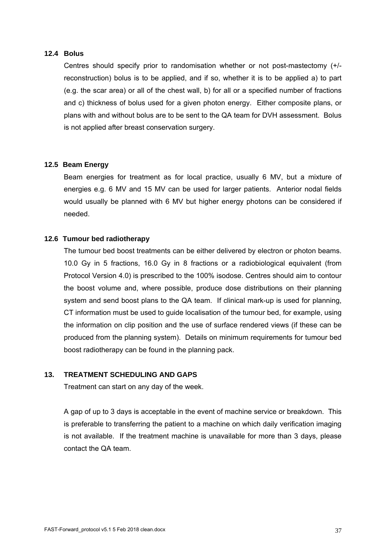### **12.4 Bolus**

Centres should specify prior to randomisation whether or not post-mastectomy (+/ reconstruction) bolus is to be applied, and if so, whether it is to be applied a) to part (e.g. the scar area) or all of the chest wall, b) for all or a specified number of fractions and c) thickness of bolus used for a given photon energy. Either composite plans, or plans with and without bolus are to be sent to the QA team for DVH assessment. Bolus is not applied after breast conservation surgery.

#### **12.5 Beam Energy**

Beam energies for treatment as for local practice, usually 6 MV, but a mixture of energies e.g. 6 MV and 15 MV can be used for larger patients. Anterior nodal fields would usually be planned with 6 MV but higher energy photons can be considered if needed.

#### **12.6 Tumour bed radiotherapy**

The tumour bed boost treatments can be either delivered by electron or photon beams. 10.0 Gy in 5 fractions, 16.0 Gy in 8 fractions or a radiobiological equivalent (from Protocol Version 4.0) is prescribed to the 100% isodose. Centres should aim to contour the boost volume and, where possible, produce dose distributions on their planning system and send boost plans to the QA team. If clinical mark-up is used for planning, CT information must be used to guide localisation of the tumour bed, for example, using the information on clip position and the use of surface rendered views (if these can be produced from the planning system). Details on minimum requirements for tumour bed boost radiotherapy can be found in the planning pack.

### **13. TREATMENT SCHEDULING AND GAPS**

Treatment can start on any day of the week.

A gap of up to 3 days is acceptable in the event of machine service or breakdown. This is preferable to transferring the patient to a machine on which daily verification imaging is not available. If the treatment machine is unavailable for more than 3 days, please contact the QA team.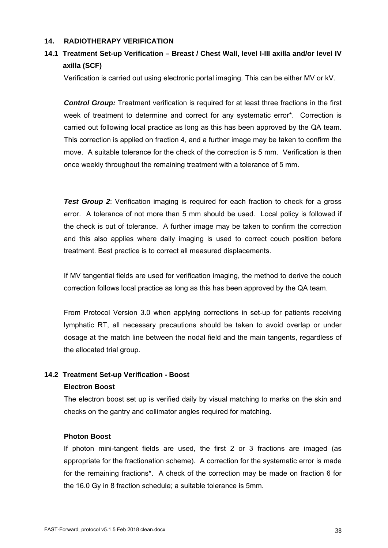### **14. RADIOTHERAPY VERIFICATION**

# **14.1 Treatment Set-up Verification – Breast / Chest Wall, level I-III axilla and/or level IV axilla (SCF)**

Verification is carried out using electronic portal imaging. This can be either MV or kV.

*Control Group:* Treatment verification is required for at least three fractions in the first week of treatment to determine and correct for any systematic error\*. Correction is carried out following local practice as long as this has been approved by the QA team. This correction is applied on fraction 4, and a further image may be taken to confirm the move. A suitable tolerance for the check of the correction is 5 mm. Verification is then once weekly throughout the remaining treatment with a tolerance of 5 mm.

*Test Group 2:* Verification imaging is required for each fraction to check for a gross error. A tolerance of not more than 5 mm should be used. Local policy is followed if the check is out of tolerance. A further image may be taken to confirm the correction and this also applies where daily imaging is used to correct couch position before treatment. Best practice is to correct all measured displacements.

If MV tangential fields are used for verification imaging, the method to derive the couch correction follows local practice as long as this has been approved by the QA team.

From Protocol Version 3.0 when applying corrections in set-up for patients receiving lymphatic RT, all necessary precautions should be taken to avoid overlap or under dosage at the match line between the nodal field and the main tangents, regardless of the allocated trial group.

### **14.2 Treatment Set-up Verification - Boost**

### **Electron Boost**

The electron boost set up is verified daily by visual matching to marks on the skin and checks on the gantry and collimator angles required for matching.

### **Photon Boost**

If photon mini-tangent fields are used, the first 2 or 3 fractions are imaged (as appropriate for the fractionation scheme). A correction for the systematic error is made for the remaining fractions\*. A check of the correction may be made on fraction 6 for the 16.0 Gy in 8 fraction schedule; a suitable tolerance is 5mm.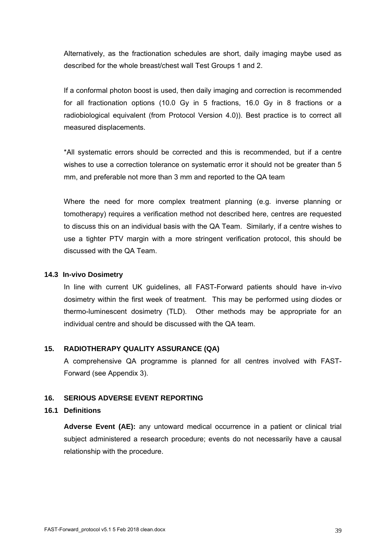Alternatively, as the fractionation schedules are short, daily imaging maybe used as described for the whole breast/chest wall Test Groups 1 and 2.

If a conformal photon boost is used, then daily imaging and correction is recommended for all fractionation options (10.0 Gy in 5 fractions, 16.0 Gy in 8 fractions or a radiobiological equivalent (from Protocol Version 4.0)). Best practice is to correct all measured displacements.

\*All systematic errors should be corrected and this is recommended, but if a centre wishes to use a correction tolerance on systematic error it should not be greater than 5 mm, and preferable not more than 3 mm and reported to the QA team

Where the need for more complex treatment planning (e.g. inverse planning or tomotherapy) requires a verification method not described here, centres are requested to discuss this on an individual basis with the QA Team. Similarly, if a centre wishes to use a tighter PTV margin with a more stringent verification protocol, this should be discussed with the QA Team.

### **14.3 In-vivo Dosimetry**

In line with current UK guidelines, all FAST-Forward patients should have in-vivo dosimetry within the first week of treatment. This may be performed using diodes or thermo-luminescent dosimetry (TLD). Other methods may be appropriate for an individual centre and should be discussed with the QA team.

### **15. RADIOTHERAPY QUALITY ASSURANCE (QA)**

A comprehensive QA programme is planned for all centres involved with FAST-Forward (see Appendix 3).

### **16. SERIOUS ADVERSE EVENT REPORTING**

# **16.1 Definitions**

**Adverse Event (AE):** any untoward medical occurrence in a patient or clinical trial subject administered a research procedure; events do not necessarily have a causal relationship with the procedure.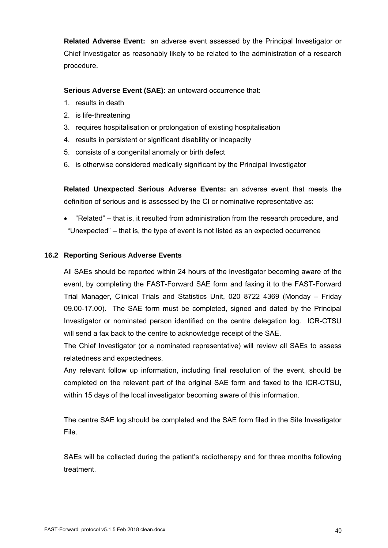**Related Adverse Event:** an adverse event assessed by the Principal Investigator or Chief Investigator as reasonably likely to be related to the administration of a research procedure.

**Serious Adverse Event (SAE):** an untoward occurrence that:

- 1. results in death
- 2. is life-threatening
- 3. requires hospitalisation or prolongation of existing hospitalisation
- 4. results in persistent or significant disability or incapacity
- 5. consists of a congenital anomaly or birth defect
- 6. is otherwise considered medically significant by the Principal Investigator

**Related Unexpected Serious Adverse Events:** an adverse event that meets the definition of serious and is assessed by the CI or nominative representative as:

 "Related" – that is, it resulted from administration from the research procedure, and "Unexpected" – that is, the type of event is not listed as an expected occurrence

### **16.2 Reporting Serious Adverse Events**

All SAEs should be reported within 24 hours of the investigator becoming aware of the event, by completing the FAST-Forward SAE form and faxing it to the FAST-Forward Trial Manager, Clinical Trials and Statistics Unit, 020 8722 4369 (Monday – Friday 09.00-17.00). The SAE form must be completed, signed and dated by the Principal Investigator or nominated person identified on the centre delegation log. ICR-CTSU will send a fax back to the centre to acknowledge receipt of the SAE.

The Chief Investigator (or a nominated representative) will review all SAEs to assess relatedness and expectedness.

Any relevant follow up information, including final resolution of the event, should be completed on the relevant part of the original SAE form and faxed to the ICR-CTSU, within 15 days of the local investigator becoming aware of this information.

The centre SAE log should be completed and the SAE form filed in the Site Investigator File.

SAEs will be collected during the patient's radiotherapy and for three months following treatment.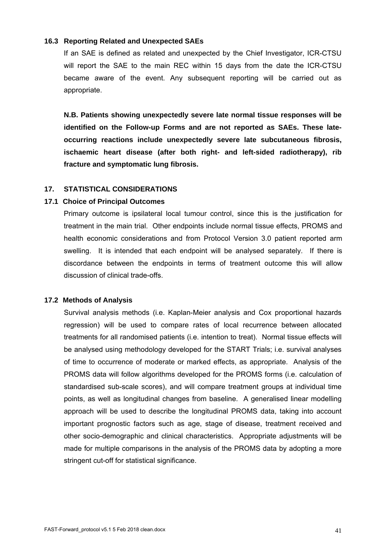#### **16.3 Reporting Related and Unexpected SAEs**

If an SAE is defined as related and unexpected by the Chief Investigator, ICR-CTSU will report the SAE to the main REC within 15 days from the date the ICR-CTSU became aware of the event. Any subsequent reporting will be carried out as appropriate.

**N.B. Patients showing unexpectedly severe late normal tissue responses will be identified on the Follow-up Forms and are not reported as SAEs. These lateoccurring reactions include unexpectedly severe late subcutaneous fibrosis, ischaemic heart disease (after both right- and left-sided radiotherapy), rib fracture and symptomatic lung fibrosis.** 

### **17. STATISTICAL CONSIDERATIONS**

#### **17.1 Choice of Principal Outcomes**

Primary outcome is ipsilateral local tumour control, since this is the justification for treatment in the main trial. Other endpoints include normal tissue effects, PROMS and health economic considerations and from Protocol Version 3.0 patient reported arm swelling. It is intended that each endpoint will be analysed separately. If there is discordance between the endpoints in terms of treatment outcome this will allow discussion of clinical trade-offs.

#### **17.2 Methods of Analysis**

Survival analysis methods (i.e. Kaplan-Meier analysis and Cox proportional hazards regression) will be used to compare rates of local recurrence between allocated treatments for all randomised patients (i.e. intention to treat). Normal tissue effects will be analysed using methodology developed for the START Trials; i.e. survival analyses of time to occurrence of moderate or marked effects, as appropriate. Analysis of the PROMS data will follow algorithms developed for the PROMS forms (i.e. calculation of standardised sub-scale scores), and will compare treatment groups at individual time points, as well as longitudinal changes from baseline. A generalised linear modelling approach will be used to describe the longitudinal PROMS data, taking into account important prognostic factors such as age, stage of disease, treatment received and other socio-demographic and clinical characteristics. Appropriate adjustments will be made for multiple comparisons in the analysis of the PROMS data by adopting a more stringent cut-off for statistical significance.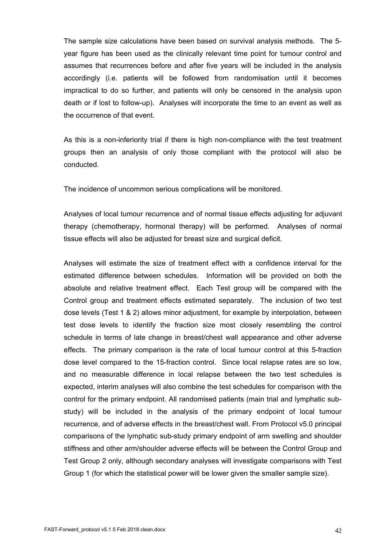The sample size calculations have been based on survival analysis methods. The 5 year figure has been used as the clinically relevant time point for tumour control and assumes that recurrences before and after five years will be included in the analysis accordingly (i.e. patients will be followed from randomisation until it becomes impractical to do so further, and patients will only be censored in the analysis upon death or if lost to follow-up). Analyses will incorporate the time to an event as well as the occurrence of that event.

As this is a non-inferiority trial if there is high non-compliance with the test treatment groups then an analysis of only those compliant with the protocol will also be conducted.

The incidence of uncommon serious complications will be monitored.

Analyses of local tumour recurrence and of normal tissue effects adjusting for adjuvant therapy (chemotherapy, hormonal therapy) will be performed. Analyses of normal tissue effects will also be adjusted for breast size and surgical deficit.

Analyses will estimate the size of treatment effect with a confidence interval for the estimated difference between schedules. Information will be provided on both the absolute and relative treatment effect. Each Test group will be compared with the Control group and treatment effects estimated separately. The inclusion of two test dose levels (Test 1 & 2) allows minor adjustment, for example by interpolation, between test dose levels to identify the fraction size most closely resembling the control schedule in terms of late change in breast/chest wall appearance and other adverse effects. The primary comparison is the rate of local tumour control at this 5-fraction dose level compared to the 15-fraction control. Since local relapse rates are so low, and no measurable difference in local relapse between the two test schedules is expected, interim analyses will also combine the test schedules for comparison with the control for the primary endpoint. All randomised patients (main trial and lymphatic substudy) will be included in the analysis of the primary endpoint of local tumour recurrence, and of adverse effects in the breast/chest wall. From Protocol v5.0 principal comparisons of the lymphatic sub-study primary endpoint of arm swelling and shoulder stiffness and other arm/shoulder adverse effects will be between the Control Group and Test Group 2 only, although secondary analyses will investigate comparisons with Test Group 1 (for which the statistical power will be lower given the smaller sample size).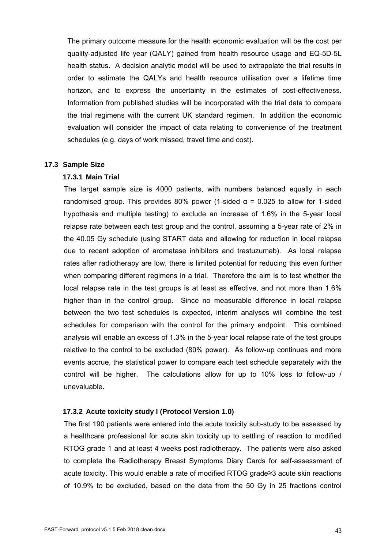The primary outcome measure for the health economic evaluation will be the cost per quality-adjusted life year (QALY) gained from health resource usage and EQ-5D-5L health status. A decision analytic model will be used to extrapolate the trial results in order to estimate the QALYs and health resource utilisation over a lifetime time horizon, and to express the uncertainty in the estimates of cost-effectiveness. Information from published studies will be incorporated with the trial data to compare the trial regimens with the current UK standard regimen. In addition the economic evaluation will consider the impact of data relating to convenience of the treatment schedules (e.g. days of work missed, travel time and cost).

#### **17.3 Sample Size**

### **17.3.1 Main Trial**

The target sample size is 4000 patients, with numbers balanced equally in each randomised group. This provides 80% power (1-sided  $α = 0.025$  to allow for 1-sided hypothesis and multiple testing) to exclude an increase of 1.6% in the 5-year local relapse rate between each test group and the control, assuming a 5-year rate of 2% in the 40.05 Gy schedule (using START data and allowing for reduction in local relapse due to recent adoption of aromatase inhibitors and trastuzumab). As local relapse rates after radiotherapy are low, there is limited potential for reducing this even further when comparing different regimens in a trial. Therefore the aim is to test whether the local relapse rate in the test groups is at least as effective, and not more than 1.6% higher than in the control group. Since no measurable difference in local relapse between the two test schedules is expected, interim analyses will combine the test schedules for comparison with the control for the primary endpoint. This combined analysis will enable an excess of 1.3% in the 5-year local relapse rate of the test groups relative to the control to be excluded (80% power). As follow-up continues and more events accrue, the statistical power to compare each test schedule separately with the control will be higher. The calculations allow for up to 10% loss to follow-up / unevaluable.

### **17.3.2 Acute toxicity study I (Protocol Version 1.0)**

The first 190 patients were entered into the acute toxicity sub-study to be assessed by a healthcare professional for acute skin toxicity up to settling of reaction to modified RTOG grade 1 and at least 4 weeks post radiotherapy. The patients were also asked to complete the Radiotherapy Breast Symptoms Diary Cards for self-assessment of acute toxicity. This would enable a rate of modified RTOG grade≥3 acute skin reactions of 10.9% to be excluded, based on the data from the 50 Gy in 25 fractions control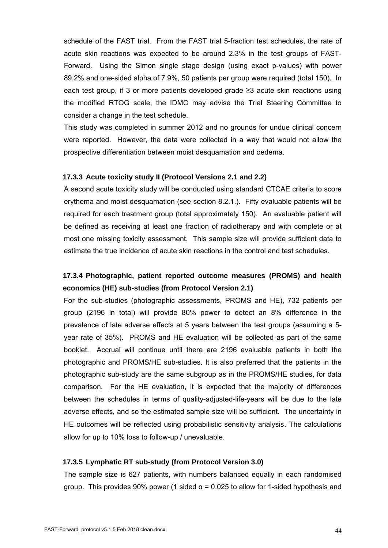schedule of the FAST trial. From the FAST trial 5-fraction test schedules, the rate of acute skin reactions was expected to be around 2.3% in the test groups of FAST-Forward. Using the Simon single stage design (using exact p-values) with power 89.2% and one-sided alpha of 7.9%, 50 patients per group were required (total 150). In each test group, if 3 or more patients developed grade ≥3 acute skin reactions using the modified RTOG scale, the IDMC may advise the Trial Steering Committee to consider a change in the test schedule.

This study was completed in summer 2012 and no grounds for undue clinical concern were reported. However, the data were collected in a way that would not allow the prospective differentiation between moist desquamation and oedema.

#### **17.3.3 Acute toxicity study II (Protocol Versions 2.1 and 2.2)**

A second acute toxicity study will be conducted using standard CTCAE criteria to score erythema and moist desquamation (see section 8.2.1.). Fifty evaluable patients will be required for each treatment group (total approximately 150). An evaluable patient will be defined as receiving at least one fraction of radiotherapy and with complete or at most one missing toxicity assessment. This sample size will provide sufficient data to estimate the true incidence of acute skin reactions in the control and test schedules.

# **17.3.4 Photographic, patient reported outcome measures (PROMS) and health economics (HE) sub-studies (from Protocol Version 2.1)**

For the sub-studies (photographic assessments, PROMS and HE), 732 patients per group (2196 in total) will provide 80% power to detect an 8% difference in the prevalence of late adverse effects at 5 years between the test groups (assuming a 5 year rate of 35%). PROMS and HE evaluation will be collected as part of the same booklet. Accrual will continue until there are 2196 evaluable patients in both the photographic and PROMS/HE sub-studies. It is also preferred that the patients in the photographic sub-study are the same subgroup as in the PROMS/HE studies, for data comparison. For the HE evaluation, it is expected that the majority of differences between the schedules in terms of quality-adjusted-life-years will be due to the late adverse effects, and so the estimated sample size will be sufficient. The uncertainty in HE outcomes will be reflected using probabilistic sensitivity analysis. The calculations allow for up to 10% loss to follow-up / unevaluable.

### **17.3.5 Lymphatic RT sub-study (from Protocol Version 3.0)**

The sample size is 627 patients, with numbers balanced equally in each randomised group. This provides 90% power (1 sided  $\alpha$  = 0.025 to allow for 1-sided hypothesis and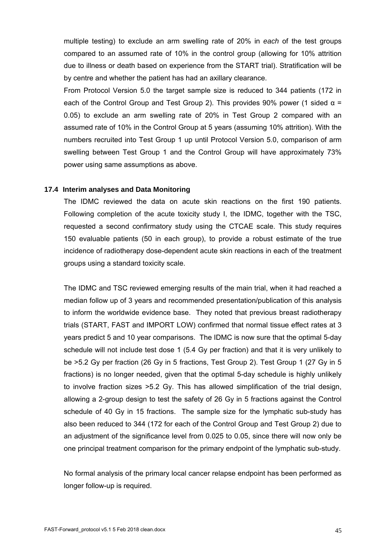multiple testing) to exclude an arm swelling rate of 20% in *each* of the test groups compared to an assumed rate of 10% in the control group (allowing for 10% attrition due to illness or death based on experience from the START trial). Stratification will be by centre and whether the patient has had an axillary clearance.

From Protocol Version 5.0 the target sample size is reduced to 344 patients (172 in each of the Control Group and Test Group 2). This provides 90% power (1 sided  $\alpha$  = 0.05) to exclude an arm swelling rate of 20% in Test Group 2 compared with an assumed rate of 10% in the Control Group at 5 years (assuming 10% attrition). With the numbers recruited into Test Group 1 up until Protocol Version 5.0, comparison of arm swelling between Test Group 1 and the Control Group will have approximately 73% power using same assumptions as above.

#### **17.4 Interim analyses and Data Monitoring**

The IDMC reviewed the data on acute skin reactions on the first 190 patients. Following completion of the acute toxicity study I, the IDMC, together with the TSC, requested a second confirmatory study using the CTCAE scale. This study requires 150 evaluable patients (50 in each group), to provide a robust estimate of the true incidence of radiotherapy dose-dependent acute skin reactions in each of the treatment groups using a standard toxicity scale.

The IDMC and TSC reviewed emerging results of the main trial, when it had reached a median follow up of 3 years and recommended presentation/publication of this analysis to inform the worldwide evidence base. They noted that previous breast radiotherapy trials (START, FAST and IMPORT LOW) confirmed that normal tissue effect rates at 3 years predict 5 and 10 year comparisons. The IDMC is now sure that the optimal 5-day schedule will not include test dose 1 (5.4 Gy per fraction) and that it is very unlikely to be >5.2 Gy per fraction (26 Gy in 5 fractions, Test Group 2). Test Group 1 (27 Gy in 5 fractions) is no longer needed, given that the optimal 5-day schedule is highly unlikely to involve fraction sizes >5.2 Gy. This has allowed simplification of the trial design, allowing a 2-group design to test the safety of 26 Gy in 5 fractions against the Control schedule of 40 Gy in 15 fractions. The sample size for the lymphatic sub-study has also been reduced to 344 (172 for each of the Control Group and Test Group 2) due to an adjustment of the significance level from 0.025 to 0.05, since there will now only be one principal treatment comparison for the primary endpoint of the lymphatic sub-study.

No formal analysis of the primary local cancer relapse endpoint has been performed as longer follow-up is required.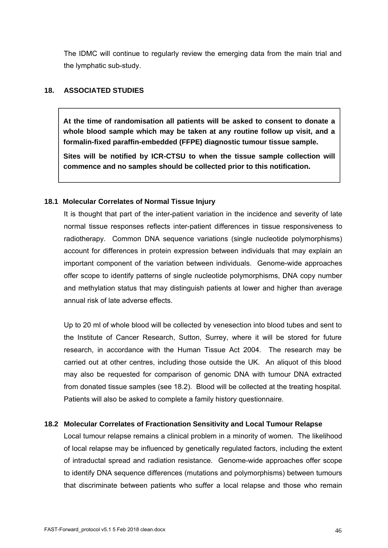The IDMC will continue to regularly review the emerging data from the main trial and the lymphatic sub-study.

### **18. ASSOCIATED STUDIES**

**At the time of randomisation all patients will be asked to consent to donate a whole blood sample which may be taken at any routine follow up visit, and a formalin-fixed paraffin-embedded (FFPE) diagnostic tumour tissue sample.** 

**Sites will be notified by ICR-CTSU to when the tissue sample collection will commence and no samples should be collected prior to this notification.**

### **18.1 Molecular Correlates of Normal Tissue Injury**

It is thought that part of the inter-patient variation in the incidence and severity of late normal tissue responses reflects inter-patient differences in tissue responsiveness to radiotherapy. Common DNA sequence variations (single nucleotide polymorphisms) account for differences in protein expression between individuals that may explain an important component of the variation between individuals. Genome-wide approaches offer scope to identify patterns of single nucleotide polymorphisms, DNA copy number and methylation status that may distinguish patients at lower and higher than average annual risk of late adverse effects.

Up to 20 ml of whole blood will be collected by venesection into blood tubes and sent to the Institute of Cancer Research, Sutton, Surrey, where it will be stored for future research, in accordance with the Human Tissue Act 2004. The research may be carried out at other centres, including those outside the UK. An aliquot of this blood may also be requested for comparison of genomic DNA with tumour DNA extracted from donated tissue samples (see 18.2). Blood will be collected at the treating hospital. Patients will also be asked to complete a family history questionnaire.

### **18.2 Molecular Correlates of Fractionation Sensitivity and Local Tumour Relapse**

Local tumour relapse remains a clinical problem in a minority of women. The likelihood of local relapse may be influenced by genetically regulated factors, including the extent of intraductal spread and radiation resistance. Genome-wide approaches offer scope to identify DNA sequence differences (mutations and polymorphisms) between tumours that discriminate between patients who suffer a local relapse and those who remain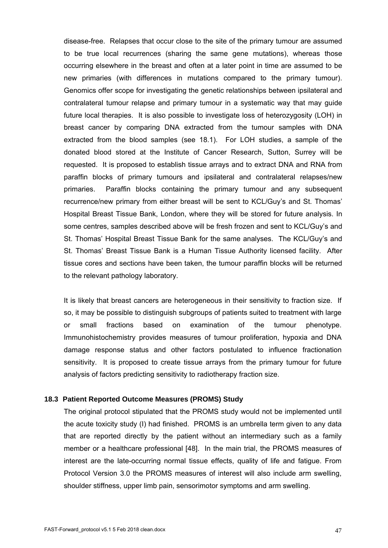disease-free. Relapses that occur close to the site of the primary tumour are assumed to be true local recurrences (sharing the same gene mutations), whereas those occurring elsewhere in the breast and often at a later point in time are assumed to be new primaries (with differences in mutations compared to the primary tumour). Genomics offer scope for investigating the genetic relationships between ipsilateral and contralateral tumour relapse and primary tumour in a systematic way that may guide future local therapies. It is also possible to investigate loss of heterozygosity (LOH) in breast cancer by comparing DNA extracted from the tumour samples with DNA extracted from the blood samples (see 18.1). For LOH studies, a sample of the donated blood stored at the Institute of Cancer Research, Sutton, Surrey will be requested. It is proposed to establish tissue arrays and to extract DNA and RNA from paraffin blocks of primary tumours and ipsilateral and contralateral relapses/new primaries. Paraffin blocks containing the primary tumour and any subsequent recurrence/new primary from either breast will be sent to KCL/Guy's and St. Thomas' Hospital Breast Tissue Bank, London, where they will be stored for future analysis. In some centres, samples described above will be fresh frozen and sent to KCL/Guy's and St. Thomas' Hospital Breast Tissue Bank for the same analyses. The KCL/Guy's and St. Thomas' Breast Tissue Bank is a Human Tissue Authority licensed facility. After tissue cores and sections have been taken, the tumour paraffin blocks will be returned to the relevant pathology laboratory.

It is likely that breast cancers are heterogeneous in their sensitivity to fraction size. If so, it may be possible to distinguish subgroups of patients suited to treatment with large or small fractions based on examination of the tumour phenotype. Immunohistochemistry provides measures of tumour proliferation, hypoxia and DNA damage response status and other factors postulated to influence fractionation sensitivity. It is proposed to create tissue arrays from the primary tumour for future analysis of factors predicting sensitivity to radiotherapy fraction size.

#### **18.3 Patient Reported Outcome Measures (PROMS) Study**

The original protocol stipulated that the PROMS study would not be implemented until the acute toxicity study (I) had finished. PROMS is an umbrella term given to any data that are reported directly by the patient without an intermediary such as a family member or a healthcare professional [48]. In the main trial, the PROMS measures of interest are the late-occurring normal tissue effects, quality of life and fatigue. From Protocol Version 3.0 the PROMS measures of interest will also include arm swelling, shoulder stiffness, upper limb pain, sensorimotor symptoms and arm swelling.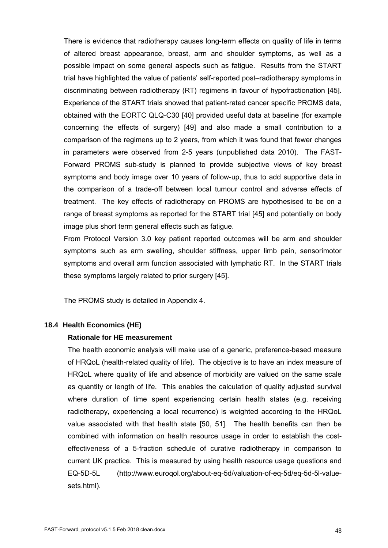There is evidence that radiotherapy causes long-term effects on quality of life in terms of altered breast appearance, breast, arm and shoulder symptoms, as well as a possible impact on some general aspects such as fatigue. Results from the START trial have highlighted the value of patients' self-reported post–radiotherapy symptoms in discriminating between radiotherapy (RT) regimens in favour of hypofractionation [45]. Experience of the START trials showed that patient-rated cancer specific PROMS data, obtained with the EORTC QLQ-C30 [40] provided useful data at baseline (for example concerning the effects of surgery) [49] and also made a small contribution to a comparison of the regimens up to 2 years, from which it was found that fewer changes in parameters were observed from 2-5 years (unpublished data 2010). The FAST-Forward PROMS sub-study is planned to provide subjective views of key breast symptoms and body image over 10 years of follow-up, thus to add supportive data in the comparison of a trade-off between local tumour control and adverse effects of treatment. The key effects of radiotherapy on PROMS are hypothesised to be on a range of breast symptoms as reported for the START trial [45] and potentially on body image plus short term general effects such as fatigue.

From Protocol Version 3.0 key patient reported outcomes will be arm and shoulder symptoms such as arm swelling, shoulder stiffness, upper limb pain, sensorimotor symptoms and overall arm function associated with lymphatic RT. In the START trials these symptoms largely related to prior surgery [45].

The PROMS study is detailed in Appendix 4.

### **18.4 Health Economics (HE)**

#### **Rationale for HE measurement**

The health economic analysis will make use of a generic, preference-based measure of HRQoL (health-related quality of life). The objective is to have an index measure of HRQoL where quality of life and absence of morbidity are valued on the same scale as quantity or length of life. This enables the calculation of quality adjusted survival where duration of time spent experiencing certain health states (e.g. receiving radiotherapy, experiencing a local recurrence) is weighted according to the HRQoL value associated with that health state [50, 51]. The health benefits can then be combined with information on health resource usage in order to establish the costeffectiveness of a 5-fraction schedule of curative radiotherapy in comparison to current UK practice. This is measured by using health resource usage questions and EQ-5D-5L (http://www.euroqol.org/about-eq-5d/valuation-of-eq-5d/eq-5d-5l-valuesets.html).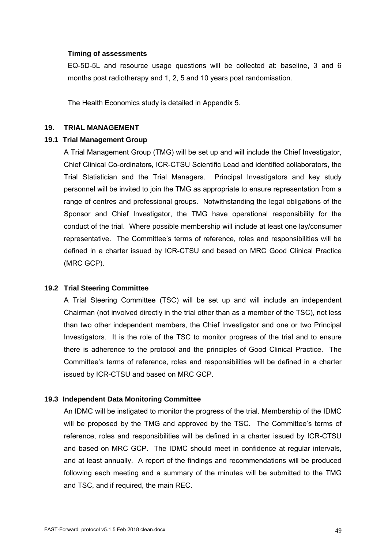#### **Timing of assessments**

EQ-5D-5L and resource usage questions will be collected at: baseline, 3 and 6 months post radiotherapy and 1, 2, 5 and 10 years post randomisation.

The Health Economics study is detailed in Appendix 5.

### **19. TRIAL MANAGEMENT**

#### **19.1 Trial Management Group**

A Trial Management Group (TMG) will be set up and will include the Chief Investigator, Chief Clinical Co-ordinators, ICR-CTSU Scientific Lead and identified collaborators, the Trial Statistician and the Trial Managers. Principal Investigators and key study personnel will be invited to join the TMG as appropriate to ensure representation from a range of centres and professional groups. Notwithstanding the legal obligations of the Sponsor and Chief Investigator, the TMG have operational responsibility for the conduct of the trial. Where possible membership will include at least one lay/consumer representative. The Committee's terms of reference, roles and responsibilities will be defined in a charter issued by ICR-CTSU and based on MRC Good Clinical Practice (MRC GCP).

### **19.2 Trial Steering Committee**

A Trial Steering Committee (TSC) will be set up and will include an independent Chairman (not involved directly in the trial other than as a member of the TSC), not less than two other independent members, the Chief Investigator and one or two Principal Investigators. It is the role of the TSC to monitor progress of the trial and to ensure there is adherence to the protocol and the principles of Good Clinical Practice. The Committee's terms of reference, roles and responsibilities will be defined in a charter issued by ICR-CTSU and based on MRC GCP.

### **19.3 Independent Data Monitoring Committee**

An IDMC will be instigated to monitor the progress of the trial. Membership of the IDMC will be proposed by the TMG and approved by the TSC. The Committee's terms of reference, roles and responsibilities will be defined in a charter issued by ICR-CTSU and based on MRC GCP. The IDMC should meet in confidence at regular intervals, and at least annually. A report of the findings and recommendations will be produced following each meeting and a summary of the minutes will be submitted to the TMG and TSC, and if required, the main REC.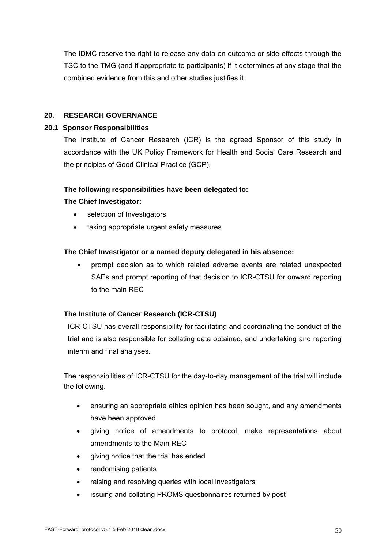The IDMC reserve the right to release any data on outcome or side-effects through the TSC to the TMG (and if appropriate to participants) if it determines at any stage that the combined evidence from this and other studies justifies it.

# **20. RESEARCH GOVERNANCE**

# **20.1 Sponsor Responsibilities**

The Institute of Cancer Research (ICR) is the agreed Sponsor of this study in accordance with the UK Policy Framework for Health and Social Care Research and the principles of Good Clinical Practice (GCP).

### **The following responsibilities have been delegated to:**

### **The Chief Investigator:**

- selection of Investigators
- taking appropriate urgent safety measures

# **The Chief Investigator or a named deputy delegated in his absence:**

 prompt decision as to which related adverse events are related unexpected SAEs and prompt reporting of that decision to ICR-CTSU for onward reporting to the main REC

# **The Institute of Cancer Research (ICR-CTSU)**

ICR-CTSU has overall responsibility for facilitating and coordinating the conduct of the trial and is also responsible for collating data obtained, and undertaking and reporting interim and final analyses.

The responsibilities of ICR-CTSU for the day-to-day management of the trial will include the following.

- ensuring an appropriate ethics opinion has been sought, and any amendments have been approved
- giving notice of amendments to protocol, make representations about amendments to the Main REC
- giving notice that the trial has ended
- randomising patients
- raising and resolving queries with local investigators
- issuing and collating PROMS questionnaires returned by post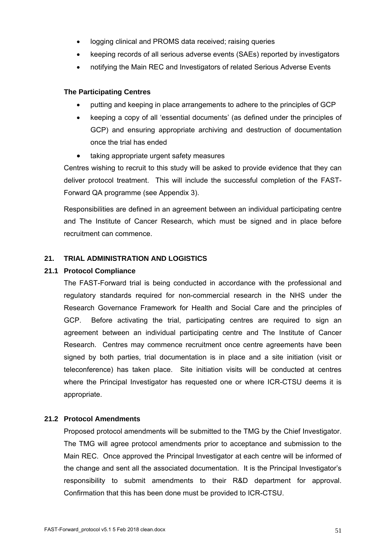- logging clinical and PROMS data received; raising queries
- keeping records of all serious adverse events (SAEs) reported by investigators
- notifying the Main REC and Investigators of related Serious Adverse Events

### **The Participating Centres**

- putting and keeping in place arrangements to adhere to the principles of GCP
- keeping a copy of all 'essential documents' (as defined under the principles of GCP) and ensuring appropriate archiving and destruction of documentation once the trial has ended
- taking appropriate urgent safety measures

Centres wishing to recruit to this study will be asked to provide evidence that they can deliver protocol treatment. This will include the successful completion of the FAST-Forward QA programme (see Appendix 3).

Responsibilities are defined in an agreement between an individual participating centre and The Institute of Cancer Research, which must be signed and in place before recruitment can commence.

### **21. TRIAL ADMINISTRATION AND LOGISTICS**

### **21.1 Protocol Compliance**

The FAST-Forward trial is being conducted in accordance with the professional and regulatory standards required for non-commercial research in the NHS under the Research Governance Framework for Health and Social Care and the principles of GCP. Before activating the trial, participating centres are required to sign an agreement between an individual participating centre and The Institute of Cancer Research. Centres may commence recruitment once centre agreements have been signed by both parties, trial documentation is in place and a site initiation (visit or teleconference) has taken place. Site initiation visits will be conducted at centres where the Principal Investigator has requested one or where ICR-CTSU deems it is appropriate.

### **21.2 Protocol Amendments**

Proposed protocol amendments will be submitted to the TMG by the Chief Investigator. The TMG will agree protocol amendments prior to acceptance and submission to the Main REC. Once approved the Principal Investigator at each centre will be informed of the change and sent all the associated documentation. It is the Principal Investigator's responsibility to submit amendments to their R&D department for approval. Confirmation that this has been done must be provided to ICR-CTSU.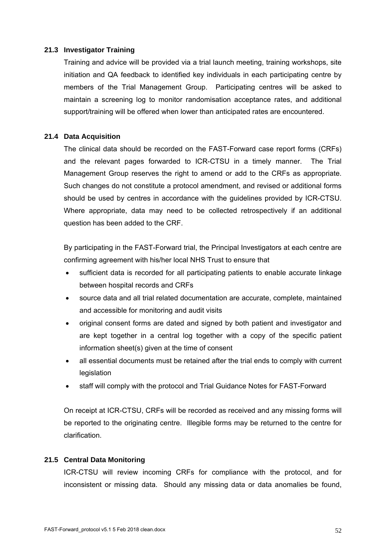### **21.3 Investigator Training**

Training and advice will be provided via a trial launch meeting, training workshops, site initiation and QA feedback to identified key individuals in each participating centre by members of the Trial Management Group. Participating centres will be asked to maintain a screening log to monitor randomisation acceptance rates, and additional support/training will be offered when lower than anticipated rates are encountered.

### **21.4 Data Acquisition**

The clinical data should be recorded on the FAST-Forward case report forms (CRFs) and the relevant pages forwarded to ICR-CTSU in a timely manner. The Trial Management Group reserves the right to amend or add to the CRFs as appropriate. Such changes do not constitute a protocol amendment, and revised or additional forms should be used by centres in accordance with the guidelines provided by ICR-CTSU. Where appropriate, data may need to be collected retrospectively if an additional question has been added to the CRF.

By participating in the FAST-Forward trial, the Principal Investigators at each centre are confirming agreement with his/her local NHS Trust to ensure that

- sufficient data is recorded for all participating patients to enable accurate linkage between hospital records and CRFs
- source data and all trial related documentation are accurate, complete, maintained and accessible for monitoring and audit visits
- original consent forms are dated and signed by both patient and investigator and are kept together in a central log together with a copy of the specific patient information sheet(s) given at the time of consent
- all essential documents must be retained after the trial ends to comply with current legislation
- staff will comply with the protocol and Trial Guidance Notes for FAST-Forward

On receipt at ICR-CTSU, CRFs will be recorded as received and any missing forms will be reported to the originating centre. Illegible forms may be returned to the centre for clarification.

# **21.5 Central Data Monitoring**

ICR-CTSU will review incoming CRFs for compliance with the protocol, and for inconsistent or missing data. Should any missing data or data anomalies be found,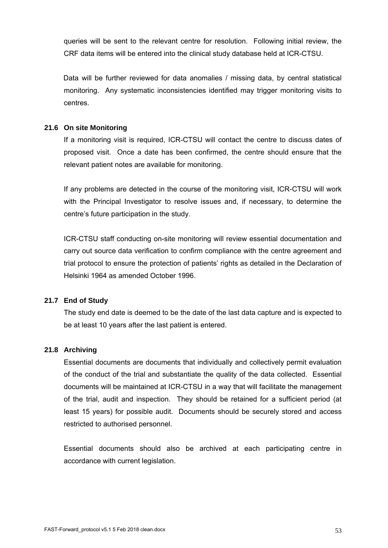queries will be sent to the relevant centre for resolution. Following initial review, the CRF data items will be entered into the clinical study database held at ICR-CTSU.

Data will be further reviewed for data anomalies / missing data, by central statistical monitoring. Any systematic inconsistencies identified may trigger monitoring visits to centres.

### **21.6 On site Monitoring**

If a monitoring visit is required, ICR-CTSU will contact the centre to discuss dates of proposed visit. Once a date has been confirmed, the centre should ensure that the relevant patient notes are available for monitoring.

If any problems are detected in the course of the monitoring visit, ICR-CTSU will work with the Principal Investigator to resolve issues and, if necessary, to determine the centre's future participation in the study.

ICR-CTSU staff conducting on-site monitoring will review essential documentation and carry out source data verification to confirm compliance with the centre agreement and trial protocol to ensure the protection of patients' rights as detailed in the Declaration of Helsinki 1964 as amended October 1996.

# **21.7 End of Study**

The study end date is deemed to be the date of the last data capture and is expected to be at least 10 years after the last patient is entered.

# **21.8 Archiving**

Essential documents are documents that individually and collectively permit evaluation of the conduct of the trial and substantiate the quality of the data collected. Essential documents will be maintained at ICR-CTSU in a way that will facilitate the management of the trial, audit and inspection. They should be retained for a sufficient period (at least 15 years) for possible audit. Documents should be securely stored and access restricted to authorised personnel.

Essential documents should also be archived at each participating centre in accordance with current legislation.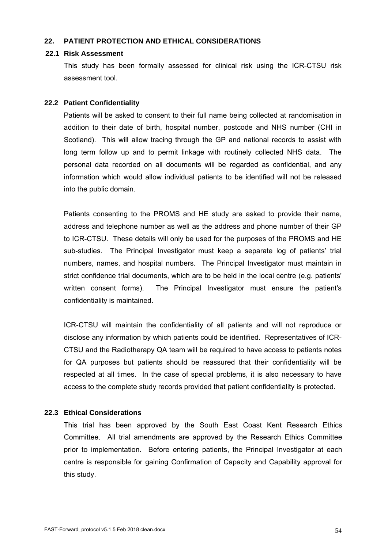### **22. PATIENT PROTECTION AND ETHICAL CONSIDERATIONS**

### **22.1 Risk Assessment**

This study has been formally assessed for clinical risk using the ICR-CTSU risk assessment tool.

### **22.2 Patient Confidentiality**

Patients will be asked to consent to their full name being collected at randomisation in addition to their date of birth, hospital number, postcode and NHS number (CHI in Scotland). This will allow tracing through the GP and national records to assist with long term follow up and to permit linkage with routinely collected NHS data. The personal data recorded on all documents will be regarded as confidential, and any information which would allow individual patients to be identified will not be released into the public domain.

Patients consenting to the PROMS and HE study are asked to provide their name, address and telephone number as well as the address and phone number of their GP to ICR-CTSU. These details will only be used for the purposes of the PROMS and HE sub-studies. The Principal Investigator must keep a separate log of patients' trial numbers, names, and hospital numbers. The Principal Investigator must maintain in strict confidence trial documents, which are to be held in the local centre (e.g. patients' written consent forms). The Principal Investigator must ensure the patient's confidentiality is maintained.

ICR-CTSU will maintain the confidentiality of all patients and will not reproduce or disclose any information by which patients could be identified. Representatives of ICR-CTSU and the Radiotherapy QA team will be required to have access to patients notes for QA purposes but patients should be reassured that their confidentiality will be respected at all times. In the case of special problems, it is also necessary to have access to the complete study records provided that patient confidentiality is protected.

# **22.3 Ethical Considerations**

This trial has been approved by the South East Coast Kent Research Ethics Committee. All trial amendments are approved by the Research Ethics Committee prior to implementation. Before entering patients, the Principal Investigator at each centre is responsible for gaining Confirmation of Capacity and Capability approval for this study.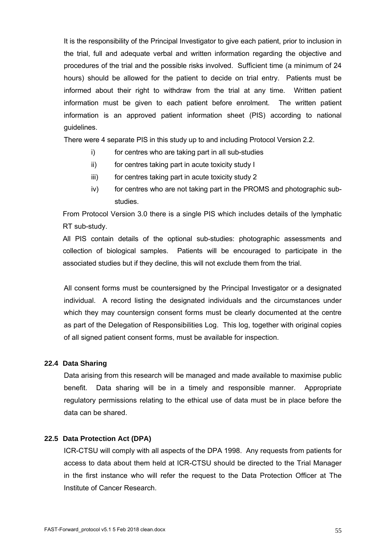It is the responsibility of the Principal Investigator to give each patient, prior to inclusion in the trial, full and adequate verbal and written information regarding the objective and procedures of the trial and the possible risks involved. Sufficient time (a minimum of 24 hours) should be allowed for the patient to decide on trial entry. Patients must be informed about their right to withdraw from the trial at any time. Written patient information must be given to each patient before enrolment. The written patient information is an approved patient information sheet (PIS) according to national guidelines.

There were 4 separate PIS in this study up to and including Protocol Version 2.2.

- i) for centres who are taking part in all sub-studies
- ii) for centres taking part in acute toxicity study I
- iii) for centres taking part in acute toxicity study 2
- iv) for centres who are not taking part in the PROMS and photographic substudies.

From Protocol Version 3.0 there is a single PIS which includes details of the lymphatic RT sub-study.

All PIS contain details of the optional sub-studies: photographic assessments and collection of biological samples. Patients will be encouraged to participate in the associated studies but if they decline, this will not exclude them from the trial.

All consent forms must be countersigned by the Principal Investigator or a designated individual. A record listing the designated individuals and the circumstances under which they may countersign consent forms must be clearly documented at the centre as part of the Delegation of Responsibilities Log. This log, together with original copies of all signed patient consent forms, must be available for inspection.

#### **22.4 Data Sharing**

Data arising from this research will be managed and made available to maximise public benefit. Data sharing will be in a timely and responsible manner. Appropriate regulatory permissions relating to the ethical use of data must be in place before the data can be shared.

### **22.5 Data Protection Act (DPA)**

ICR-CTSU will comply with all aspects of the DPA 1998. Any requests from patients for access to data about them held at ICR-CTSU should be directed to the Trial Manager in the first instance who will refer the request to the Data Protection Officer at The Institute of Cancer Research.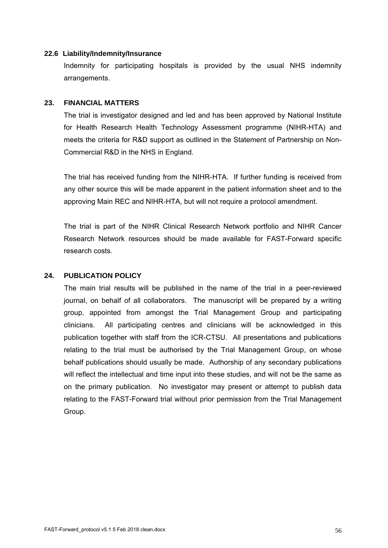### **22.6 Liability/Indemnity/Insurance**

Indemnity for participating hospitals is provided by the usual NHS indemnity arrangements.

#### **23. FINANCIAL MATTERS**

The trial is investigator designed and led and has been approved by National Institute for Health Research Health Technology Assessment programme (NIHR-HTA) and meets the criteria for R&D support as outlined in the Statement of Partnership on Non-Commercial R&D in the NHS in England.

The trial has received funding from the NIHR-HTA. If further funding is received from any other source this will be made apparent in the patient information sheet and to the approving Main REC and NIHR-HTA, but will not require a protocol amendment.

The trial is part of the NIHR Clinical Research Network portfolio and NIHR Cancer Research Network resources should be made available for FAST-Forward specific research costs.

### **24. PUBLICATION POLICY**

The main trial results will be published in the name of the trial in a peer-reviewed journal, on behalf of all collaborators. The manuscript will be prepared by a writing group, appointed from amongst the Trial Management Group and participating clinicians. All participating centres and clinicians will be acknowledged in this publication together with staff from the ICR-CTSU. All presentations and publications relating to the trial must be authorised by the Trial Management Group, on whose behalf publications should usually be made. Authorship of any secondary publications will reflect the intellectual and time input into these studies, and will not be the same as on the primary publication. No investigator may present or attempt to publish data relating to the FAST-Forward trial without prior permission from the Trial Management Group.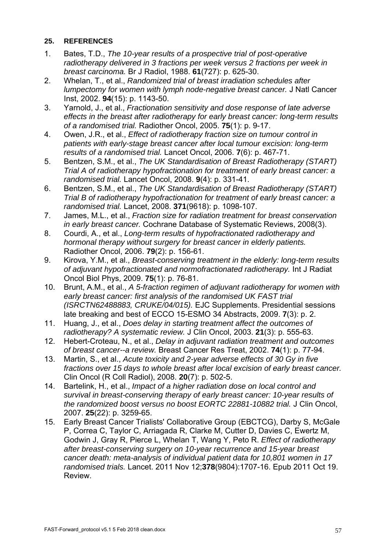# **25. REFERENCES**

- 1. Bates, T.D., *The 10-year results of a prospective trial of post-operative*  radiotherapy delivered in 3 fractions per week versus 2 fractions per week in *breast carcinoma.* Br J Radiol, 1988. **61**(727): p. 625-30.
- 2. Whelan, T., et al., *Randomized trial of breast irradiation schedules after lumpectomy for women with lymph node-negative breast cancer.* J Natl Cancer Inst, 2002. **94**(15): p. 1143-50.
- 3. Yarnold, J., et al., *Fractionation sensitivity and dose response of late adverse effects in the breast after radiotherapy for early breast cancer: long-term results of a randomised trial.* Radiother Oncol, 2005. **75**(1): p. 9-17.
- 4. Owen, J.R., et al., *Effect of radiotherapy fraction size on tumour control in patients with early-stage breast cancer after local tumour excision: long-term results of a randomised trial.* Lancet Oncol, 2006. **7**(6): p. 467-71.
- 5. Bentzen, S.M., et al., *The UK Standardisation of Breast Radiotherapy (START) Trial A of radiotherapy hypofractionation for treatment of early breast cancer: a randomised trial.* Lancet Oncol, 2008. **9**(4): p. 331-41.
- 6. Bentzen, S.M., et al., *The UK Standardisation of Breast Radiotherapy (START) Trial B of radiotherapy hypofractionation for treatment of early breast cancer: a randomised trial.* Lancet, 2008. **371**(9618): p. 1098-107.
- 7. James, M.L., et al., *Fraction size for radiation treatment for breast conservation in early breast cancer.* Cochrane Database of Systematic Reviews, 2008(3).
- 8. Courdi, A., et al., *Long-term results of hypofractionated radiotherapy and hormonal therapy without surgery for breast cancer in elderly patients.* Radiother Oncol, 2006. **79**(2): p. 156-61.
- 9. Kirova, Y.M., et al., *Breast-conserving treatment in the elderly: long-term results of adjuvant hypofractionated and normofractionated radiotherapy.* Int J Radiat Oncol Biol Phys, 2009. **75**(1): p. 76-81.
- 10. Brunt, A.M., et al., *A 5-fraction regimen of adjuvant radiotherapy for women with early breast cancer: first analysis of the randomised UK FAST trial (ISRCTN62488883, CRUKE/04/015).* EJC Supplements. Presidential sessions late breaking and best of ECCO 15-ESMO 34 Abstracts, 2009. **7**(3): p. 2.
- 11. Huang, J., et al., *Does delay in starting treatment affect the outcomes of radiotherapy? A systematic review.* J Clin Oncol, 2003. **21**(3): p. 555-63.
- 12. Hebert-Croteau, N., et al., *Delay in adjuvant radiation treatment and outcomes of breast cancer--a review.* Breast Cancer Res Treat, 2002. **74**(1): p. 77-94.
- 13. Martin, S., et al., *Acute toxicity and 2-year adverse effects of 30 Gy in five fractions over 15 days to whole breast after local excision of early breast cancer.* Clin Oncol (R Coll Radiol), 2008. **20**(7): p. 502-5.
- 14. Bartelink, H., et al., *Impact of a higher radiation dose on local control and survival in breast-conserving therapy of early breast cancer: 10-year results of the randomized boost versus no boost EORTC 22881-10882 trial.* J Clin Oncol, 2007. **25**(22): p. 3259-65.
- 15. Early Breast Cancer Trialists' Collaborative Group (EBCTCG), Darby S, McGale P, Correa C, Taylor C, Arriagada R, Clarke M, Cutter D, Davies C, Ewertz M, Godwin J, Gray R, Pierce L, Whelan T, Wang Y, Peto R. *Effect of radiotherapy after breast-conserving surgery on 10-year recurrence and 15-year breast cancer death: meta-analysis of individual patient data for 10,801 women in 17 randomised trials.* Lancet. 2011 Nov 12;**378**(9804):1707-16. Epub 2011 Oct 19. Review.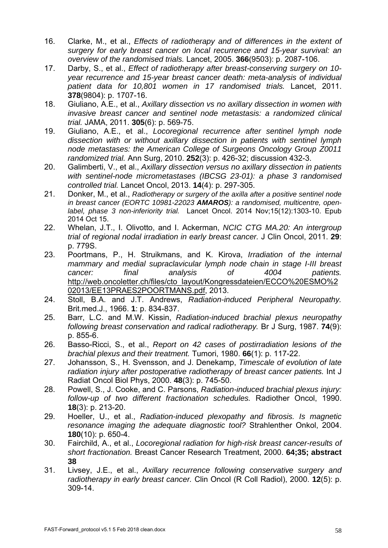- 16. Clarke, M., et al., *Effects of radiotherapy and of differences in the extent of surgery for early breast cancer on local recurrence and 15-year survival: an overview of the randomised trials.* Lancet, 2005. **366**(9503): p. 2087-106.
- 17. Darby, S., et al., *Effect of radiotherapy after breast-conserving surgery on 10 year recurrence and 15-year breast cancer death: meta-analysis of individual patient data for 10,801 women in 17 randomised trials.* Lancet, 2011. **378**(9804): p. 1707-16.
- 18. Giuliano, A.E., et al., *Axillary dissection vs no axillary dissection in women with invasive breast cancer and sentinel node metastasis: a randomized clinical trial.* JAMA, 2011. **305**(6): p. 569-75.
- 19. Giuliano, A.E., et al., *Locoregional recurrence after sentinel lymph node dissection with or without axillary dissection in patients with sentinel lymph node metastases: the American College of Surgeons Oncology Group Z0011 randomized trial.* Ann Surg, 2010. **252**(3): p. 426-32; discussion 432-3.
- 20. Galimberti, V., et al., *Axillary dissection versus no axillary dissection in patients with sentinel-node micrometastases (IBCSG 23-01): a phase 3 randomised controlled trial.* Lancet Oncol, 2013. **14**(4): p. 297-305.
- 21. Donker, M., et al., *Radiotherapy or surgery of the axilla after a positive sentinel node in breast cancer (EORTC 10981-22023 AMAROS): a randomised, multicentre, openlabel, phase 3 non-inferiority trial.* Lancet Oncol. 2014 Nov;15(12):1303-10. Epub 2014 Oct 15.
- 22. Whelan, J.T., I. Olivotto, and I. Ackerman, *NCIC CTG MA.20: An intergroup trial of regional nodal irradiation in early breast cancer.* J Clin Oncol, 2011. **29**: p. 779S.
- 23. Poortmans, P., H. Struikmans, and K. Kirova, *Irradiation of the internal mammary and medial supraclavicular lymph node chain in stage I-III breast cancer: final analysis of 4004 patients.* http://web.oncoletter.ch/files/cto\_layout/Kongressdateien/ECCO%20ESMO%2 02013/EE13PRAES2POORTMANS.pdf, 2013.
- 24. Stoll, B.A. and J.T. Andrews, *Radiation-induced Peripheral Neuropathy.* Brit.med.J., 1966. **1**: p. 834-837.
- 25. Barr, L.C. and M.W. Kissin, *Radiation-induced brachial plexus neuropathy following breast conservation and radical radiotherapy.* Br J Surg, 1987. **74**(9): p. 855-6.
- 26. Basso-Ricci, S., et al., *Report on 42 cases of postirradiation lesions of the brachial plexus and their treatment.* Tumori, 1980. **66**(1): p. 117-22.
- 27. Johansson, S., H. Svensson, and J. Denekamp, *Timescale of evolution of late radiation injury after postoperative radiotherapy of breast cancer patients.* Int J Radiat Oncol Biol Phys, 2000. **48**(3): p. 745-50.
- 28. Powell, S., J. Cooke, and C. Parsons, *Radiation-induced brachial plexus injury: follow-up of two different fractionation schedules.* Radiother Oncol, 1990. **18**(3): p. 213-20.
- 29. Hoeller, U., et al., *Radiation-induced plexopathy and fibrosis. Is magnetic resonance imaging the adequate diagnostic tool?* Strahlenther Onkol, 2004. **180**(10): p. 650-4.
- 30. Fairchild, A., et al., *Locoregional radiation for high-risk breast cancer-results of short fractionation.* Breast Cancer Research Treatment, 2000. **64;35; abstract 38**
- 31. Livsey, J.E., et al., *Axillary recurrence following conservative surgery and radiotherapy in early breast cancer.* Clin Oncol (R Coll Radiol), 2000. **12**(5): p. 309-14.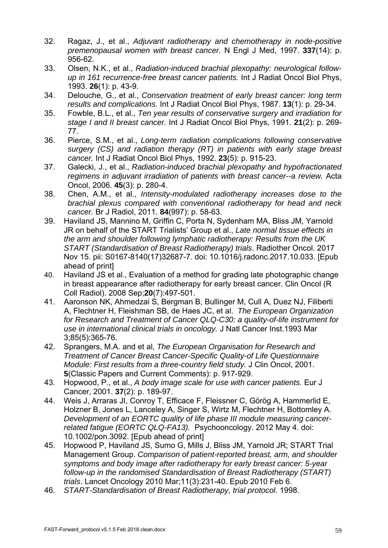- 32. Ragaz, J., et al., *Adjuvant radiotherapy and chemotherapy in node-positive premenopausal women with breast cancer.* N Engl J Med, 1997. **337**(14): p. 956-62.
- 33. Olsen, N.K., et al., *Radiation-induced brachial plexopathy: neurological followup in 161 recurrence-free breast cancer patients.* Int J Radiat Oncol Biol Phys, 1993. **26**(1): p. 43-9.
- 34. Delouche, G., et al., *Conservation treatment of early breast cancer: long term results and complications.* Int J Radiat Oncol Biol Phys, 1987. **13**(1): p. 29-34.
- 35. Fowble, B.L., et al., *Ten year results of conservative surgery and irradiation for stage I and II breast cancer.* Int J Radiat Oncol Biol Phys, 1991. **21**(2): p. 269- 77.
- 36. Pierce, S.M., et al., *Long-term radiation complications following conservative surgery (CS) and radiation therapy (RT) in patients with early stage breast cancer.* Int J Radiat Oncol Biol Phys, 1992. **23**(5): p. 915-23.
- 37. Galecki, J., et al., *Radiation-induced brachial plexopathy and hypofractionated regimens in adjuvant irradiation of patients with breast cancer--a review.* Acta Oncol, 2006. **45**(3): p. 280-4.
- 38. Chen, A.M., et al., *Intensity-modulated radiotherapy increases dose to the brachial plexus compared with conventional radiotherapy for head and neck cancer.* Br J Radiol, 2011. **84**(997): p. 58-63.
- 39. Haviland JS, Mannino M, Griffin C, Porta N, Sydenham MA, Bliss JM, Yarnold JR on behalf of the START Trialists' Group et al., *Late normal tissue effects in the arm and shoulder following lymphatic radiotherapy: Results from the UK START (Standardisation of Breast Radiotherapy) trials*. Radiother Oncol. 2017 Nov 15. pii: S0167-8140(17)32687-7. doi: 10.1016/j.radonc.2017.10.033. [Epub ahead of print]
- 40. Haviland JS et al., Evaluation of a method for grading late photographic change in breast appearance after radiotherapy for early breast cancer. Clin Oncol (R Coll Radiol). 2008 Sep;**20**(7):497-501.
- 41. Aaronson NK, Ahmedzai S, Bergman B, Bullinger M, Cull A, Duez NJ, Filiberti A, Flechtner H, Fleishman SB, de Haes JC, et al. *The European Organization for Research and Treatment of Cancer QLQ-C30: a quality-of-life instrument for use in international clinical trials in oncology.* J Natl Cancer Inst.1993 Mar 3;85(5):365-76.
- 42. Sprangers, M.A. and et al, *The European Organisation for Research and Treatment of Cancer Breast Cancer-Specific Quality-of Life Questionnaire Module: First results from a three-country field study.* J Clin Oncol, 2001. **5**(Classic Papers and Current Comments): p. 917-929.
- 43. Hopwood, P., et al., *A body image scale for use with cancer patients.* Eur J Cancer, 2001. **37**(2): p. 189-97.
- 44. Weis J, Arraras JI, Conroy T, Efficace F, Fleissner C, Görög A, Hammerlid E, Holzner B, Jones L, Lanceley A, Singer S, Wirtz M, Flechtner H, Bottomley A. *Development of an EORTC quality of life phase III module measuring cancerrelated fatigue (EORTC QLQ-FA13).* Psychooncology. 2012 May 4. doi: 10.1002/pon.3092. [Epub ahead of print]
- 45. Hopwood P, Haviland JS, Sumo G, Mills J, Bliss JM, Yarnold JR; START Trial Management Group. *Comparison of patient-reported breast, arm, and shoulder symptoms and body image after radiotherapy for early breast cancer: 5-year follow-up in the randomised Standardisation of Breast Radiotherapy (START) trials*. Lancet Oncology 2010 Mar;11(3):231-40. Epub 2010 Feb 6.
- 46. *START-Standardisation of Breast Radiotherapy, trial protocol*. 1998.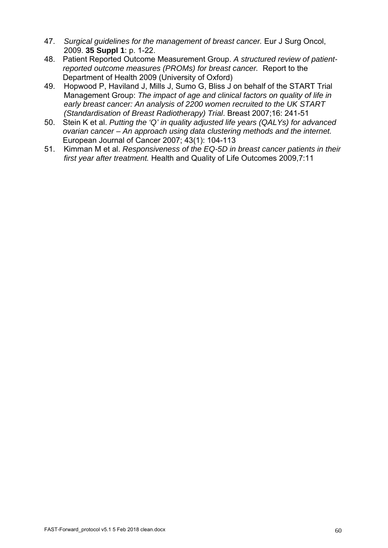- 47. *Surgical guidelines for the management of breast cancer.* Eur J Surg Oncol, 2009. **35 Suppl 1**: p. 1-22.
- 48. Patient Reported Outcome Measurement Group. *A structured review of patientreported outcome measures (PROMs) for breast cancer.* Report to the Department of Health 2009 (University of Oxford)
- 49. Hopwood P, Haviland J, Mills J, Sumo G, Bliss J on behalf of the START Trial Management Group: *The impact of age and clinical factors on quality of life in early breast cancer: An analysis of 2200 women recruited to the UK START (Standardisation of Breast Radiotherapy) Trial*. Breast 2007;16: 241-51
- 50. Stein K et al. *Putting the 'Q' in quality adjusted life years (QALYs) for advanced ovarian cancer – An approach using data clustering methods and the internet.* European Journal of Cancer 2007; 43(1): 104-113
- 51. Kimman M et al. *Responsiveness of the EQ-5D in breast cancer patients in their first year after treatment.* Health and Quality of Life Outcomes 2009,7:11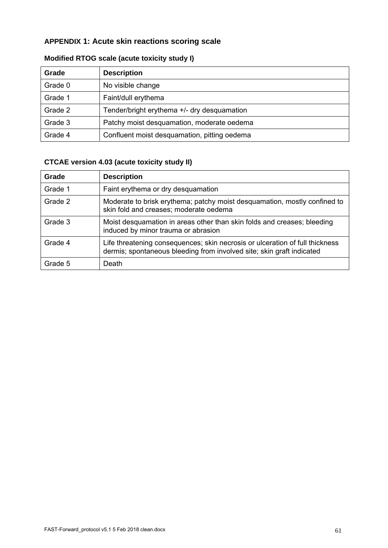# **APPENDIX 1: Acute skin reactions scoring scale**

| Grade   | <b>Description</b>                           |
|---------|----------------------------------------------|
| Grade 0 | No visible change                            |
| Grade 1 | Faint/dull erythema                          |
| Grade 2 | Tender/bright erythema +/- dry desquamation  |
| Grade 3 | Patchy moist desquamation, moderate oedema   |
| Grade 4 | Confluent moist desquamation, pitting oedema |

# **Modified RTOG scale (acute toxicity study I)**

# **CTCAE version 4.03 (acute toxicity study II)**

| Grade   | <b>Description</b>                                                                                                                                    |
|---------|-------------------------------------------------------------------------------------------------------------------------------------------------------|
| Grade 1 | Faint erythema or dry desquamation                                                                                                                    |
| Grade 2 | Moderate to brisk erythema; patchy moist desquamation, mostly confined to<br>skin fold and creases; moderate oedema                                   |
| Grade 3 | Moist desquamation in areas other than skin folds and creases; bleeding<br>induced by minor trauma or abrasion                                        |
| Grade 4 | Life threatening consequences; skin necrosis or ulceration of full thickness<br>dermis; spontaneous bleeding from involved site; skin graft indicated |
| Grade 5 | Death                                                                                                                                                 |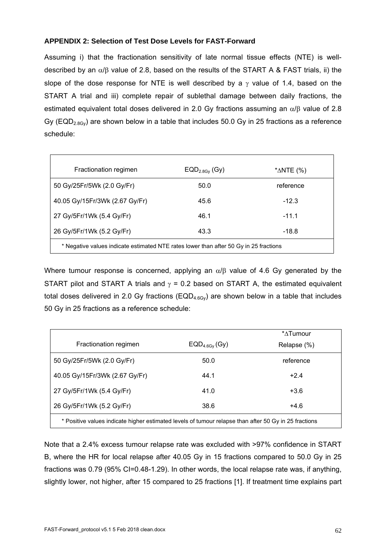### **APPENDIX 2: Selection of Test Dose Levels for FAST-Forward**

Assuming i) that the fractionation sensitivity of late normal tissue effects (NTE) is welldescribed by an  $\alpha/\beta$  value of 2.8, based on the results of the START A & FAST trials, ii) the slope of the dose response for NTE is well described by a  $\gamma$  value of 1.4, based on the START A trial and iii) complete repair of sublethal damage between daily fractions, the estimated equivalent total doses delivered in 2.0 Gy fractions assuming an  $\alpha/\beta$  value of 2.8 Gy ( $EQD_{2.8Gv}$ ) are shown below in a table that includes 50.0 Gy in 25 fractions as a reference schedule:

| Fractionation regimen                                                                 | $EQD2.8Gy$ (Gy) | * $\triangle$ NTE (%) |  |  |  |
|---------------------------------------------------------------------------------------|-----------------|-----------------------|--|--|--|
| 50 Gy/25Fr/5Wk (2.0 Gy/Fr)                                                            | 50.0            | reference             |  |  |  |
| 40.05 Gy/15Fr/3Wk (2.67 Gy/Fr)                                                        | 45.6            | $-12.3$               |  |  |  |
| 27 Gy/5Fr/1Wk (5.4 Gy/Fr)                                                             | 46.1            | $-11.1$               |  |  |  |
| 26 Gy/5Fr/1Wk (5.2 Gy/Fr)                                                             | 43.3            | -18.8                 |  |  |  |
| * Negative values indicate estimated NTE rates lower than after 50 Gy in 25 fractions |                 |                       |  |  |  |

Where tumour response is concerned, applying an  $\alpha/\beta$  value of 4.6 Gy generated by the START pilot and START A trials and  $\gamma = 0.2$  based on START A, the estimated equivalent total doses delivered in 2.0 Gy fractions ( $EQD_{4.6Gy}$ ) are shown below in a table that includes 50 Gy in 25 fractions as a reference schedule:

|                                                                                                       |                    | $*$ $\Delta$ Tumour |  |  |
|-------------------------------------------------------------------------------------------------------|--------------------|---------------------|--|--|
| Fractionation regimen                                                                                 | $EQD_{4.6Gy}$ (Gy) | Relapse (%)         |  |  |
| 50 Gy/25Fr/5Wk (2.0 Gy/Fr)                                                                            | 50.0               | reference           |  |  |
| 40.05 Gy/15Fr/3Wk (2.67 Gy/Fr)                                                                        | 44.1               | $+2.4$              |  |  |
| 27 Gy/5Fr/1Wk (5.4 Gy/Fr)                                                                             | 41.0               | $+3.6$              |  |  |
| 26 Gy/5Fr/1Wk (5.2 Gy/Fr)                                                                             | 38.6               | $+4.6$              |  |  |
| * Positive values indicate higher estimated levels of tumour relapse than after 50 Gy in 25 fractions |                    |                     |  |  |

Note that a 2.4% excess tumour relapse rate was excluded with >97% confidence in START B, where the HR for local relapse after 40.05 Gy in 15 fractions compared to 50.0 Gy in 25 fractions was 0.79 (95% CI=0.48-1.29). In other words, the local relapse rate was, if anything, slightly lower, not higher, after 15 compared to 25 fractions [1]. If treatment time explains part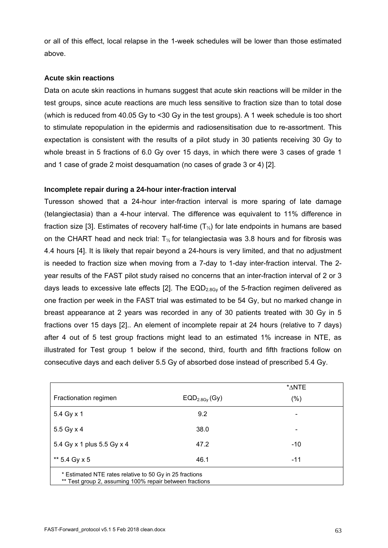or all of this effect, local relapse in the 1-week schedules will be lower than those estimated above.

### **Acute skin reactions**

Data on acute skin reactions in humans suggest that acute skin reactions will be milder in the test groups, since acute reactions are much less sensitive to fraction size than to total dose (which is reduced from 40.05 Gy to <30 Gy in the test groups). A 1 week schedule is too short to stimulate repopulation in the epidermis and radiosensitisation due to re-assortment. This expectation is consistent with the results of a pilot study in 30 patients receiving 30 Gy to whole breast in 5 fractions of 6.0 Gy over 15 days, in which there were 3 cases of grade 1 and 1 case of grade 2 moist desquamation (no cases of grade 3 or 4) [2].

### **Incomplete repair during a 24-hour inter-fraction interval**

Turesson showed that a 24-hour inter-fraction interval is more sparing of late damage (telangiectasia) than a 4-hour interval. The difference was equivalent to 11% difference in fraction size [3]. Estimates of recovery half-time  $(T<sub>\&</sub>)$  for late endpoints in humans are based on the CHART head and neck trial:  $T_{\%}$  for telangiectasia was 3.8 hours and for fibrosis was 4.4 hours [4]. It is likely that repair beyond a 24-hours is very limited, and that no adjustment is needed to fraction size when moving from a 7-day to 1-day inter-fraction interval. The 2 year results of the FAST pilot study raised no concerns that an inter-fraction interval of 2 or 3 days leads to excessive late effects [2]. The  $EQD_{2.8Gv}$  of the 5-fraction regimen delivered as one fraction per week in the FAST trial was estimated to be 54 Gy, but no marked change in breast appearance at 2 years was recorded in any of 30 patients treated with 30 Gy in 5 fractions over 15 days [2].. An element of incomplete repair at 24 hours (relative to 7 days) after 4 out of 5 test group fractions might lead to an estimated 1% increase in NTE, as illustrated for Test group 1 below if the second, third, fourth and fifth fractions follow on consecutive days and each deliver 5.5 Gy of absorbed dose instead of prescribed 5.4 Gy.

|                                                                                                                    |                 | *ANTE |  |  |  |
|--------------------------------------------------------------------------------------------------------------------|-----------------|-------|--|--|--|
| Fractionation regimen                                                                                              | $EQD2.8Gy$ (Gy) | (% )  |  |  |  |
| 5.4 Gy x 1                                                                                                         | 9.2             |       |  |  |  |
| 5.5 Gy x 4                                                                                                         | 38.0            |       |  |  |  |
| 5.4 Gy x 1 plus 5.5 Gy x 4                                                                                         | 47.2            | $-10$ |  |  |  |
| ** 5.4 Gy x 5                                                                                                      | 46.1            | $-11$ |  |  |  |
| * Estimated NTE rates relative to 50 Gy in 25 fractions<br>** Test group 2, assuming 100% repair between fractions |                 |       |  |  |  |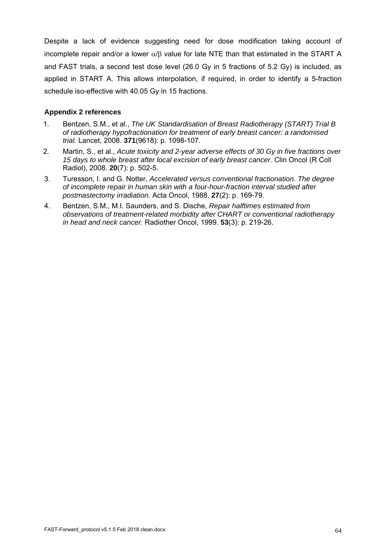Despite a lack of evidence suggesting need for dose modification taking account of incomplete repair and/or a lower  $\alpha/\beta$  value for late NTE than that estimated in the START A and FAST trials, a second test dose level (26.0 Gy in 5 fractions of 5.2 Gy) is included, as applied in START A. This allows interpolation, if required, in order to identify a 5-fraction schedule iso-effective with 40.05 Gy in 15 fractions.

### **Appendix 2 references**

- 1. Bentzen, S.M., et al., *The UK Standardisation of Breast Radiotherapy (START) Trial B of radiotherapy hypofractionation for treatment of early breast cancer: a randomised trial.* Lancet, 2008. **371**(9618): p. 1098-107.
- 2. Martin, S., et al., *Acute toxicity and 2-year adverse effects of 30 Gy in five fractions over 15 days to whole breast after local excision of early breast cancer.* Clin Oncol (R Coll Radiol), 2008. **20**(7): p. 502-5.
- 3. Turesson, I. and G. Notter, *Accelerated versus conventional fractionation. The degree of incomplete repair in human skin with a four-hour-fraction interval studied after postmastectomy irradiation.* Acta Oncol, 1988. **27**(2): p. 169-79.
- 4. Bentzen, S.M., M.I. Saunders, and S. Dische, *Repair halftimes estimated from observations of treatment-related morbidity after CHART or conventional radiotherapy in head and neck cancer.* Radiother Oncol, 1999. **53**(3): p. 219-26.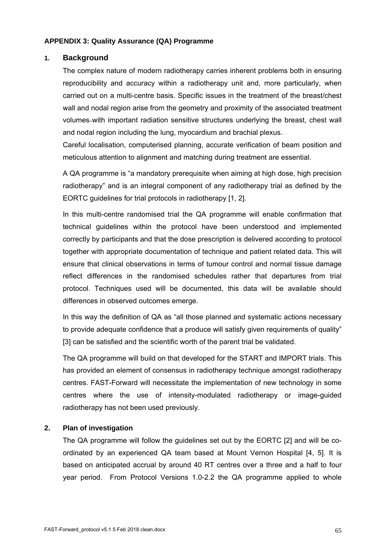### **APPENDIX 3: Quality Assurance (QA) Programme**

### **1. Background**

The complex nature of modern radiotherapy carries inherent problems both in ensuring reproducibility and accuracy within a radiotherapy unit and, more particularly, when carried out on a multi-centre basis. Specific issues in the treatment of the breast/chest wall and nodal region arise from the geometry and proximity of the associated treatment volumes-with important radiation sensitive structures underlying the breast, chest wall and nodal region including the lung, myocardium and brachial plexus.

Careful localisation, computerised planning, accurate verification of beam position and meticulous attention to alignment and matching during treatment are essential.

A QA programme is "a mandatory prerequisite when aiming at high dose, high precision radiotherapy" and is an integral component of any radiotherapy trial as defined by the EORTC guidelines for trial protocols in radiotherapy [1, 2].

In this multi-centre randomised trial the QA programme will enable confirmation that technical guidelines within the protocol have been understood and implemented correctly by participants and that the dose prescription is delivered according to protocol together with appropriate documentation of technique and patient related data. This will ensure that clinical observations in terms of tumour control and normal tissue damage reflect differences in the randomised schedules rather that departures from trial protocol. Techniques used will be documented, this data will be available should differences in observed outcomes emerge.

In this way the definition of QA as "all those planned and systematic actions necessary to provide adequate confidence that a produce will satisfy given requirements of quality" [3] can be satisfied and the scientific worth of the parent trial be validated.

The QA programme will build on that developed for the START and IMPORT trials. This has provided an element of consensus in radiotherapy technique amongst radiotherapy centres. FAST-Forward will necessitate the implementation of new technology in some centres where the use of intensity-modulated radiotherapy or image-guided radiotherapy has not been used previously.

### **2. Plan of investigation**

The QA programme will follow the guidelines set out by the EORTC [2] and will be coordinated by an experienced QA team based at Mount Vernon Hospital [4, 5]. It is based on anticipated accrual by around 40 RT centres over a three and a half to four year period. From Protocol Versions 1.0-2.2 the QA programme applied to whole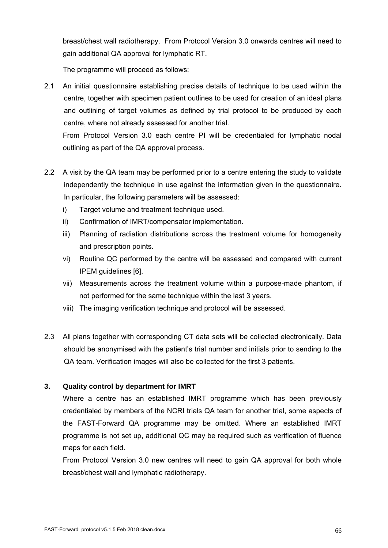breast/chest wall radiotherapy. From Protocol Version 3.0 onwards centres will need to gain additional QA approval for lymphatic RT.

The programme will proceed as follows:

2.1 An initial questionnaire establishing precise details of technique to be used within the centre, together with specimen patient outlines to be used for creation of an ideal plans and outlining of target volumes as defined by trial protocol to be produced by each centre, where not already assessed for another trial.

From Protocol Version 3.0 each centre PI will be credentialed for lymphatic nodal outlining as part of the QA approval process.

- 2.2 A visit by the QA team may be performed prior to a centre entering the study to validate independently the technique in use against the information given in the questionnaire. In particular, the following parameters will be assessed:
	- i) Target volume and treatment technique used.
	- ii) Confirmation of IMRT/compensator implementation.
	- iii) Planning of radiation distributions across the treatment volume for homogeneity and prescription points.
	- vi) Routine QC performed by the centre will be assessed and compared with current IPEM guidelines [6].
	- vii) Measurements across the treatment volume within a purpose-made phantom, if not performed for the same technique within the last 3 years.
	- viii) The imaging verification technique and protocol will be assessed.
- 2.3 All plans together with corresponding CT data sets will be collected electronically. Data should be anonymised with the patient's trial number and initials prior to sending to the QA team. Verification images will also be collected for the first 3 patients.

# **3. Quality control by department for IMRT**

Where a centre has an established IMRT programme which has been previously credentialed by members of the NCRI trials QA team for another trial, some aspects of the FAST-Forward QA programme may be omitted. Where an established IMRT programme is not set up, additional QC may be required such as verification of fluence maps for each field.

From Protocol Version 3.0 new centres will need to gain QA approval for both whole breast/chest wall and lymphatic radiotherapy.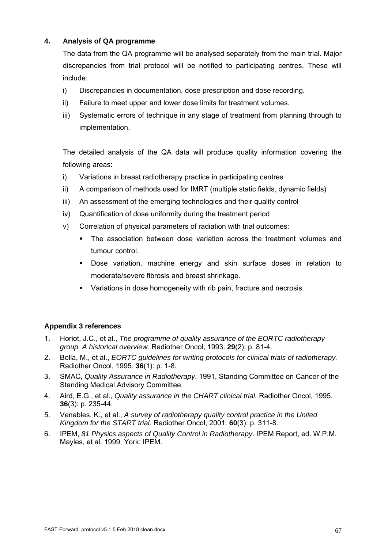# **4. Analysis of QA programme**

The data from the QA programme will be analysed separately from the main trial. Major discrepancies from trial protocol will be notified to participating centres. These will include:

- i) Discrepancies in documentation, dose prescription and dose recording.
- ii) Failure to meet upper and lower dose limits for treatment volumes.
- iii) Systematic errors of technique in any stage of treatment from planning through to implementation.

The detailed analysis of the QA data will produce quality information covering the following areas:

- i) Variations in breast radiotherapy practice in participating centres
- ii) A comparison of methods used for IMRT (multiple static fields, dynamic fields)
- iii) An assessment of the emerging technologies and their quality control
- iv) Quantification of dose uniformity during the treatment period
- v) Correlation of physical parameters of radiation with trial outcomes:
	- The association between dose variation across the treatment volumes and tumour control.
	- Dose variation, machine energy and skin surface doses in relation to moderate/severe fibrosis and breast shrinkage.
	- Variations in dose homogeneity with rib pain, fracture and necrosis.

# **Appendix 3 references**

- 1. Horiot, J.C., et al., *The programme of quality assurance of the EORTC radiotherapy group. A historical overview.* Radiother Oncol, 1993. **29**(2): p. 81-4.
- 2. Bolla, M., et al., *EORTC guidelines for writing protocols for clinical trials of radiotherapy.* Radiother Oncol, 1995. **36**(1): p. 1-8.
- 3. SMAC, *Quality Assurance in Radiotherapy*. 1991, Standing Committee on Cancer of the Standing Medical Advisory Committee.
- 4. Aird, E.G., et al., *Quality assurance in the CHART clinical trial.* Radiother Oncol, 1995. **36**(3): p. 235-44.
- 5. Venables, K., et al., *A survey of radiotherapy quality control practice in the United Kingdom for the START trial.* Radiother Oncol, 2001. **60**(3): p. 311-8.
- 6. IPEM, *81 Physics aspects of Quality Control in Radiotherapy*. IPEM Report, ed. W.P.M. Mayles, et al. 1999, York: IPEM.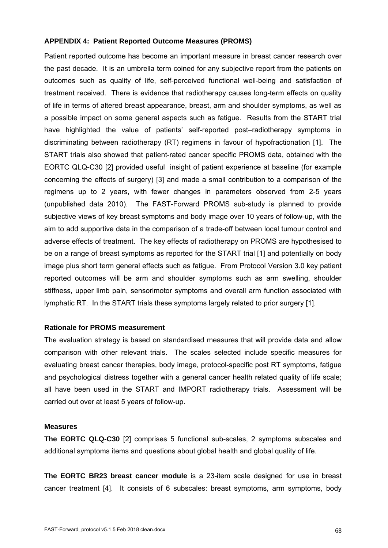#### **APPENDIX 4: Patient Reported Outcome Measures (PROMS)**

Patient reported outcome has become an important measure in breast cancer research over the past decade. It is an umbrella term coined for any subjective report from the patients on outcomes such as quality of life, self-perceived functional well-being and satisfaction of treatment received. There is evidence that radiotherapy causes long-term effects on quality of life in terms of altered breast appearance, breast, arm and shoulder symptoms, as well as a possible impact on some general aspects such as fatigue. Results from the START trial have highlighted the value of patients' self-reported post–radiotherapy symptoms in discriminating between radiotherapy (RT) regimens in favour of hypofractionation [1]. The START trials also showed that patient-rated cancer specific PROMS data, obtained with the EORTC QLQ-C30 [2] provided useful insight of patient experience at baseline (for example concerning the effects of surgery) [3] and made a small contribution to a comparison of the regimens up to 2 years, with fewer changes in parameters observed from 2-5 years (unpublished data 2010). The FAST-Forward PROMS sub-study is planned to provide subjective views of key breast symptoms and body image over 10 years of follow-up, with the aim to add supportive data in the comparison of a trade-off between local tumour control and adverse effects of treatment. The key effects of radiotherapy on PROMS are hypothesised to be on a range of breast symptoms as reported for the START trial [1] and potentially on body image plus short term general effects such as fatigue. From Protocol Version 3.0 key patient reported outcomes will be arm and shoulder symptoms such as arm swelling, shoulder stiffness, upper limb pain, sensorimotor symptoms and overall arm function associated with lymphatic RT. In the START trials these symptoms largely related to prior surgery [1].

#### **Rationale for PROMS measurement**

The evaluation strategy is based on standardised measures that will provide data and allow comparison with other relevant trials. The scales selected include specific measures for evaluating breast cancer therapies, body image, protocol-specific post RT symptoms, fatigue and psychological distress together with a general cancer health related quality of life scale; all have been used in the START and IMPORT radiotherapy trials. Assessment will be carried out over at least 5 years of follow-up.

#### **Measures**

**The EORTC QLQ-C30** [2] comprises 5 functional sub-scales, 2 symptoms subscales and additional symptoms items and questions about global health and global quality of life.

**The EORTC BR23 breast cancer module** is a 23-item scale designed for use in breast cancer treatment [4]. It consists of 6 subscales: breast symptoms, arm symptoms, body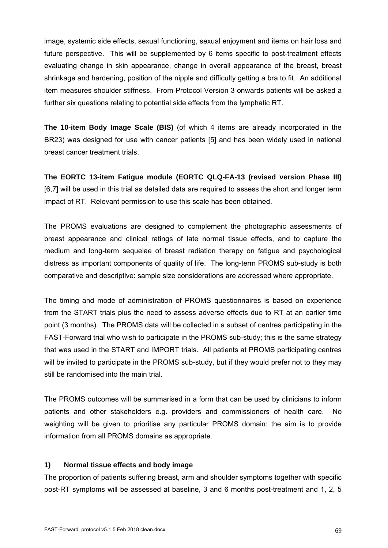image, systemic side effects, sexual functioning, sexual enjoyment and items on hair loss and future perspective. This will be supplemented by 6 items specific to post-treatment effects evaluating change in skin appearance, change in overall appearance of the breast, breast shrinkage and hardening, position of the nipple and difficulty getting a bra to fit. An additional item measures shoulder stiffness. From Protocol Version 3 onwards patients will be asked a further six questions relating to potential side effects from the lymphatic RT.

**The 10-item Body Image Scale (BIS)** (of which 4 items are already incorporated in the BR23) was designed for use with cancer patients [5] and has been widely used in national breast cancer treatment trials.

**The EORTC 13-item Fatigue module (EORTC QLQ-FA-13 (revised version Phase III)**  [6,7] will be used in this trial as detailed data are required to assess the short and longer term impact of RT. Relevant permission to use this scale has been obtained.

The PROMS evaluations are designed to complement the photographic assessments of breast appearance and clinical ratings of late normal tissue effects, and to capture the medium and long-term sequelae of breast radiation therapy on fatigue and psychological distress as important components of quality of life. The long-term PROMS sub-study is both comparative and descriptive: sample size considerations are addressed where appropriate.

The timing and mode of administration of PROMS questionnaires is based on experience from the START trials plus the need to assess adverse effects due to RT at an earlier time point (3 months). The PROMS data will be collected in a subset of centres participating in the FAST-Forward trial who wish to participate in the PROMS sub-study; this is the same strategy that was used in the START and IMPORT trials. All patients at PROMS participating centres will be invited to participate in the PROMS sub-study, but if they would prefer not to they may still be randomised into the main trial.

The PROMS outcomes will be summarised in a form that can be used by clinicians to inform patients and other stakeholders e.g. providers and commissioners of health care. No weighting will be given to prioritise any particular PROMS domain: the aim is to provide information from all PROMS domains as appropriate.

### **1) Normal tissue effects and body image**

The proportion of patients suffering breast, arm and shoulder symptoms together with specific post-RT symptoms will be assessed at baseline, 3 and 6 months post-treatment and 1, 2, 5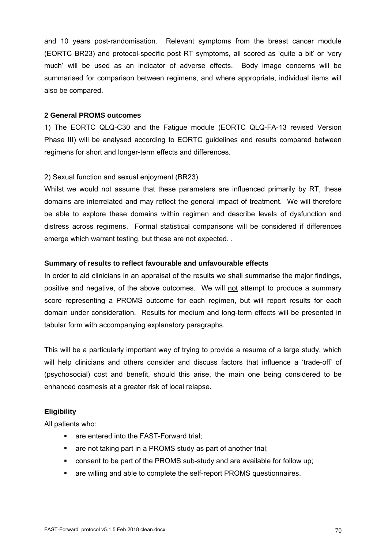and 10 years post-randomisation. Relevant symptoms from the breast cancer module (EORTC BR23) and protocol-specific post RT symptoms, all scored as 'quite a bit' or 'very much' will be used as an indicator of adverse effects. Body image concerns will be summarised for comparison between regimens, and where appropriate, individual items will also be compared.

### **2 General PROMS outcomes**

1) The EORTC QLQ-C30 and the Fatigue module (EORTC QLQ-FA-13 revised Version Phase III) will be analysed according to EORTC guidelines and results compared between regimens for short and longer-term effects and differences.

### 2) Sexual function and sexual enjoyment (BR23)

Whilst we would not assume that these parameters are influenced primarily by RT, these domains are interrelated and may reflect the general impact of treatment. We will therefore be able to explore these domains within regimen and describe levels of dysfunction and distress across regimens. Formal statistical comparisons will be considered if differences emerge which warrant testing, but these are not expected. .

### **Summary of results to reflect favourable and unfavourable effects**

In order to aid clinicians in an appraisal of the results we shall summarise the major findings, positive and negative, of the above outcomes. We will not attempt to produce a summary score representing a PROMS outcome for each regimen, but will report results for each domain under consideration. Results for medium and long-term effects will be presented in tabular form with accompanying explanatory paragraphs.

This will be a particularly important way of trying to provide a resume of a large study, which will help clinicians and others consider and discuss factors that influence a 'trade-off' of (psychosocial) cost and benefit, should this arise, the main one being considered to be enhanced cosmesis at a greater risk of local relapse.

### **Eligibility**

All patients who:

- **are entered into the FAST-Forward trial;**
- are not taking part in a PROMS study as part of another trial;
- consent to be part of the PROMS sub-study and are available for follow up;
- are willing and able to complete the self-report PROMS questionnaires.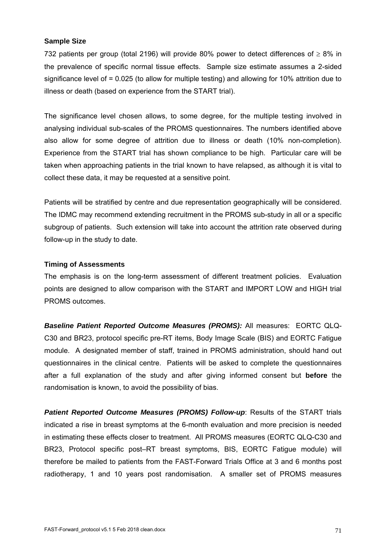#### **Sample Size**

732 patients per group (total 2196) will provide 80% power to detect differences of  $\geq 8\%$  in the prevalence of specific normal tissue effects. Sample size estimate assumes a 2-sided significance level of = 0.025 (to allow for multiple testing) and allowing for 10% attrition due to illness or death (based on experience from the START trial).

The significance level chosen allows, to some degree, for the multiple testing involved in analysing individual sub-scales of the PROMS questionnaires. The numbers identified above also allow for some degree of attrition due to illness or death (10% non-completion). Experience from the START trial has shown compliance to be high. Particular care will be taken when approaching patients in the trial known to have relapsed, as although it is vital to collect these data, it may be requested at a sensitive point.

Patients will be stratified by centre and due representation geographically will be considered. The IDMC may recommend extending recruitment in the PROMS sub-study in all or a specific subgroup of patients. Such extension will take into account the attrition rate observed during follow-up in the study to date.

#### **Timing of Assessments**

The emphasis is on the long-term assessment of different treatment policies. Evaluation points are designed to allow comparison with the START and IMPORT LOW and HIGH trial PROMS outcomes.

*Baseline Patient Reported Outcome Measures (PROMS):* All measures: EORTC QLQ-C30 and BR23, protocol specific pre-RT items, Body Image Scale (BIS) and EORTC Fatigue module. A designated member of staff, trained in PROMS administration, should hand out questionnaires in the clinical centre. Patients will be asked to complete the questionnaires after a full explanation of the study and after giving informed consent but **before** the randomisation is known, to avoid the possibility of bias.

**Patient Reported Outcome Measures (PROMS) Follow-up:** Results of the START trials indicated a rise in breast symptoms at the 6-month evaluation and more precision is needed in estimating these effects closer to treatment. All PROMS measures (EORTC QLQ-C30 and BR23, Protocol specific post–RT breast symptoms, BIS, EORTC Fatigue module) will therefore be mailed to patients from the FAST-Forward Trials Office at 3 and 6 months post radiotherapy, 1 and 10 years post randomisation. A smaller set of PROMS measures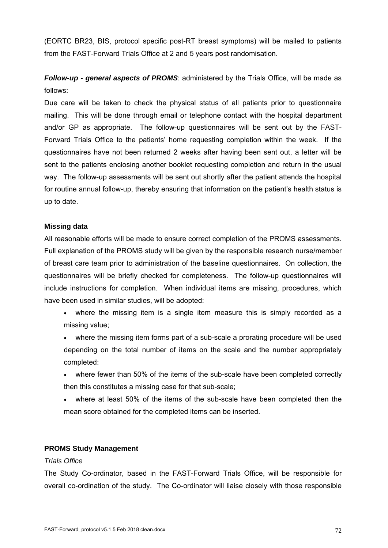(EORTC BR23, BIS, protocol specific post-RT breast symptoms) will be mailed to patients from the FAST-Forward Trials Office at 2 and 5 years post randomisation.

# *Follow-up - general aspects of PROMS*: administered by the Trials Office, will be made as follows:

Due care will be taken to check the physical status of all patients prior to questionnaire mailing. This will be done through email or telephone contact with the hospital department and/or GP as appropriate. The follow-up questionnaires will be sent out by the FAST-Forward Trials Office to the patients' home requesting completion within the week. If the questionnaires have not been returned 2 weeks after having been sent out, a letter will be sent to the patients enclosing another booklet requesting completion and return in the usual way. The follow-up assessments will be sent out shortly after the patient attends the hospital for routine annual follow-up, thereby ensuring that information on the patient's health status is up to date.

### **Missing data**

All reasonable efforts will be made to ensure correct completion of the PROMS assessments. Full explanation of the PROMS study will be given by the responsible research nurse/member of breast care team prior to administration of the baseline questionnaires. On collection, the questionnaires will be briefly checked for completeness. The follow-up questionnaires will include instructions for completion. When individual items are missing, procedures, which have been used in similar studies, will be adopted:

- where the missing item is a single item measure this is simply recorded as a missing value;
- where the missing item forms part of a sub-scale a prorating procedure will be used depending on the total number of items on the scale and the number appropriately completed:
- where fewer than 50% of the items of the sub-scale have been completed correctly then this constitutes a missing case for that sub-scale;
- where at least 50% of the items of the sub-scale have been completed then the mean score obtained for the completed items can be inserted.

### **PROMS Study Management**

### *Trials Office*

The Study Co-ordinator, based in the FAST-Forward Trials Office, will be responsible for overall co-ordination of the study. The Co-ordinator will liaise closely with those responsible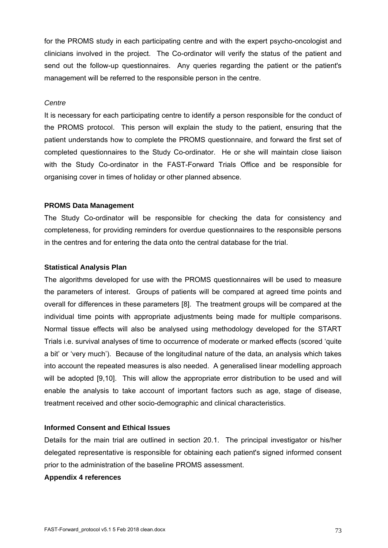for the PROMS study in each participating centre and with the expert psycho-oncologist and clinicians involved in the project. The Co-ordinator will verify the status of the patient and send out the follow-up questionnaires. Any queries regarding the patient or the patient's management will be referred to the responsible person in the centre.

### *Centre*

It is necessary for each participating centre to identify a person responsible for the conduct of the PROMS protocol. This person will explain the study to the patient, ensuring that the patient understands how to complete the PROMS questionnaire, and forward the first set of completed questionnaires to the Study Co-ordinator. He or she will maintain close liaison with the Study Co-ordinator in the FAST-Forward Trials Office and be responsible for organising cover in times of holiday or other planned absence.

#### **PROMS Data Management**

The Study Co-ordinator will be responsible for checking the data for consistency and completeness, for providing reminders for overdue questionnaires to the responsible persons in the centres and for entering the data onto the central database for the trial.

# **Statistical Analysis Plan**

The algorithms developed for use with the PROMS questionnaires will be used to measure the parameters of interest. Groups of patients will be compared at agreed time points and overall for differences in these parameters [8]. The treatment groups will be compared at the individual time points with appropriate adjustments being made for multiple comparisons. Normal tissue effects will also be analysed using methodology developed for the START Trials i.e. survival analyses of time to occurrence of moderate or marked effects (scored 'quite a bit' or 'very much'). Because of the longitudinal nature of the data, an analysis which takes into account the repeated measures is also needed. A generalised linear modelling approach will be adopted [9,10]. This will allow the appropriate error distribution to be used and will enable the analysis to take account of important factors such as age, stage of disease, treatment received and other socio-demographic and clinical characteristics.

### **Informed Consent and Ethical Issues**

Details for the main trial are outlined in section 20.1. The principal investigator or his/her delegated representative is responsible for obtaining each patient's signed informed consent prior to the administration of the baseline PROMS assessment.

### **Appendix 4 references**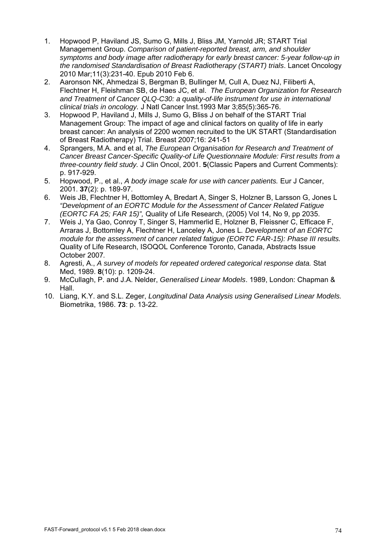- 1. Hopwood P, Haviland JS, Sumo G, Mills J, Bliss JM, Yarnold JR; START Trial Management Group. *Comparison of patient-reported breast, arm, and shoulder symptoms and body image after radiotherapy for early breast cancer: 5-year follow-up in the randomised Standardisation of Breast Radiotherapy (START) trials*. Lancet Oncology 2010 Mar;11(3):231-40. Epub 2010 Feb 6.
- 2. Aaronson NK, Ahmedzai S, Bergman B, Bullinger M, Cull A, Duez NJ, Filiberti A, Flechtner H, Fleishman SB, de Haes JC, et al. *The European Organization for Research and Treatment of Cancer QLQ-C30: a quality-of-life instrument for use in international clinical trials in oncology.* J Natl Cancer Inst.1993 Mar 3;85(5):365-76.
- 3. Hopwood P, Haviland J, Mills J, Sumo G, Bliss J on behalf of the START Trial Management Group: The impact of age and clinical factors on quality of life in early breast cancer: An analysis of 2200 women recruited to the UK START (Standardisation of Breast Radiotherapy) Trial. Breast 2007;16: 241-51
- 4. Sprangers, M.A. and et al, *The European Organisation for Research and Treatment of Cancer Breast Cancer-Specific Quality-of Life Questionnaire Module: First results from a three-country field study.* J Clin Oncol, 2001. **5**(Classic Papers and Current Comments): p. 917-929.
- 5. Hopwood, P., et al., *A body image scale for use with cancer patients.* Eur J Cancer, 2001. **37**(2): p. 189-97.
- 6. Weis JB, Flechtner H, Bottomley A, Bredart A, Singer S, Holzner B, Larsson G, Jones L *"Development of an EORTC Module for the Assessment of Cancer Related Fatigue (EORTC FA 25; FAR 15)",* Quality of Life Research, (2005) Vol 14, No 9, pp 2035.
- 7. Weis J, Ya Gao, Conroy T, Singer S, Hammerlid E, Holzner B, Fleissner C, Efficace F, Arraras J, Bottomley A, Flechtner H, Lanceley A, Jones L*. Development of an EORTC module for the assessment of cancer related fatigue (EORTC FAR-15): Phase III results.*  Quality of Life Research, ISOQOL Conference Toronto, Canada, Abstracts Issue October 2007*.*
- 8. Agresti, A., *A survey of models for repeated ordered categorical response data.* Stat Med, 1989. **8**(10): p. 1209-24.
- 9. McCullagh, P. and J.A. Nelder, *Generalised Linear Models*. 1989, London: Chapman & Hall.
- 10. Liang, K.Y. and S.L. Zeger, *Longitudinal Data Analysis using Generalised Linear Models.* Biometrika, 1986. **73**: p. 13-22.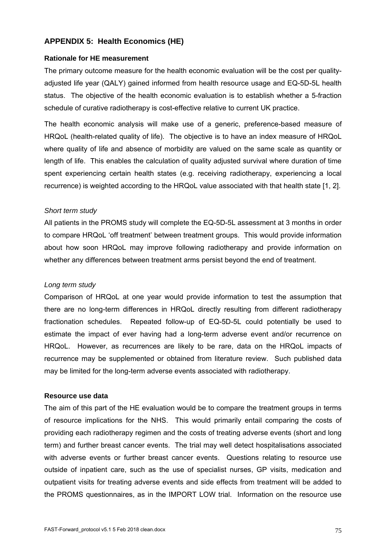# **APPENDIX 5: Health Economics (HE)**

## **Rationale for HE measurement**

The primary outcome measure for the health economic evaluation will be the cost per qualityadjusted life year (QALY) gained informed from health resource usage and EQ-5D-5L health status. The objective of the health economic evaluation is to establish whether a 5-fraction schedule of curative radiotherapy is cost-effective relative to current UK practice.

The health economic analysis will make use of a generic, preference-based measure of HRQoL (health-related quality of life). The objective is to have an index measure of HRQoL where quality of life and absence of morbidity are valued on the same scale as quantity or length of life. This enables the calculation of quality adjusted survival where duration of time spent experiencing certain health states (e.g. receiving radiotherapy, experiencing a local recurrence) is weighted according to the HRQoL value associated with that health state [1, 2].

## *Short term study*

All patients in the PROMS study will complete the EQ-5D-5L assessment at 3 months in order to compare HRQoL 'off treatment' between treatment groups. This would provide information about how soon HRQoL may improve following radiotherapy and provide information on whether any differences between treatment arms persist beyond the end of treatment.

### *Long term study*

Comparison of HRQoL at one year would provide information to test the assumption that there are no long-term differences in HRQoL directly resulting from different radiotherapy fractionation schedules. Repeated follow-up of EQ-5D-5L could potentially be used to estimate the impact of ever having had a long-term adverse event and/or recurrence on HRQoL. However, as recurrences are likely to be rare, data on the HRQoL impacts of recurrence may be supplemented or obtained from literature review. Such published data may be limited for the long-term adverse events associated with radiotherapy.

### **Resource use data**

The aim of this part of the HE evaluation would be to compare the treatment groups in terms of resource implications for the NHS. This would primarily entail comparing the costs of providing each radiotherapy regimen and the costs of treating adverse events (short and long term) and further breast cancer events. The trial may well detect hospitalisations associated with adverse events or further breast cancer events. Questions relating to resource use outside of inpatient care, such as the use of specialist nurses, GP visits, medication and outpatient visits for treating adverse events and side effects from treatment will be added to the PROMS questionnaires, as in the IMPORT LOW trial. Information on the resource use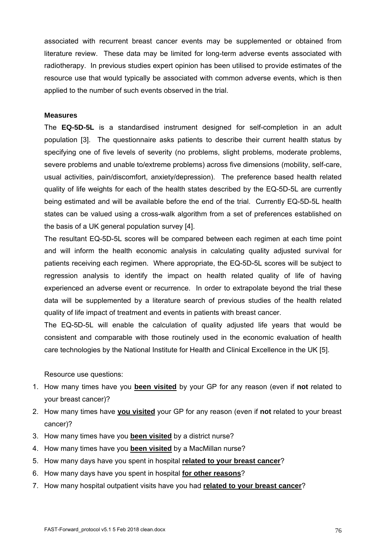associated with recurrent breast cancer events may be supplemented or obtained from literature review. These data may be limited for long-term adverse events associated with radiotherapy. In previous studies expert opinion has been utilised to provide estimates of the resource use that would typically be associated with common adverse events, which is then applied to the number of such events observed in the trial.

### **Measures**

The **EQ-5D-5L** is a standardised instrument designed for self-completion in an adult population [3]. The questionnaire asks patients to describe their current health status by specifying one of five levels of severity (no problems, slight problems, moderate problems, severe problems and unable to/extreme problems) across five dimensions (mobility, self-care, usual activities, pain/discomfort, anxiety/depression). The preference based health related quality of life weights for each of the health states described by the EQ-5D-5L are currently being estimated and will be available before the end of the trial. Currently EQ-5D-5L health states can be valued using a cross-walk algorithm from a set of preferences established on the basis of a UK general population survey [4].

The resultant EQ-5D-5L scores will be compared between each regimen at each time point and will inform the health economic analysis in calculating quality adjusted survival for patients receiving each regimen. Where appropriate, the EQ-5D-5L scores will be subject to regression analysis to identify the impact on health related quality of life of having experienced an adverse event or recurrence. In order to extrapolate beyond the trial these data will be supplemented by a literature search of previous studies of the health related quality of life impact of treatment and events in patients with breast cancer.

The EQ-5D-5L will enable the calculation of quality adjusted life years that would be consistent and comparable with those routinely used in the economic evaluation of health care technologies by the National Institute for Health and Clinical Excellence in the UK [5].

Resource use questions:

- 1. How many times have you **been visited** by your GP for any reason (even if **not** related to your breast cancer)?
- 2. How many times have **you visited** your GP for any reason (even if **not** related to your breast cancer)?
- 3. How many times have you **been visited** by a district nurse?
- 4. How many times have you **been visited** by a MacMillan nurse?
- 5. How many days have you spent in hospital **related to your breast cancer**?
- 6. How many days have you spent in hospital **for other reasons**?
- 7. How many hospital outpatient visits have you had **related to your breast cancer**?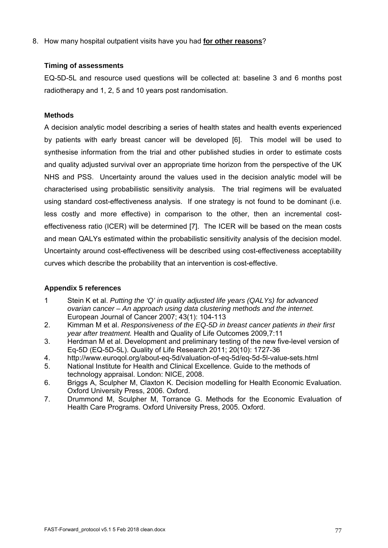8. How many hospital outpatient visits have you had **for other reasons**?

# **Timing of assessments**

EQ-5D-5L and resource used questions will be collected at: baseline 3 and 6 months post radiotherapy and 1, 2, 5 and 10 years post randomisation.

# **Methods**

A decision analytic model describing a series of health states and health events experienced by patients with early breast cancer will be developed [6]. This model will be used to synthesise information from the trial and other published studies in order to estimate costs and quality adjusted survival over an appropriate time horizon from the perspective of the UK NHS and PSS. Uncertainty around the values used in the decision analytic model will be characterised using probabilistic sensitivity analysis. The trial regimens will be evaluated using standard cost-effectiveness analysis. If one strategy is not found to be dominant (i.e. less costly and more effective) in comparison to the other, then an incremental costeffectiveness ratio (ICER) will be determined [7]. The ICER will be based on the mean costs and mean QALYs estimated within the probabilistic sensitivity analysis of the decision model. Uncertainty around cost-effectiveness will be described using cost-effectiveness acceptability curves which describe the probability that an intervention is cost-effective.

# **Appendix 5 references**

- 1 Stein K et al. *Putting the 'Q' in quality adjusted life years (QALYs) for advanced ovarian cancer – An approach using data clustering methods and the internet.* European Journal of Cancer 2007; 43(1): 104-113
- 2. Kimman M et al. *Responsiveness of the EQ-5D in breast cancer patients in their first year after treatment.* Health and Quality of Life Outcomes 2009,7:11
- 3. Herdman M et al. Development and preliminary testing of the new five-level version of Eq-5D (EQ-5D-5L). Quality of Life Research 2011; 20(10): 1727-36
- 4. http://www.euroqol.org/about-eq-5d/valuation-of-eq-5d/eq-5d-5l-value-sets.html
- 5. National Institute for Health and Clinical Excellence. Guide to the methods of technology appraisal. London: NICE, 2008.
- 6. Briggs A, Sculpher M, Claxton K. Decision modelling for Health Economic Evaluation. Oxford University Press, 2006. Oxford.
- 7. Drummond M, Sculpher M, Torrance G. Methods for the Economic Evaluation of Health Care Programs. Oxford University Press, 2005. Oxford.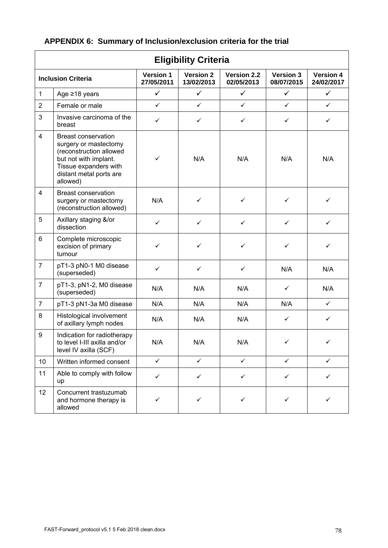| APPENDIX 6: Summary of Inclusion/exclusion criteria for the trial |  |  |  |  |  |
|-------------------------------------------------------------------|--|--|--|--|--|
|-------------------------------------------------------------------|--|--|--|--|--|

 $\mathsf{r}$ 

| <b>Eligibility Criteria</b> |                                                                                                                                                                         |                                |                                |                           |                                |                                |  |  |
|-----------------------------|-------------------------------------------------------------------------------------------------------------------------------------------------------------------------|--------------------------------|--------------------------------|---------------------------|--------------------------------|--------------------------------|--|--|
| <b>Inclusion Criteria</b>   |                                                                                                                                                                         | <b>Version 1</b><br>27/05/2011 | <b>Version 2</b><br>13/02/2013 | Version 2.2<br>02/05/2013 | <b>Version 3</b><br>08/07/2015 | <b>Version 4</b><br>24/02/2017 |  |  |
| $\mathbf{1}$                | Age $\geq$ 18 years                                                                                                                                                     | $\checkmark$                   | $\checkmark$                   | $\checkmark$              | $\checkmark$                   | $\checkmark$                   |  |  |
| $\overline{2}$              | Female or male                                                                                                                                                          | $\checkmark$                   | $\checkmark$                   | $\checkmark$              | $\checkmark$                   | $\checkmark$                   |  |  |
| 3                           | Invasive carcinoma of the<br>breast                                                                                                                                     | $\checkmark$                   | ✓                              | ✓                         | ✓                              | $\checkmark$                   |  |  |
| $\overline{4}$              | <b>Breast conservation</b><br>surgery or mastectomy<br>(reconstruction allowed<br>but not with implant.<br>Tissue expanders with<br>distant metal ports are<br>allowed) | $\checkmark$                   | N/A                            | N/A                       | N/A                            | N/A                            |  |  |
| $\overline{4}$              | <b>Breast conservation</b><br>surgery or mastectomy<br>(reconstruction allowed)                                                                                         | N/A                            | ✓                              | ✓                         | ✓                              | ✓                              |  |  |
| 5                           | Axillary staging &/or<br>dissection                                                                                                                                     | $\checkmark$                   | ✓                              | ✓                         | ✓                              | ✓                              |  |  |
| 6                           | Complete microscopic<br>excision of primary<br>tumour                                                                                                                   | ✓                              | ✓                              | ✓                         | $\checkmark$                   | $\checkmark$                   |  |  |
| $\overline{7}$              | pT1-3 pN0-1 M0 disease<br>(superseded)                                                                                                                                  | ✓                              | $\checkmark$                   | ✓                         | N/A                            | N/A                            |  |  |
| $\overline{7}$              | pT1-3, pN1-2, M0 disease<br>(superseded)                                                                                                                                | N/A                            | N/A                            | N/A                       | ✓                              | N/A                            |  |  |
| $\overline{7}$              | pT1-3 pN1-3a M0 disease                                                                                                                                                 | N/A                            | N/A                            | N/A                       | N/A                            | $\checkmark$                   |  |  |
| 8                           | Histological involvement<br>of axillary lymph nodes                                                                                                                     | N/A                            | N/A                            | N/A                       | $\checkmark$                   | $\checkmark$                   |  |  |
| 9                           | Indication for radiotherapy<br>to level I-III axilla and/or<br>level IV axilla (SCF)                                                                                    | N/A                            | N/A                            | N/A                       | ✓                              | ✓                              |  |  |
| 10                          | Written informed consent                                                                                                                                                | $\checkmark$                   | ✓                              | $\checkmark$              | ✓                              | ✓                              |  |  |
| 11                          | Able to comply with follow<br>up                                                                                                                                        | ✓                              | ✓                              | $\checkmark$              | ✓                              | ✓                              |  |  |
| 12                          | Concurrent trastuzumab<br>and hormone therapy is<br>allowed                                                                                                             | ✓                              | ✓                              | ✓                         | ✓                              |                                |  |  |

٦